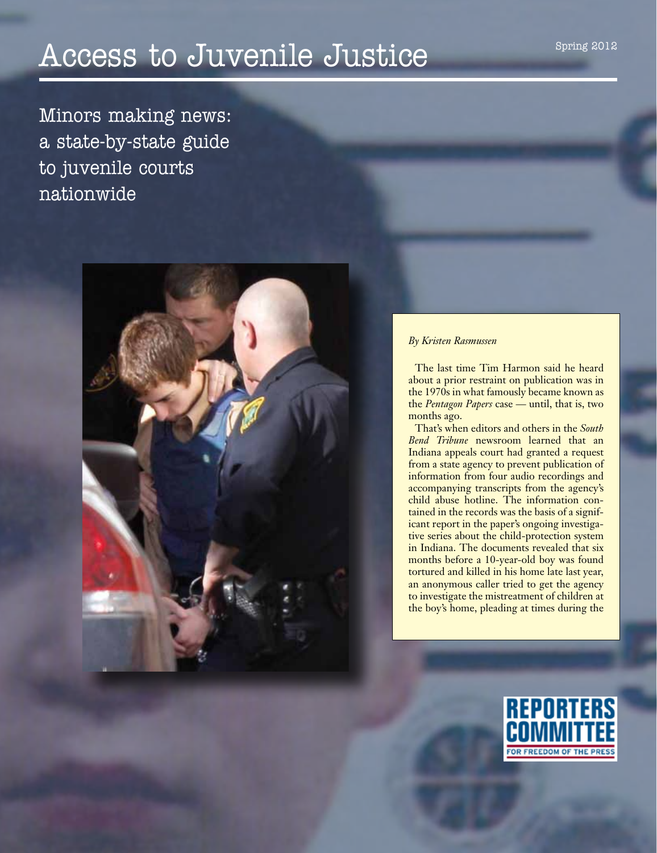# Access to Juvenile Justice

Minors making news: a state-by-state guide to juvenile courts nationwide



#### *By Kristen Rasmussen*

The last time Tim Harmon said he heard about a prior restraint on publication was in the 1970s in what famously became known as the *Pentagon Papers* case — until, that is, two months ago.

That's when editors and others in the *South Bend Tribune* newsroom learned that an Indiana appeals court had granted a request from a state agency to prevent publication of information from four audio recordings and accompanying transcripts from the agency's child abuse hotline. The information contained in the records was the basis of a significant report in the paper's ongoing investigative series about the child-protection system in Indiana. The documents revealed that six months before a 10-year-old boy was found tortured and killed in his home late last year, an anonymous caller tried to get the agency to investigate the mistreatment of children at the boy's home, pleading at times during the

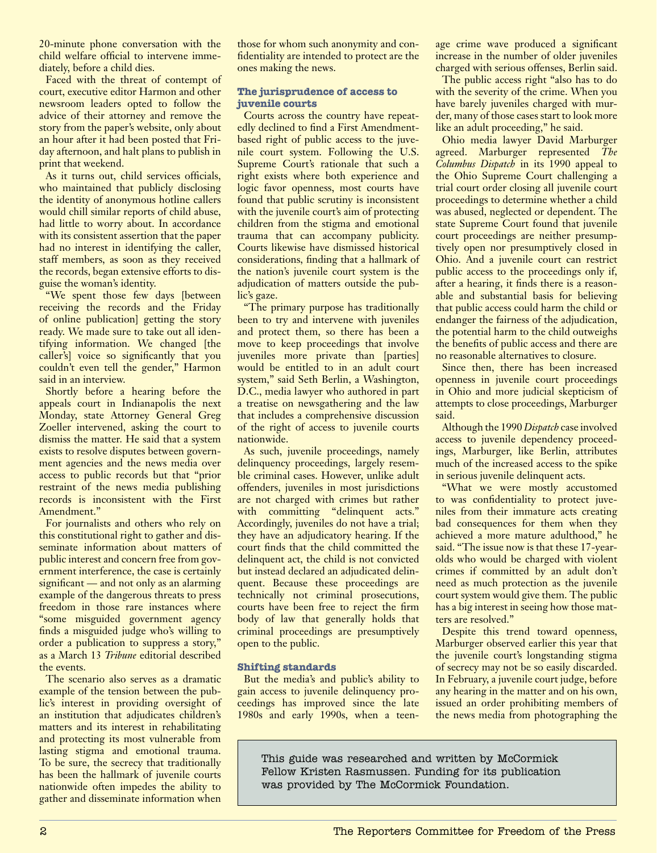20-minute phone conversation with the child welfare official to intervene immediately, before a child dies.

Faced with the threat of contempt of court, executive editor Harmon and other newsroom leaders opted to follow the advice of their attorney and remove the story from the paper's website, only about an hour after it had been posted that Friday afternoon, and halt plans to publish in print that weekend.

As it turns out, child services officials, who maintained that publicly disclosing the identity of anonymous hotline callers would chill similar reports of child abuse, had little to worry about. In accordance with its consistent assertion that the paper had no interest in identifying the caller, staff members, as soon as they received the records, began extensive efforts to disguise the woman's identity.

"We spent those few days [between receiving the records and the Friday of online publication] getting the story ready. We made sure to take out all identifying information. We changed [the caller's] voice so significantly that you couldn't even tell the gender," Harmon said in an interview.

Shortly before a hearing before the appeals court in Indianapolis the next Monday, state Attorney General Greg Zoeller intervened, asking the court to dismiss the matter. He said that a system exists to resolve disputes between government agencies and the news media over access to public records but that "prior restraint of the news media publishing records is inconsistent with the First Amendment."

For journalists and others who rely on this constitutional right to gather and disseminate information about matters of public interest and concern free from government interference, the case is certainly significant — and not only as an alarming example of the dangerous threats to press freedom in those rare instances where "some misguided government agency finds a misguided judge who's willing to order a publication to suppress a story," as a March 13 *Tribune* editorial described the events.

The scenario also serves as a dramatic example of the tension between the public's interest in providing oversight of an institution that adjudicates children's matters and its interest in rehabilitating and protecting its most vulnerable from lasting stigma and emotional trauma. To be sure, the secrecy that traditionally has been the hallmark of juvenile courts nationwide often impedes the ability to gather and disseminate information when

those for whom such anonymity and confidentiality are intended to protect are the ones making the news.

## **The jurisprudence of access to juvenile courts**

Courts across the country have repeatedly declined to find a First Amendmentbased right of public access to the juvenile court system. Following the U.S. Supreme Court's rationale that such a right exists where both experience and logic favor openness, most courts have found that public scrutiny is inconsistent with the juvenile court's aim of protecting children from the stigma and emotional trauma that can accompany publicity. Courts likewise have dismissed historical considerations, finding that a hallmark of the nation's juvenile court system is the adjudication of matters outside the public's gaze.

"The primary purpose has traditionally been to try and intervene with juveniles and protect them, so there has been a move to keep proceedings that involve juveniles more private than [parties] would be entitled to in an adult court system," said Seth Berlin, a Washington, D.C., media lawyer who authored in part a treatise on newsgathering and the law that includes a comprehensive discussion of the right of access to juvenile courts nationwide.

As such, juvenile proceedings, namely delinquency proceedings, largely resemble criminal cases. However, unlike adult offenders, juveniles in most jurisdictions are not charged with crimes but rather with committing "delinquent acts." Accordingly, juveniles do not have a trial; they have an adjudicatory hearing. If the court finds that the child committed the delinquent act, the child is not convicted but instead declared an adjudicated delinquent. Because these proceedings are technically not criminal prosecutions, courts have been free to reject the firm body of law that generally holds that criminal proceedings are presumptively open to the public.

## **Shifting standards**

But the media's and public's ability to gain access to juvenile delinquency proceedings has improved since the late 1980s and early 1990s, when a teenage crime wave produced a significant increase in the number of older juveniles charged with serious offenses, Berlin said.

The public access right "also has to do with the severity of the crime. When you have barely juveniles charged with murder, many of those cases start to look more like an adult proceeding," he said.

Ohio media lawyer David Marburger agreed. Marburger represented *The Columbus Dispatch* in its 1990 appeal to the Ohio Supreme Court challenging a trial court order closing all juvenile court proceedings to determine whether a child was abused, neglected or dependent. The state Supreme Court found that juvenile court proceedings are neither presumptively open nor presumptively closed in Ohio. And a juvenile court can restrict public access to the proceedings only if, after a hearing, it finds there is a reasonable and substantial basis for believing that public access could harm the child or endanger the fairness of the adjudication, the potential harm to the child outweighs the benefits of public access and there are no reasonable alternatives to closure.

Since then, there has been increased openness in juvenile court proceedings in Ohio and more judicial skepticism of attempts to close proceedings, Marburger said.

Although the 1990 *Dispatch* case involved access to juvenile dependency proceedings, Marburger, like Berlin, attributes much of the increased access to the spike in serious juvenile delinquent acts.

"What we were mostly accustomed to was confidentiality to protect juveniles from their immature acts creating bad consequences for them when they achieved a more mature adulthood," he said. "The issue now is that these 17-yearolds who would be charged with violent crimes if committed by an adult don't need as much protection as the juvenile court system would give them. The public has a big interest in seeing how those matters are resolved."

Despite this trend toward openness, Marburger observed earlier this year that the juvenile court's longstanding stigma of secrecy may not be so easily discarded. In February, a juvenile court judge, before any hearing in the matter and on his own, issued an order prohibiting members of the news media from photographing the

This guide was researched and written by McCormick Fellow Kristen Rasmussen. Funding for its publication was provided by The McCormick Foundation.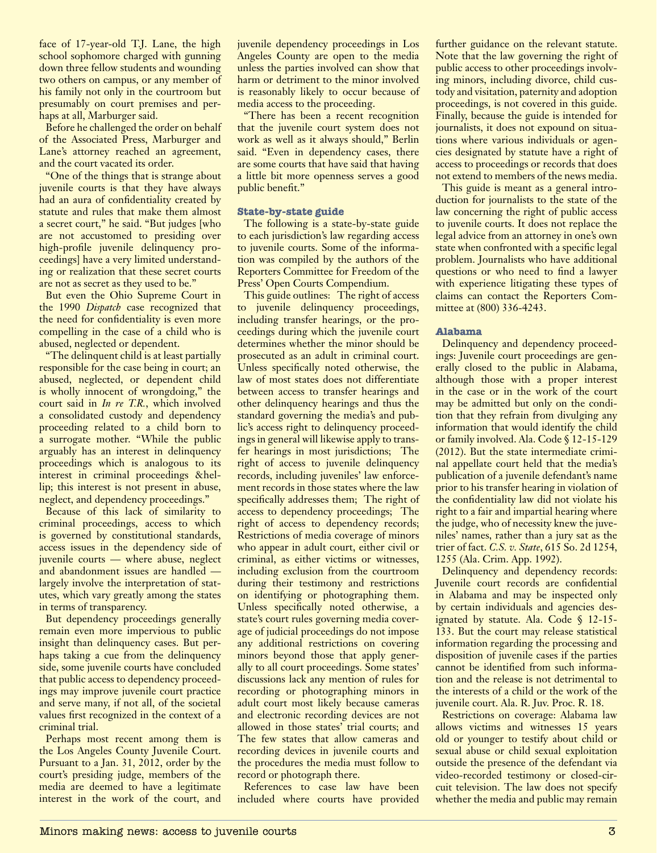face of 17-year-old T.J. Lane, the high school sophomore charged with gunning down three fellow students and wounding two others on campus, or any member of his family not only in the courtroom but presumably on court premises and perhaps at all, Marburger said.

Before he challenged the order on behalf of the Associated Press, Marburger and Lane's attorney reached an agreement, and the court vacated its order.

"One of the things that is strange about juvenile courts is that they have always had an aura of confidentiality created by statute and rules that make them almost a secret court," he said. "But judges [who are not accustomed to presiding over high-profile juvenile delinquency proceedings] have a very limited understanding or realization that these secret courts are not as secret as they used to be."

But even the Ohio Supreme Court in the 1990 *Dispatch* case recognized that the need for confidentiality is even more compelling in the case of a child who is abused, neglected or dependent.

"The delinquent child is at least partially responsible for the case being in court; an abused, neglected, or dependent child is wholly innocent of wrongdoing," the court said in *In re T.R.*, which involved a consolidated custody and dependency proceeding related to a child born to a surrogate mother. "While the public arguably has an interest in delinquency proceedings which is analogous to its interest in criminal proceedings &hellip; this interest is not present in abuse, neglect, and dependency proceedings."

Because of this lack of similarity to criminal proceedings, access to which is governed by constitutional standards, access issues in the dependency side of juvenile courts — where abuse, neglect and abandonment issues are handled largely involve the interpretation of statutes, which vary greatly among the states in terms of transparency.

But dependency proceedings generally remain even more impervious to public insight than delinquency cases. But perhaps taking a cue from the delinquency side, some juvenile courts have concluded that public access to dependency proceedings may improve juvenile court practice and serve many, if not all, of the societal values first recognized in the context of a criminal trial.

Perhaps most recent among them is the Los Angeles County Juvenile Court. Pursuant to a Jan. 31, 2012, order by the court's presiding judge, members of the media are deemed to have a legitimate interest in the work of the court, and juvenile dependency proceedings in Los Angeles County are open to the media unless the parties involved can show that harm or detriment to the minor involved is reasonably likely to occur because of media access to the proceeding.

"There has been a recent recognition that the juvenile court system does not work as well as it always should," Berlin said. "Even in dependency cases, there are some courts that have said that having a little bit more openness serves a good public benefit."

## **State-by-state guide**

The following is a state-by-state guide to each jurisdiction's law regarding access to juvenile courts. Some of the information was compiled by the authors of the Reporters Committee for Freedom of the Press' Open Courts Compendium.

This guide outlines: The right of access to juvenile delinquency proceedings, including transfer hearings, or the proceedings during which the juvenile court determines whether the minor should be prosecuted as an adult in criminal court. Unless specifically noted otherwise, the law of most states does not differentiate between access to transfer hearings and other delinquency hearings and thus the standard governing the media's and public's access right to delinquency proceedings in general will likewise apply to transfer hearings in most jurisdictions; The right of access to juvenile delinquency records, including juveniles' law enforcement records in those states where the law specifically addresses them; The right of access to dependency proceedings; The right of access to dependency records; Restrictions of media coverage of minors who appear in adult court, either civil or criminal, as either victims or witnesses, including exclusion from the courtroom during their testimony and restrictions on identifying or photographing them. Unless specifically noted otherwise, a state's court rules governing media coverage of judicial proceedings do not impose any additional restrictions on covering minors beyond those that apply generally to all court proceedings. Some states' discussions lack any mention of rules for recording or photographing minors in adult court most likely because cameras and electronic recording devices are not allowed in those states' trial courts; and The few states that allow cameras and recording devices in juvenile courts and the procedures the media must follow to record or photograph there.

References to case law have been included where courts have provided further guidance on the relevant statute. Note that the law governing the right of public access to other proceedings involving minors, including divorce, child custody and visitation, paternity and adoption proceedings, is not covered in this guide. Finally, because the guide is intended for journalists, it does not expound on situations where various individuals or agencies designated by statute have a right of access to proceedings or records that does not extend to members of the news media.

This guide is meant as a general introduction for journalists to the state of the law concerning the right of public access to juvenile courts. It does not replace the legal advice from an attorney in one's own state when confronted with a specific legal problem. Journalists who have additional questions or who need to find a lawyer with experience litigating these types of claims can contact the Reporters Committee at (800) 336-4243.

## **Alabama**

Delinquency and dependency proceedings: Juvenile court proceedings are generally closed to the public in Alabama, although those with a proper interest in the case or in the work of the court may be admitted but only on the condition that they refrain from divulging any information that would identify the child or family involved. Ala. Code § 12-15-129 (2012). But the state intermediate criminal appellate court held that the media's publication of a juvenile defendant's name prior to his transfer hearing in violation of the confidentiality law did not violate his right to a fair and impartial hearing where the judge, who of necessity knew the juveniles' names, rather than a jury sat as the trier of fact. *C.S. v. State*, 615 So. 2d 1254, 1255 (Ala. Crim. App. 1992).

Delinquency and dependency records: Juvenile court records are confidential in Alabama and may be inspected only by certain individuals and agencies designated by statute. Ala. Code § 12-15- 133. But the court may release statistical information regarding the processing and disposition of juvenile cases if the parties cannot be identified from such information and the release is not detrimental to the interests of a child or the work of the juvenile court. Ala. R. Juv. Proc. R. 18.

Restrictions on coverage: Alabama law allows victims and witnesses 15 years old or younger to testify about child or sexual abuse or child sexual exploitation outside the presence of the defendant via video-recorded testimony or closed-circuit television. The law does not specify whether the media and public may remain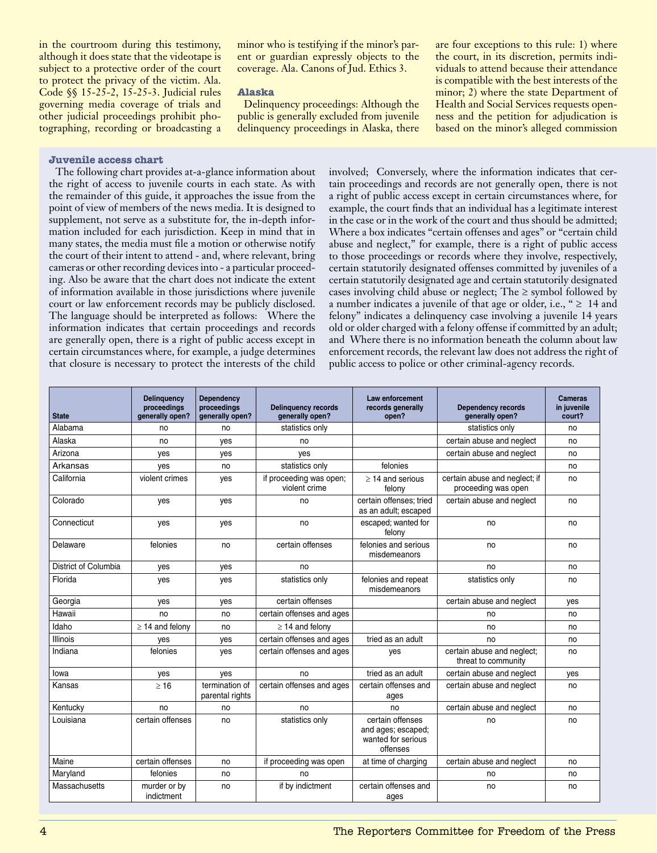in the courtroom during this testimony, although it does state that the videotape is subject to a protective order of the court to protect the privacy of the victim. Ala. Code §§ 15-25-2, 15-25-3. Judicial rules governing media coverage of trials and other judicial proceedings prohibit photographing, recording or broadcasting a

minor who is testifying if the minor's parent or guardian expressly objects to the coverage. Ala. Canons of Jud. Ethics 3.

## **Alaska**

Delinquency proceedings: Although the public is generally excluded from juvenile delinquency proceedings in Alaska, there are four exceptions to this rule: 1) where the court, in its discretion, permits individuals to attend because their attendance is compatible with the best interests of the minor; 2) where the state Department of Health and Social Services requests openness and the petition for adjudication is based on the minor's alleged commission

## **Juvenile access chart**

The following chart provides at-a-glance information about the right of access to juvenile courts in each state. As with the remainder of this guide, it approaches the issue from the point of view of members of the news media. It is designed to supplement, not serve as a substitute for, the in-depth information included for each jurisdiction. Keep in mind that in many states, the media must file a motion or otherwise notify the court of their intent to attend - and, where relevant, bring cameras or other recording devices into - a particular proceeding. Also be aware that the chart does not indicate the extent of information available in those jurisdictions where juvenile court or law enforcement records may be publicly disclosed. The language should be interpreted as follows: Where the information indicates that certain proceedings and records are generally open, there is a right of public access except in certain circumstances where, for example, a judge determines that closure is necessary to protect the interests of the child

involved; Conversely, where the information indicates that certain proceedings and records are not generally open, there is not a right of public access except in certain circumstances where, for example, the court finds that an individual has a legitimate interest in the case or in the work of the court and thus should be admitted; Where a box indicates "certain offenses and ages" or "certain child abuse and neglect," for example, there is a right of public access to those proceedings or records where they involve, respectively, certain statutorily designated offenses committed by juveniles of a certain statutorily designated age and certain statutorily designated cases involving child abuse or neglect; The  $\ge$  symbol followed by a number indicates a juvenile of that age or older, i.e., "  $\geq 14$  and felony" indicates a delinquency case involving a juvenile 14 years old or older charged with a felony offense if committed by an adult; and Where there is no information beneath the column about law enforcement records, the relevant law does not address the right of public access to police or other criminal-agency records.

| <b>State</b>         | <b>Delinguency</b><br>proceedings<br>qenerally open? | <b>Dependency</b><br>proceedings<br>generally open? | <b>Delinquency records</b><br>generally open? | Law enforcement<br>records generally<br>open?                            | <b>Dependency records</b><br>generally open?         | <b>Cameras</b><br>in juvenile<br>court? |
|----------------------|------------------------------------------------------|-----------------------------------------------------|-----------------------------------------------|--------------------------------------------------------------------------|------------------------------------------------------|-----------------------------------------|
| Alahama              | no                                                   | no                                                  | statistics only                               |                                                                          | statistics only                                      | no                                      |
| Alaska               | no                                                   | yes                                                 | no                                            |                                                                          | certain abuse and neglect                            | no                                      |
| Arizona              | yes                                                  | yes                                                 | yes                                           |                                                                          | certain abuse and neglect                            | no                                      |
| Arkansas             | yes                                                  | no                                                  | statistics only                               | felonies                                                                 |                                                      | no                                      |
| California           | violent crimes                                       | yes                                                 | if proceeding was open;<br>violent crime      | $\geq$ 14 and serious<br>felony                                          | certain abuse and neglect; if<br>proceeding was open | no                                      |
| Colorado             | yes                                                  | yes                                                 | no                                            | certain offenses: tried<br>as an adult; escaped                          | certain abuse and neglect                            | no                                      |
| Connecticut          | yes                                                  | yes                                                 | no                                            | escaped; wanted for<br>felony                                            | no                                                   | no                                      |
| Delaware             | felonies                                             | no                                                  | certain offenses                              | felonies and serious<br>misdemeanors                                     | no                                                   | no                                      |
| District of Columbia | yes                                                  | yes                                                 | no                                            |                                                                          | no                                                   | no                                      |
| Florida              | yes                                                  | yes                                                 | statistics only                               | felonies and repeat<br>misdemeanors                                      | statistics only                                      | no                                      |
| Georgia              | yes                                                  | yes                                                 | certain offenses                              |                                                                          | certain abuse and neglect                            | ves                                     |
| Hawaii               | no                                                   | no                                                  | certain offenses and ages                     |                                                                          | no                                                   | no                                      |
| Idaho                | $\geq$ 14 and felony                                 | no                                                  | $\geq$ 14 and felony                          |                                                                          | no                                                   | no                                      |
| <b>Illinois</b>      | ves                                                  | yes                                                 | certain offenses and ages                     | tried as an adult                                                        | no                                                   | no                                      |
| Indiana              | felonies                                             | ves                                                 | certain offenses and ages                     | ves                                                                      | certain abuse and neglect;<br>threat to community    | no                                      |
| lowa                 | yes                                                  | yes                                                 | no                                            | tried as an adult                                                        | certain abuse and neglect                            | ves                                     |
| Kansas               | >16                                                  | termination of<br>parental rights                   | certain offenses and ages                     | certain offenses and<br>ages                                             | certain abuse and neglect                            | no                                      |
| Kentucky             | no                                                   | no                                                  | no                                            | no                                                                       | certain abuse and neglect                            | no                                      |
| Louisiana            | certain offenses                                     | no                                                  | statistics only                               | certain offenses<br>and ages; escaped;<br>wanted for serious<br>offenses | no                                                   | no                                      |
| Maine                | certain offenses                                     | no                                                  | if proceeding was open                        | at time of charging                                                      | certain abuse and neglect                            | no                                      |
| Maryland             | felonies                                             | no                                                  | no                                            |                                                                          | no                                                   | no                                      |
| Massachusetts        | murder or by<br>indictment                           | no                                                  | if by indictment                              | certain offenses and<br>ages                                             | no                                                   | no                                      |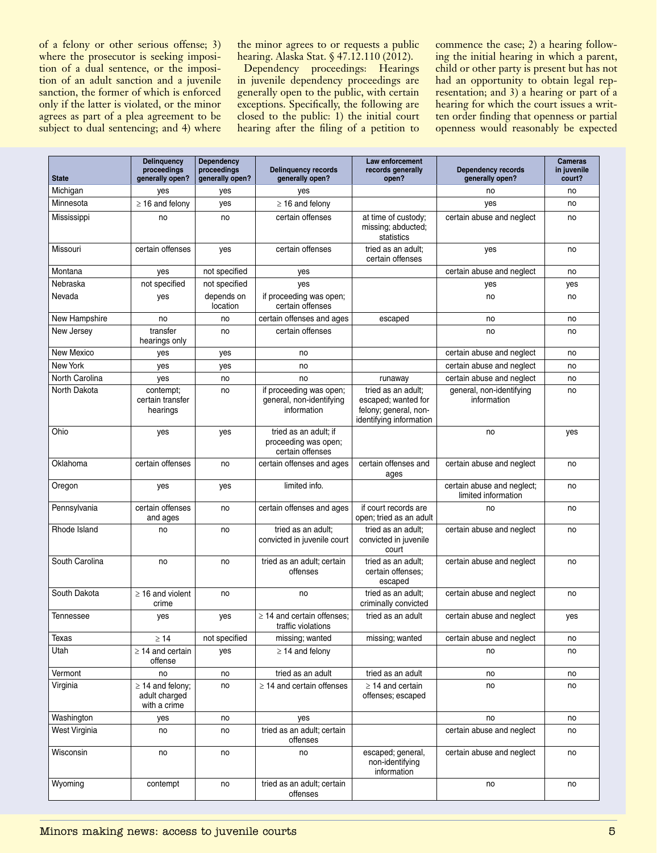of a felony or other serious offense; 3) where the prosecutor is seeking imposition of a dual sentence, or the imposition of an adult sanction and a juvenile sanction, the former of which is enforced only if the latter is violated, or the minor agrees as part of a plea agreement to be subject to dual sentencing; and 4) where

the minor agrees to or requests a public hearing. Alaska Stat. § 47.12.110 (2012).

Dependency proceedings: Hearings in juvenile dependency proceedings are generally open to the public, with certain exceptions. Specifically, the following are closed to the public: 1) the initial court hearing after the filing of a petition to commence the case; 2) a hearing following the initial hearing in which a parent, child or other party is present but has not had an opportunity to obtain legal representation; and 3) a hearing or part of a hearing for which the court issues a written order finding that openness or partial openness would reasonably be expected

| <b>State</b>      | <b>Delinquency</b><br>proceedings<br>generally open?   | <b>Dependency</b><br>proceedings<br>generally open? | <b>Delinquency records</b><br>generally open?                      | Law enforcement<br>records generally<br>open?                                                 | <b>Dependency records</b><br>generally open?      | <b>Cameras</b><br>in juvenile<br>court? |
|-------------------|--------------------------------------------------------|-----------------------------------------------------|--------------------------------------------------------------------|-----------------------------------------------------------------------------------------------|---------------------------------------------------|-----------------------------------------|
| Michigan          | yes                                                    | yes                                                 | yes                                                                |                                                                                               | no                                                | no                                      |
| Minnesota         | $\geq$ 16 and felony                                   | yes                                                 | $\geq$ 16 and felony                                               |                                                                                               | yes                                               | no                                      |
| Mississippi       | no                                                     | no                                                  | certain offenses                                                   | at time of custody;<br>missing; abducted;<br>statistics                                       | certain abuse and neglect                         | no                                      |
| Missouri          | certain offenses                                       | yes                                                 | certain offenses                                                   | tried as an adult;<br>certain offenses                                                        | yes                                               | no                                      |
| Montana           | yes                                                    | not specified                                       | yes                                                                |                                                                                               | certain abuse and neglect                         | no                                      |
| Nebraska          | not specified                                          | not specified                                       | yes                                                                |                                                                                               | yes                                               | yes                                     |
| Nevada            | yes                                                    | depends on<br>location                              | if proceeding was open;<br>certain offenses                        |                                                                                               | no                                                | no                                      |
| New Hampshire     | no                                                     | no                                                  | certain offenses and ages                                          | escaped                                                                                       | no                                                | no                                      |
| New Jersey        | transfer<br>hearings only                              | no                                                  | certain offenses                                                   |                                                                                               | no                                                | no                                      |
| <b>New Mexico</b> | yes                                                    | yes                                                 | no                                                                 |                                                                                               | certain abuse and neglect                         | no                                      |
| New York          | yes                                                    | yes                                                 | no                                                                 |                                                                                               | certain abuse and neglect                         | no                                      |
| North Carolina    | yes                                                    | no                                                  | no                                                                 | runaway                                                                                       | certain abuse and neglect                         | no                                      |
| North Dakota      | contempt;<br>certain transfer<br>hearings              | no                                                  | if proceeding was open;<br>general, non-identifying<br>information | tried as an adult;<br>escaped; wanted for<br>felony; general, non-<br>identifying information | general, non-identifying<br>information           | no                                      |
| Ohio              | yes                                                    | yes                                                 | tried as an adult; if<br>proceeding was open;<br>certain offenses  |                                                                                               | no                                                | yes                                     |
| Oklahoma          | certain offenses                                       | no                                                  | certain offenses and ages                                          | certain offenses and<br>ages                                                                  | certain abuse and neglect                         | no                                      |
| Oregon            | yes                                                    | yes                                                 | limited info.                                                      |                                                                                               | certain abuse and neglect;<br>limited information | no                                      |
| Pennsylvania      | certain offenses<br>and ages                           | no                                                  | certain offenses and ages                                          | if court records are<br>open; tried as an adult                                               | no                                                | no                                      |
| Rhode Island      | no                                                     | no                                                  | tried as an adult;<br>convicted in juvenile court                  | tried as an adult;<br>convicted in juvenile<br>court                                          | certain abuse and neglect                         | no                                      |
| South Carolina    | no                                                     | no                                                  | tried as an adult; certain<br>offenses                             | tried as an adult;<br>certain offenses;<br>escaped                                            | certain abuse and neglect                         | no                                      |
| South Dakota      | $\geq$ 16 and violent<br>crime                         | no                                                  | no                                                                 | tried as an adult;<br>criminally convicted                                                    | certain abuse and neglect                         | no                                      |
| Tennessee         | yes                                                    | yes                                                 | $\geq$ 14 and certain offenses:<br>traffic violations              | tried as an adult                                                                             | certain abuse and neglect                         | yes                                     |
| Texas             | $\geq 14$                                              | not specified                                       | missing; wanted                                                    | missing; wanted                                                                               | certain abuse and neglect                         | no                                      |
| Utah              | $\geq$ 14 and certain<br>offense                       | yes                                                 | $\geq$ 14 and felony                                               |                                                                                               | no                                                | no                                      |
| Vermont           | no                                                     | no                                                  | tried as an adult                                                  | tried as an adult                                                                             | no                                                | no                                      |
| Virginia          | $\geq$ 14 and felony;<br>adult charged<br>with a crime | no                                                  | $\geq$ 14 and certain offenses                                     | $\geq$ 14 and certain<br>offenses; escaped                                                    | no                                                | no                                      |
| Washington        | yes                                                    | no                                                  | yes                                                                |                                                                                               | no                                                | no                                      |
| West Virginia     | no                                                     | no                                                  | tried as an adult; certain<br>offenses                             |                                                                                               | certain abuse and neglect                         | no                                      |
| Wisconsin         | no                                                     | no                                                  | no                                                                 | escaped; general,<br>non-identifying<br>information                                           | certain abuse and neglect                         | no                                      |
| Wyoming           | contempt                                               | no                                                  | tried as an adult; certain<br>offenses                             |                                                                                               | no                                                | no                                      |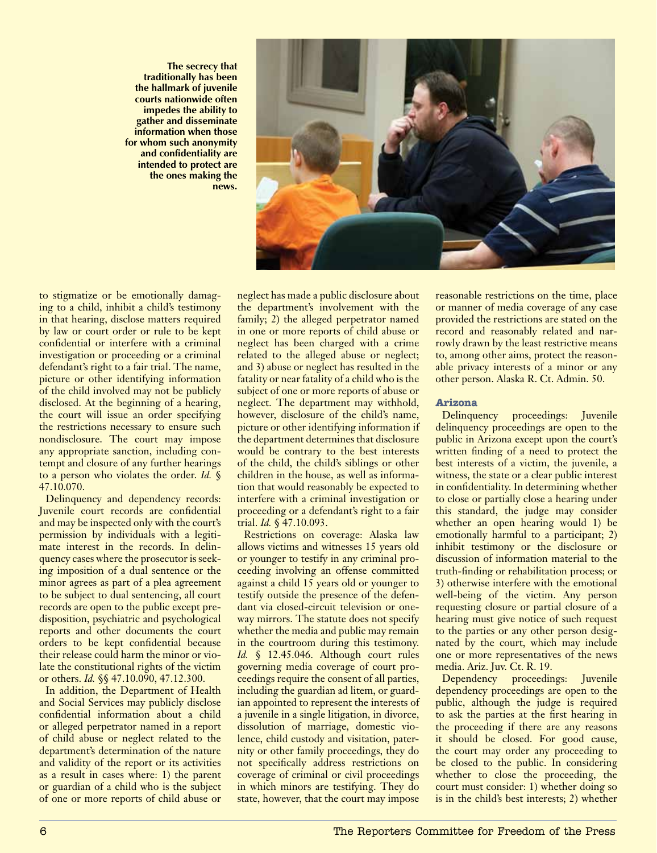**The secrecy that traditionally has been the hallmark of juvenile courts nationwide often impedes the ability to gather and disseminate information when those for whom such anonymity and confidentiality are intended to protect are the ones making the news.** 



to stigmatize or be emotionally damaging to a child, inhibit a child's testimony in that hearing, disclose matters required by law or court order or rule to be kept confidential or interfere with a criminal investigation or proceeding or a criminal defendant's right to a fair trial. The name, picture or other identifying information of the child involved may not be publicly disclosed. At the beginning of a hearing, the court will issue an order specifying the restrictions necessary to ensure such nondisclosure. The court may impose any appropriate sanction, including contempt and closure of any further hearings to a person who violates the order. *Id.* § 47.10.070.

Delinquency and dependency records: Juvenile court records are confidential and may be inspected only with the court's permission by individuals with a legitimate interest in the records. In delinquency cases where the prosecutor is seeking imposition of a dual sentence or the minor agrees as part of a plea agreement to be subject to dual sentencing, all court records are open to the public except predisposition, psychiatric and psychological reports and other documents the court orders to be kept confidential because their release could harm the minor or violate the constitutional rights of the victim or others. *Id.* §§ 47.10.090, 47.12.300.

In addition, the Department of Health and Social Services may publicly disclose confidential information about a child or alleged perpetrator named in a report of child abuse or neglect related to the department's determination of the nature and validity of the report or its activities as a result in cases where: 1) the parent or guardian of a child who is the subject of one or more reports of child abuse or neglect has made a public disclosure about the department's involvement with the family; 2) the alleged perpetrator named in one or more reports of child abuse or neglect has been charged with a crime related to the alleged abuse or neglect; and 3) abuse or neglect has resulted in the fatality or near fatality of a child who is the subject of one or more reports of abuse or neglect. The department may withhold, however, disclosure of the child's name, picture or other identifying information if the department determines that disclosure would be contrary to the best interests of the child, the child's siblings or other children in the house, as well as information that would reasonably be expected to interfere with a criminal investigation or proceeding or a defendant's right to a fair trial. *Id.* § 47.10.093.

Restrictions on coverage: Alaska law allows victims and witnesses 15 years old or younger to testify in any criminal proceeding involving an offense committed against a child 15 years old or younger to testify outside the presence of the defendant via closed-circuit television or oneway mirrors. The statute does not specify whether the media and public may remain in the courtroom during this testimony. *Id.* § 12.45.046. Although court rules governing media coverage of court proceedings require the consent of all parties, including the guardian ad litem, or guardian appointed to represent the interests of a juvenile in a single litigation, in divorce, dissolution of marriage, domestic violence, child custody and visitation, paternity or other family proceedings, they do not specifically address restrictions on coverage of criminal or civil proceedings in which minors are testifying. They do state, however, that the court may impose

reasonable restrictions on the time, place or manner of media coverage of any case provided the restrictions are stated on the record and reasonably related and narrowly drawn by the least restrictive means to, among other aims, protect the reasonable privacy interests of a minor or any other person. Alaska R. Ct. Admin. 50.

## **Arizona**

Delinquency proceedings: Juvenile delinquency proceedings are open to the public in Arizona except upon the court's written finding of a need to protect the best interests of a victim, the juvenile, a witness, the state or a clear public interest in confidentiality. In determining whether to close or partially close a hearing under this standard, the judge may consider whether an open hearing would 1) be emotionally harmful to a participant; 2) inhibit testimony or the disclosure or discussion of information material to the truth-finding or rehabilitation process; or 3) otherwise interfere with the emotional well-being of the victim. Any person requesting closure or partial closure of a hearing must give notice of such request to the parties or any other person designated by the court, which may include one or more representatives of the news media. Ariz. Juv. Ct. R. 19.

Dependency proceedings: Juvenile dependency proceedings are open to the public, although the judge is required to ask the parties at the first hearing in the proceeding if there are any reasons it should be closed. For good cause, the court may order any proceeding to be closed to the public. In considering whether to close the proceeding, the court must consider: 1) whether doing so is in the child's best interests; 2) whether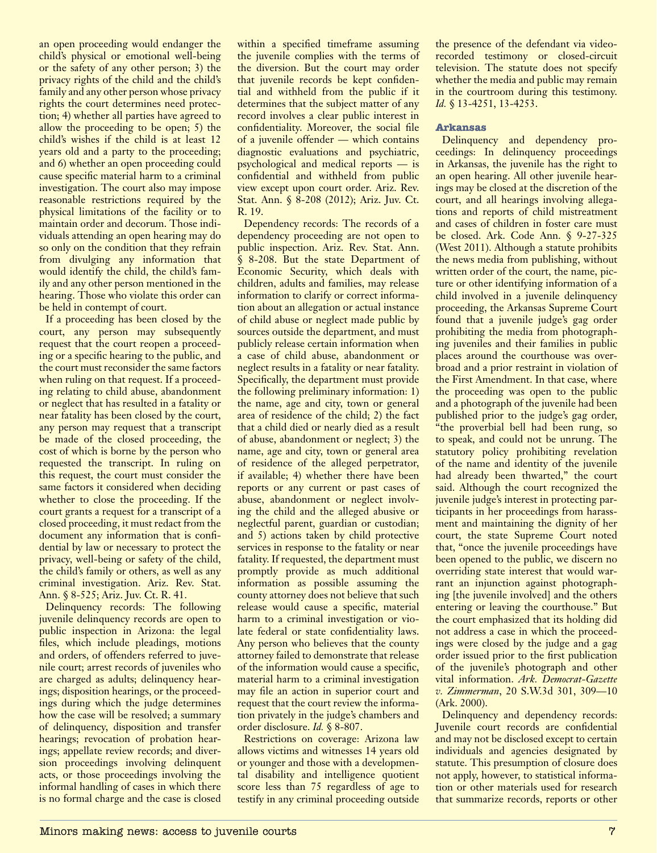an open proceeding would endanger the child's physical or emotional well-being or the safety of any other person; 3) the privacy rights of the child and the child's family and any other person whose privacy rights the court determines need protection; 4) whether all parties have agreed to allow the proceeding to be open; 5) the child's wishes if the child is at least 12 years old and a party to the proceeding; and 6) whether an open proceeding could cause specific material harm to a criminal investigation. The court also may impose reasonable restrictions required by the physical limitations of the facility or to maintain order and decorum. Those individuals attending an open hearing may do so only on the condition that they refrain from divulging any information that would identify the child, the child's family and any other person mentioned in the hearing. Those who violate this order can be held in contempt of court.

If a proceeding has been closed by the court, any person may subsequently request that the court reopen a proceeding or a specific hearing to the public, and the court must reconsider the same factors when ruling on that request. If a proceeding relating to child abuse, abandonment or neglect that has resulted in a fatality or near fatality has been closed by the court, any person may request that a transcript be made of the closed proceeding, the cost of which is borne by the person who requested the transcript. In ruling on this request, the court must consider the same factors it considered when deciding whether to close the proceeding. If the court grants a request for a transcript of a closed proceeding, it must redact from the document any information that is confidential by law or necessary to protect the privacy, well-being or safety of the child, the child's family or others, as well as any criminal investigation. Ariz. Rev. Stat. Ann. § 8-525; Ariz. Juv. Ct. R. 41.

Delinquency records: The following juvenile delinquency records are open to public inspection in Arizona: the legal files, which include pleadings, motions and orders, of offenders referred to juvenile court; arrest records of juveniles who are charged as adults; delinquency hearings; disposition hearings, or the proceedings during which the judge determines how the case will be resolved; a summary of delinquency, disposition and transfer hearings; revocation of probation hearings; appellate review records; and diversion proceedings involving delinquent acts, or those proceedings involving the informal handling of cases in which there is no formal charge and the case is closed

within a specified timeframe assuming the juvenile complies with the terms of the diversion. But the court may order that juvenile records be kept confidential and withheld from the public if it determines that the subject matter of any record involves a clear public interest in confidentiality. Moreover, the social file of a juvenile offender — which contains diagnostic evaluations and psychiatric, psychological and medical reports — is confidential and withheld from public view except upon court order. Ariz. Rev. Stat. Ann. § 8-208 (2012); Ariz. Juv. Ct. R. 19.

Dependency records: The records of a dependency proceeding are not open to public inspection. Ariz. Rev. Stat. Ann. § 8-208. But the state Department of Economic Security, which deals with children, adults and families, may release information to clarify or correct information about an allegation or actual instance of child abuse or neglect made public by sources outside the department, and must publicly release certain information when a case of child abuse, abandonment or neglect results in a fatality or near fatality. Specifically, the department must provide the following preliminary information: 1) the name, age and city, town or general area of residence of the child; 2) the fact that a child died or nearly died as a result of abuse, abandonment or neglect; 3) the name, age and city, town or general area of residence of the alleged perpetrator, if available; 4) whether there have been reports or any current or past cases of abuse, abandonment or neglect involving the child and the alleged abusive or neglectful parent, guardian or custodian; and 5) actions taken by child protective services in response to the fatality or near fatality. If requested, the department must promptly provide as much additional information as possible assuming the county attorney does not believe that such release would cause a specific, material harm to a criminal investigation or violate federal or state confidentiality laws. Any person who believes that the county attorney failed to demonstrate that release of the information would cause a specific, material harm to a criminal investigation may file an action in superior court and request that the court review the information privately in the judge's chambers and order disclosure. *Id.* § 8-807.

Restrictions on coverage: Arizona law allows victims and witnesses 14 years old or younger and those with a developmental disability and intelligence quotient score less than 75 regardless of age to testify in any criminal proceeding outside the presence of the defendant via videorecorded testimony or closed-circuit television. The statute does not specify whether the media and public may remain in the courtroom during this testimony. *Id.* § 13-4251, 13-4253.

## **Arkansas**

Delinquency and dependency proceedings: In delinquency proceedings in Arkansas, the juvenile has the right to an open hearing. All other juvenile hearings may be closed at the discretion of the court, and all hearings involving allegations and reports of child mistreatment and cases of children in foster care must be closed. Ark. Code Ann. § 9-27-325 (West 2011). Although a statute prohibits the news media from publishing, without written order of the court, the name, picture or other identifying information of a child involved in a juvenile delinquency proceeding, the Arkansas Supreme Court found that a juvenile judge's gag order prohibiting the media from photographing juveniles and their families in public places around the courthouse was overbroad and a prior restraint in violation of the First Amendment. In that case, where the proceeding was open to the public and a photograph of the juvenile had been published prior to the judge's gag order, "the proverbial bell had been rung, so to speak, and could not be unrung. The statutory policy prohibiting revelation of the name and identity of the juvenile had already been thwarted," the court said. Although the court recognized the juvenile judge's interest in protecting participants in her proceedings from harassment and maintaining the dignity of her court, the state Supreme Court noted that, "once the juvenile proceedings have been opened to the public, we discern no overriding state interest that would warrant an injunction against photographing [the juvenile involved] and the others entering or leaving the courthouse." But the court emphasized that its holding did not address a case in which the proceedings were closed by the judge and a gag order issued prior to the first publication of the juvenile's photograph and other vital information. *Ark. Democrat-Gazette v. Zimmerman*, 20 S.W.3d 301, 309—10 (Ark. 2000).

Delinquency and dependency records: Juvenile court records are confidential and may not be disclosed except to certain individuals and agencies designated by statute. This presumption of closure does not apply, however, to statistical information or other materials used for research that summarize records, reports or other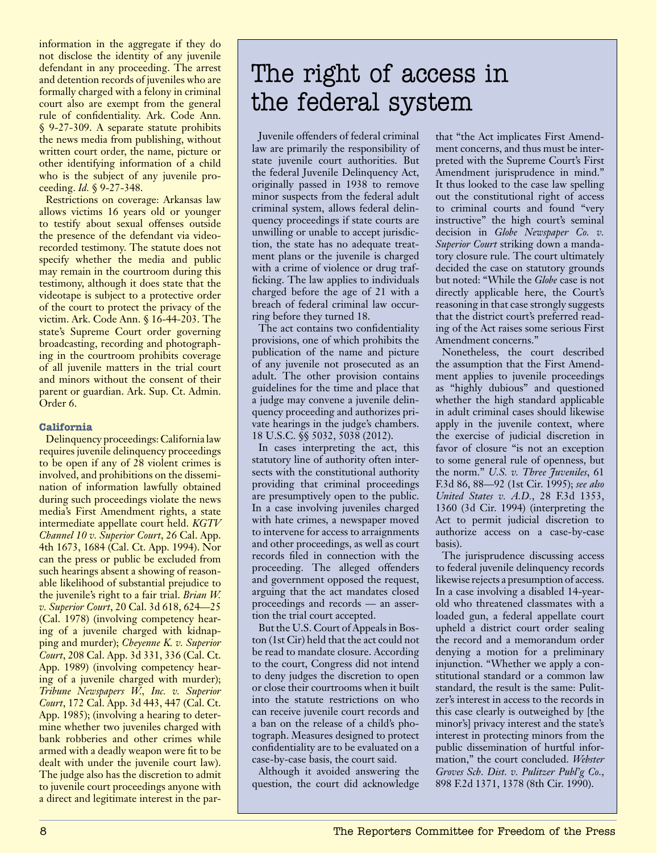information in the aggregate if they do not disclose the identity of any juvenile defendant in any proceeding. The arrest and detention records of juveniles who are formally charged with a felony in criminal court also are exempt from the general rule of confidentiality. Ark. Code Ann. § 9-27-309. A separate statute prohibits the news media from publishing, without written court order, the name, picture or other identifying information of a child who is the subject of any juvenile proceeding. *Id.* § 9-27-348.

Restrictions on coverage: Arkansas law allows victims 16 years old or younger to testify about sexual offenses outside the presence of the defendant via videorecorded testimony. The statute does not specify whether the media and public may remain in the courtroom during this testimony, although it does state that the videotape is subject to a protective order of the court to protect the privacy of the victim. Ark. Code Ann. § 16-44-203. The state's Supreme Court order governing broadcasting, recording and photographing in the courtroom prohibits coverage of all juvenile matters in the trial court and minors without the consent of their parent or guardian. Ark. Sup. Ct. Admin. Order 6.

## **California**

Delinquency proceedings: California law requires juvenile delinquency proceedings to be open if any of 28 violent crimes is involved, and prohibitions on the dissemination of information lawfully obtained during such proceedings violate the news media's First Amendment rights, a state intermediate appellate court held. *KGTV Channel 10 v. Superior Court*, 26 Cal. App. 4th 1673, 1684 (Cal. Ct. App. 1994). Nor can the press or public be excluded from such hearings absent a showing of reasonable likelihood of substantial prejudice to the juvenile's right to a fair trial. *Brian W. v. Superior Court*, 20 Cal. 3d 618, 624—25 (Cal. 1978) (involving competency hearing of a juvenile charged with kidnapping and murder); *Cheyenne K. v. Superior Court*, 208 Cal. App. 3d 331, 336 (Cal. Ct. App. 1989) (involving competency hearing of a juvenile charged with murder); *Tribune Newspapers W., Inc. v. Superior Court*, 172 Cal. App. 3d 443, 447 (Cal. Ct. App. 1985); (involving a hearing to determine whether two juveniles charged with bank robberies and other crimes while armed with a deadly weapon were fit to be dealt with under the juvenile court law). The judge also has the discretion to admit to juvenile court proceedings anyone with a direct and legitimate interest in the par-

## The right of access in the federal system

Juvenile offenders of federal criminal law are primarily the responsibility of state juvenile court authorities. But the federal Juvenile Delinquency Act, originally passed in 1938 to remove minor suspects from the federal adult criminal system, allows federal delinquency proceedings if state courts are unwilling or unable to accept jurisdiction, the state has no adequate treatment plans or the juvenile is charged with a crime of violence or drug trafficking. The law applies to individuals charged before the age of 21 with a breach of federal criminal law occurring before they turned 18.

The act contains two confidentiality provisions, one of which prohibits the publication of the name and picture of any juvenile not prosecuted as an adult. The other provision contains guidelines for the time and place that a judge may convene a juvenile delinquency proceeding and authorizes private hearings in the judge's chambers. 18 U.S.C. §§ 5032, 5038 (2012).

In cases interpreting the act, this statutory line of authority often intersects with the constitutional authority providing that criminal proceedings are presumptively open to the public. In a case involving juveniles charged with hate crimes, a newspaper moved to intervene for access to arraignments and other proceedings, as well as court records filed in connection with the proceeding. The alleged offenders and government opposed the request, arguing that the act mandates closed proceedings and records — an assertion the trial court accepted.

But the U.S. Court of Appeals in Boston (1st Cir) held that the act could not be read to mandate closure. According to the court, Congress did not intend to deny judges the discretion to open or close their courtrooms when it built into the statute restrictions on who can receive juvenile court records and a ban on the release of a child's photograph. Measures designed to protect confidentiality are to be evaluated on a case-by-case basis, the court said.

Although it avoided answering the question, the court did acknowledge that "the Act implicates First Amendment concerns, and thus must be interpreted with the Supreme Court's First Amendment jurisprudence in mind." It thus looked to the case law spelling out the constitutional right of access to criminal courts and found "very instructive" the high court's seminal decision in *Globe Newspaper Co. v. Superior Court* striking down a mandatory closure rule. The court ultimately decided the case on statutory grounds but noted: "While the *Globe* case is not directly applicable here, the Court's reasoning in that case strongly suggests that the district court's preferred reading of the Act raises some serious First Amendment concerns."

Nonetheless, the court described the assumption that the First Amendment applies to juvenile proceedings as "highly dubious" and questioned whether the high standard applicable in adult criminal cases should likewise apply in the juvenile context, where the exercise of judicial discretion in favor of closure "is not an exception to some general rule of openness, but the norm." *U.S. v. Three Juveniles*, 61 F.3d 86, 88—92 (1st Cir. 1995); *see also United States v. A.D.*, 28 F.3d 1353, 1360 (3d Cir. 1994) (interpreting the Act to permit judicial discretion to authorize access on a case-by-case basis).

The jurisprudence discussing access to federal juvenile delinquency records likewise rejects a presumption of access. In a case involving a disabled 14-yearold who threatened classmates with a loaded gun, a federal appellate court upheld a district court order sealing the record and a memorandum order denying a motion for a preliminary injunction. "Whether we apply a constitutional standard or a common law standard, the result is the same: Pulitzer's interest in access to the records in this case clearly is outweighed by [the minor's] privacy interest and the state's interest in protecting minors from the public dissemination of hurtful information," the court concluded. *Webster Groves Sch. Dist. v. Pulitzer Publ'g Co.*, 898 F.2d 1371, 1378 (8th Cir. 1990).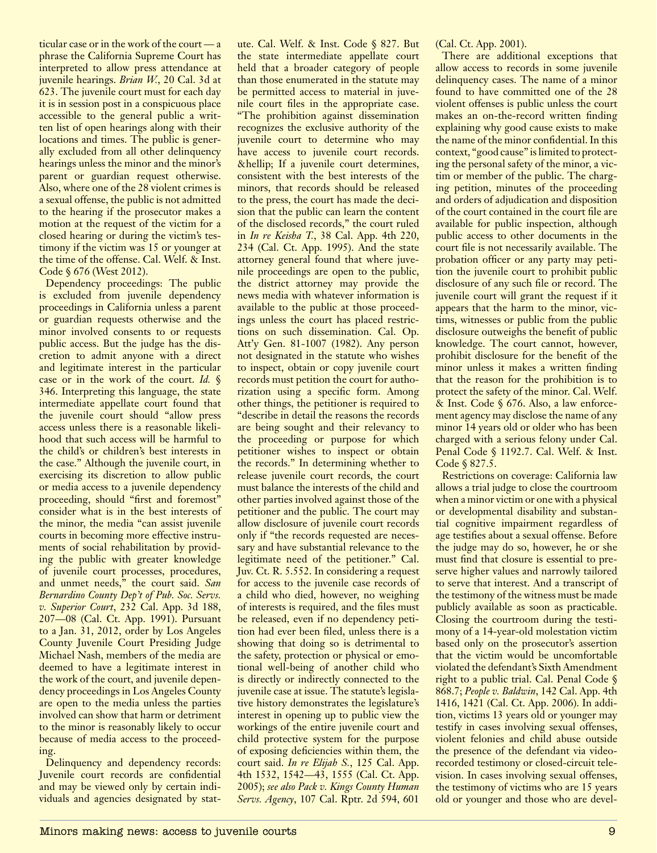ticular case or in the work of the court — a phrase the California Supreme Court has interpreted to allow press attendance at juvenile hearings. *Brian W.*, 20 Cal. 3d at 623. The juvenile court must for each day it is in session post in a conspicuous place accessible to the general public a written list of open hearings along with their locations and times. The public is generally excluded from all other delinquency hearings unless the minor and the minor's parent or guardian request otherwise. Also, where one of the 28 violent crimes is a sexual offense, the public is not admitted to the hearing if the prosecutor makes a motion at the request of the victim for a closed hearing or during the victim's testimony if the victim was 15 or younger at the time of the offense. Cal. Welf. & Inst. Code § 676 (West 2012).

Dependency proceedings: The public is excluded from juvenile dependency proceedings in California unless a parent or guardian requests otherwise and the minor involved consents to or requests public access. But the judge has the discretion to admit anyone with a direct and legitimate interest in the particular case or in the work of the court. *Id.* § 346. Interpreting this language, the state intermediate appellate court found that the juvenile court should "allow press access unless there is a reasonable likelihood that such access will be harmful to the child's or children's best interests in the case." Although the juvenile court, in exercising its discretion to allow public or media access to a juvenile dependency proceeding, should "first and foremost" consider what is in the best interests of the minor, the media "can assist juvenile courts in becoming more effective instruments of social rehabilitation by providing the public with greater knowledge of juvenile court processes, procedures, and unmet needs," the court said. *San Bernardino County Dep't of Pub. Soc. Servs. v. Superior Court*, 232 Cal. App. 3d 188, 207—08 (Cal. Ct. App. 1991). Pursuant to a Jan. 31, 2012, order by Los Angeles County Juvenile Court Presiding Judge Michael Nash, members of the media are deemed to have a legitimate interest in the work of the court, and juvenile dependency proceedings in Los Angeles County are open to the media unless the parties involved can show that harm or detriment to the minor is reasonably likely to occur because of media access to the proceeding.

Delinquency and dependency records: Juvenile court records are confidential and may be viewed only by certain individuals and agencies designated by statute. Cal. Welf. & Inst. Code § 827. But the state intermediate appellate court held that a broader category of people than those enumerated in the statute may be permitted access to material in juvenile court files in the appropriate case. "The prohibition against dissemination recognizes the exclusive authority of the juvenile court to determine who may have access to juvenile court records. … If a juvenile court determines, consistent with the best interests of the minors, that records should be released to the press, the court has made the decision that the public can learn the content of the disclosed records," the court ruled in *In re Keisha T.*, 38 Cal. App. 4th 220, 234 (Cal. Ct. App. 1995). And the state attorney general found that where juvenile proceedings are open to the public, the district attorney may provide the news media with whatever information is available to the public at those proceedings unless the court has placed restrictions on such dissemination. Cal. Op. Att'y Gen. 81-1007 (1982). Any person not designated in the statute who wishes to inspect, obtain or copy juvenile court records must petition the court for authorization using a specific form. Among other things, the petitioner is required to "describe in detail the reasons the records are being sought and their relevancy to the proceeding or purpose for which petitioner wishes to inspect or obtain the records." In determining whether to release juvenile court records, the court must balance the interests of the child and other parties involved against those of the petitioner and the public. The court may allow disclosure of juvenile court records only if "the records requested are necessary and have substantial relevance to the legitimate need of the petitioner." Cal. Juv. Ct. R. 5.552. In considering a request for access to the juvenile case records of a child who died, however, no weighing of interests is required, and the files must be released, even if no dependency petition had ever been filed, unless there is a showing that doing so is detrimental to the safety, protection or physical or emotional well-being of another child who is directly or indirectly connected to the juvenile case at issue. The statute's legislative history demonstrates the legislature's interest in opening up to public view the workings of the entire juvenile court and child protective system for the purpose of exposing deficiencies within them, the court said. *In re Elijah S.*, 125 Cal. App. 4th 1532, 1542—43, 1555 (Cal. Ct. App. 2005); *see also Pack v. Kings County Human Servs. Agency*, 107 Cal. Rptr. 2d 594, 601

(Cal. Ct. App. 2001).

There are additional exceptions that allow access to records in some juvenile delinquency cases. The name of a minor found to have committed one of the 28 violent offenses is public unless the court makes an on-the-record written finding explaining why good cause exists to make the name of the minor confidential. In this context, "good cause" is limited to protecting the personal safety of the minor, a victim or member of the public. The charging petition, minutes of the proceeding and orders of adjudication and disposition of the court contained in the court file are available for public inspection, although public access to other documents in the court file is not necessarily available. The probation officer or any party may petition the juvenile court to prohibit public disclosure of any such file or record. The juvenile court will grant the request if it appears that the harm to the minor, victims, witnesses or public from the public disclosure outweighs the benefit of public knowledge. The court cannot, however, prohibit disclosure for the benefit of the minor unless it makes a written finding that the reason for the prohibition is to protect the safety of the minor. Cal. Welf. & Inst. Code § 676. Also, a law enforcement agency may disclose the name of any minor 14 years old or older who has been charged with a serious felony under Cal. Penal Code § 1192.7. Cal. Welf. & Inst. Code § 827.5.

Restrictions on coverage: California law allows a trial judge to close the courtroom when a minor victim or one with a physical or developmental disability and substantial cognitive impairment regardless of age testifies about a sexual offense. Before the judge may do so, however, he or she must find that closure is essential to preserve higher values and narrowly tailored to serve that interest. And a transcript of the testimony of the witness must be made publicly available as soon as practicable. Closing the courtroom during the testimony of a 14-year-old molestation victim based only on the prosecutor's assertion that the victim would be uncomfortable violated the defendant's Sixth Amendment right to a public trial. Cal. Penal Code § 868.7; *People v. Baldwin*, 142 Cal. App. 4th 1416, 1421 (Cal. Ct. App. 2006). In addition, victims 13 years old or younger may testify in cases involving sexual offenses, violent felonies and child abuse outside the presence of the defendant via videorecorded testimony or closed-circuit television. In cases involving sexual offenses, the testimony of victims who are 15 years old or younger and those who are devel-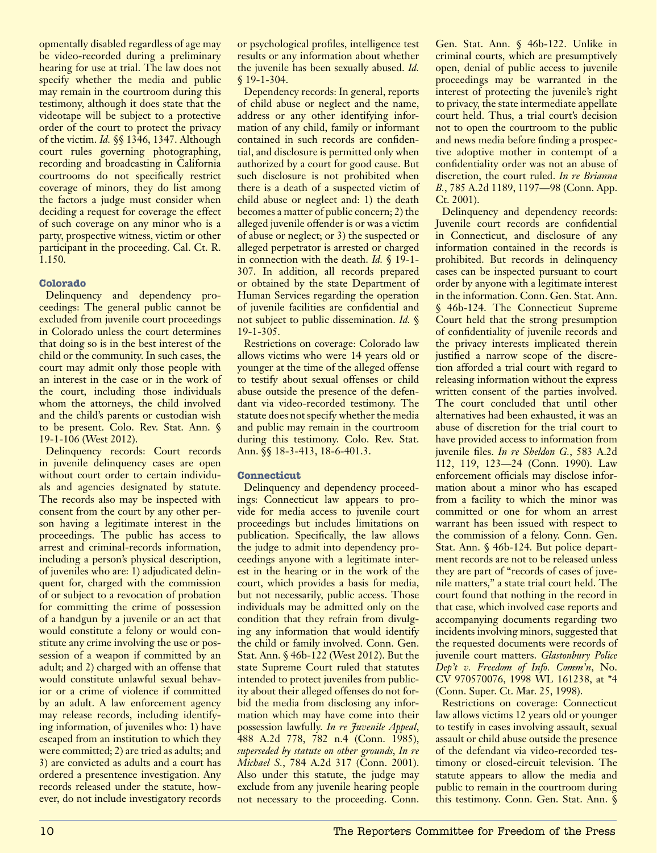opmentally disabled regardless of age may be video-recorded during a preliminary hearing for use at trial. The law does not specify whether the media and public may remain in the courtroom during this testimony, although it does state that the videotape will be subject to a protective order of the court to protect the privacy of the victim. *Id.* §§ 1346, 1347. Although court rules governing photographing, recording and broadcasting in California courtrooms do not specifically restrict coverage of minors, they do list among the factors a judge must consider when deciding a request for coverage the effect of such coverage on any minor who is a party, prospective witness, victim or other participant in the proceeding. Cal. Ct. R. 1.150.

## **Colorado**

Delinquency and dependency proceedings: The general public cannot be excluded from juvenile court proceedings in Colorado unless the court determines that doing so is in the best interest of the child or the community. In such cases, the court may admit only those people with an interest in the case or in the work of the court, including those individuals whom the attorneys, the child involved and the child's parents or custodian wish to be present. Colo. Rev. Stat. Ann. § 19-1-106 (West 2012).

Delinquency records: Court records in juvenile delinquency cases are open without court order to certain individuals and agencies designated by statute. The records also may be inspected with consent from the court by any other person having a legitimate interest in the proceedings. The public has access to arrest and criminal-records information, including a person's physical description, of juveniles who are: 1) adjudicated delinquent for, charged with the commission of or subject to a revocation of probation for committing the crime of possession of a handgun by a juvenile or an act that would constitute a felony or would constitute any crime involving the use or possession of a weapon if committed by an adult; and 2) charged with an offense that would constitute unlawful sexual behavior or a crime of violence if committed by an adult. A law enforcement agency may release records, including identifying information, of juveniles who: 1) have escaped from an institution to which they were committed; 2) are tried as adults; and 3) are convicted as adults and a court has ordered a presentence investigation. Any records released under the statute, however, do not include investigatory records

or psychological profiles, intelligence test results or any information about whether the juvenile has been sexually abused. *Id.* § 19-1-304.

Dependency records: In general, reports of child abuse or neglect and the name, address or any other identifying information of any child, family or informant contained in such records are confidential, and disclosure is permitted only when authorized by a court for good cause. But such disclosure is not prohibited when there is a death of a suspected victim of child abuse or neglect and: 1) the death becomes a matter of public concern; 2) the alleged juvenile offender is or was a victim of abuse or neglect; or 3) the suspected or alleged perpetrator is arrested or charged in connection with the death. *Id.* § 19-1- 307. In addition, all records prepared or obtained by the state Department of Human Services regarding the operation of juvenile facilities are confidential and not subject to public dissemination. *Id.* § 19-1-305.

Restrictions on coverage: Colorado law allows victims who were 14 years old or younger at the time of the alleged offense to testify about sexual offenses or child abuse outside the presence of the defendant via video-recorded testimony. The statute does not specify whether the media and public may remain in the courtroom during this testimony. Colo. Rev. Stat. Ann. §§ 18-3-413, 18-6-401.3.

## **Connecticut**

Delinquency and dependency proceedings: Connecticut law appears to provide for media access to juvenile court proceedings but includes limitations on publication. Specifically, the law allows the judge to admit into dependency proceedings anyone with a legitimate interest in the hearing or in the work of the court, which provides a basis for media, but not necessarily, public access. Those individuals may be admitted only on the condition that they refrain from divulging any information that would identify the child or family involved. Conn. Gen. Stat. Ann. § 46b-122 (West 2012). But the state Supreme Court ruled that statutes intended to protect juveniles from publicity about their alleged offenses do not forbid the media from disclosing any information which may have come into their possession lawfully. *In re Juvenile Appeal*, 488 A.2d 778, 782 n.4 (Conn. 1985), *superseded by statute on other grounds*, *In re Michael S.*, 784 A.2d 317 (Conn. 2001). Also under this statute, the judge may exclude from any juvenile hearing people not necessary to the proceeding. Conn. Gen. Stat. Ann. § 46b-122. Unlike in criminal courts, which are presumptively open, denial of public access to juvenile proceedings may be warranted in the interest of protecting the juvenile's right to privacy, the state intermediate appellate court held. Thus, a trial court's decision not to open the courtroom to the public and news media before finding a prospective adoptive mother in contempt of a confidentiality order was not an abuse of discretion, the court ruled. *In re Brianna B.*, 785 A.2d 1189, 1197—98 (Conn. App. Ct. 2001).

Delinquency and dependency records: Juvenile court records are confidential in Connecticut, and disclosure of any information contained in the records is prohibited. But records in delinquency cases can be inspected pursuant to court order by anyone with a legitimate interest in the information. Conn. Gen. Stat. Ann. § 46b-124. The Connecticut Supreme Court held that the strong presumption of confidentiality of juvenile records and the privacy interests implicated therein justified a narrow scope of the discretion afforded a trial court with regard to releasing information without the express written consent of the parties involved. The court concluded that until other alternatives had been exhausted, it was an abuse of discretion for the trial court to have provided access to information from juvenile files. *In re Sheldon G.*, 583 A.2d 112, 119, 123—24 (Conn. 1990). Law enforcement officials may disclose information about a minor who has escaped from a facility to which the minor was committed or one for whom an arrest warrant has been issued with respect to the commission of a felony. Conn. Gen. Stat. Ann. § 46b-124. But police department records are not to be released unless they are part of "records of cases of juvenile matters," a state trial court held. The court found that nothing in the record in that case, which involved case reports and accompanying documents regarding two incidents involving minors, suggested that the requested documents were records of juvenile court matters. *Glastonbury Police Dep't v. Freedom of Info. Comm'n*, No.  $C\bar{V}$  970570076, 1998 WL 161238, at \*4 (Conn. Super. Ct. Mar. 25, 1998).

Restrictions on coverage: Connecticut law allows victims 12 years old or younger to testify in cases involving assault, sexual assault or child abuse outside the presence of the defendant via video-recorded testimony or closed-circuit television. The statute appears to allow the media and public to remain in the courtroom during this testimony. Conn. Gen. Stat. Ann. §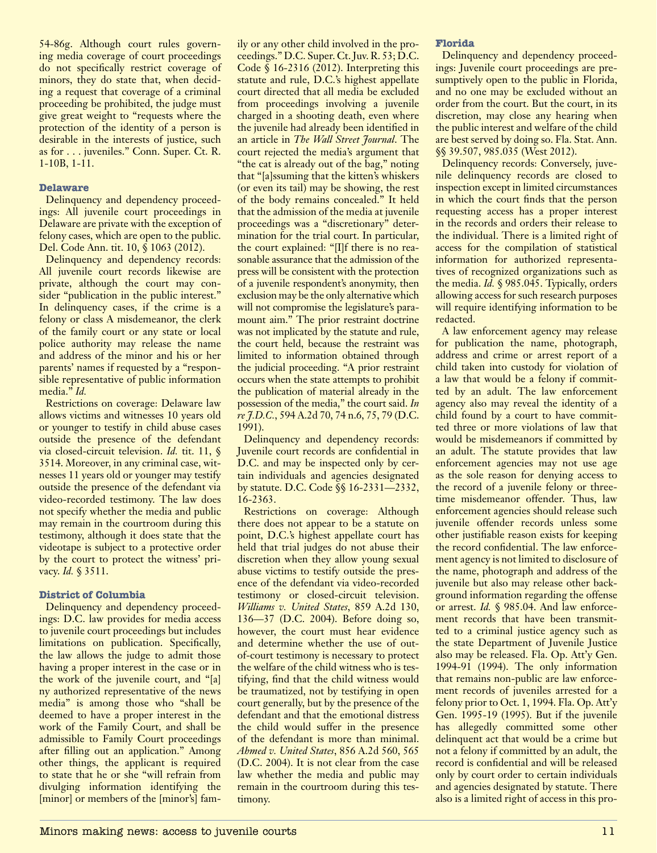54-86g. Although court rules governing media coverage of court proceedings do not specifically restrict coverage of minors, they do state that, when deciding a request that coverage of a criminal proceeding be prohibited, the judge must give great weight to "requests where the protection of the identity of a person is desirable in the interests of justice, such as for . . . juveniles." Conn. Super. Ct. R. 1-10B, 1-11.

## **Delaware**

Delinquency and dependency proceedings: All juvenile court proceedings in Delaware are private with the exception of felony cases, which are open to the public. Del. Code Ann. tit. 10, § 1063 (2012).

Delinquency and dependency records: All juvenile court records likewise are private, although the court may consider "publication in the public interest." In delinquency cases, if the crime is a felony or class A misdemeanor, the clerk of the family court or any state or local police authority may release the name and address of the minor and his or her parents' names if requested by a "responsible representative of public information media." *Id.*

Restrictions on coverage: Delaware law allows victims and witnesses 10 years old or younger to testify in child abuse cases outside the presence of the defendant via closed-circuit television. *Id.* tit. 11, § 3514. Moreover, in any criminal case, witnesses 11 years old or younger may testify outside the presence of the defendant via video-recorded testimony. The law does not specify whether the media and public may remain in the courtroom during this testimony, although it does state that the videotape is subject to a protective order by the court to protect the witness' privacy. *Id.* § 3511.

## **District of Columbia**

Delinquency and dependency proceedings: D.C. law provides for media access to juvenile court proceedings but includes limitations on publication. Specifically, the law allows the judge to admit those having a proper interest in the case or in the work of the juvenile court, and "[a] ny authorized representative of the news media" is among those who "shall be deemed to have a proper interest in the work of the Family Court, and shall be admissible to Family Court proceedings after filling out an application." Among other things, the applicant is required to state that he or she "will refrain from divulging information identifying the [minor] or members of the [minor's] family or any other child involved in the proceedings." D.C. Super. Ct. Juv. R. 53; D.C. Code § 16-2316 (2012). Interpreting this statute and rule, D.C.'s highest appellate court directed that all media be excluded from proceedings involving a juvenile charged in a shooting death, even where the juvenile had already been identified in an article in *The Wall Street Journal*. The court rejected the media's argument that "the cat is already out of the bag," noting that "[a]ssuming that the kitten's whiskers (or even its tail) may be showing, the rest of the body remains concealed." It held that the admission of the media at juvenile proceedings was a "discretionary" determination for the trial court. In particular, the court explained: "[I]f there is no reasonable assurance that the admission of the press will be consistent with the protection of a juvenile respondent's anonymity, then exclusion may be the only alternative which will not compromise the legislature's paramount aim." The prior restraint doctrine was not implicated by the statute and rule, the court held, because the restraint was limited to information obtained through the judicial proceeding. "A prior restraint occurs when the state attempts to prohibit the publication of material already in the possession of the media," the court said. *In re J.D.C.*, 594 A.2d 70, 74 n.6, 75, 79 (D.C. 1991).

Delinquency and dependency records: Juvenile court records are confidential in D.C. and may be inspected only by certain individuals and agencies designated by statute. D.C. Code §§ 16-2331—2332, 16-2363.

Restrictions on coverage: Although there does not appear to be a statute on point, D.C.'s highest appellate court has held that trial judges do not abuse their discretion when they allow young sexual abuse victims to testify outside the presence of the defendant via video-recorded testimony or closed-circuit television. *Williams v. United States*, 859 A.2d 130, 136—37 (D.C. 2004). Before doing so, however, the court must hear evidence and determine whether the use of outof-court testimony is necessary to protect the welfare of the child witness who is testifying, find that the child witness would be traumatized, not by testifying in open court generally, but by the presence of the defendant and that the emotional distress the child would suffer in the presence of the defendant is more than minimal. *Ahmed v. United States*, 856 A.2d 560, 565 (D.C. 2004). It is not clear from the case law whether the media and public may remain in the courtroom during this testimony.

## **Florida**

Delinquency and dependency proceedings: Juvenile court proceedings are presumptively open to the public in Florida, and no one may be excluded without an order from the court. But the court, in its discretion, may close any hearing when the public interest and welfare of the child are best served by doing so. Fla. Stat. Ann. §§ 39.507, 985.035 (West 2012).

Delinquency records: Conversely, juvenile delinquency records are closed to inspection except in limited circumstances in which the court finds that the person requesting access has a proper interest in the records and orders their release to the individual. There is a limited right of access for the compilation of statistical information for authorized representatives of recognized organizations such as the media. *Id.* § 985.045. Typically, orders allowing access for such research purposes will require identifying information to be redacted.

A law enforcement agency may release for publication the name, photograph, address and crime or arrest report of a child taken into custody for violation of a law that would be a felony if committed by an adult. The law enforcement agency also may reveal the identity of a child found by a court to have committed three or more violations of law that would be misdemeanors if committed by an adult. The statute provides that law enforcement agencies may not use age as the sole reason for denying access to the record of a juvenile felony or threetime misdemeanor offender. Thus, law enforcement agencies should release such juvenile offender records unless some other justifiable reason exists for keeping the record confidential. The law enforcement agency is not limited to disclosure of the name, photograph and address of the juvenile but also may release other background information regarding the offense or arrest. *Id.* § 985.04. And law enforcement records that have been transmitted to a criminal justice agency such as the state Department of Juvenile Justice also may be released. Fla. Op. Att'y Gen. 1994-91 (1994). The only information that remains non-public are law enforcement records of juveniles arrested for a felony prior to Oct. 1, 1994. Fla. Op. Att'y Gen. 1995-19 (1995). But if the juvenile has allegedly committed some other delinquent act that would be a crime but not a felony if committed by an adult, the record is confidential and will be released only by court order to certain individuals and agencies designated by statute. There also is a limited right of access in this pro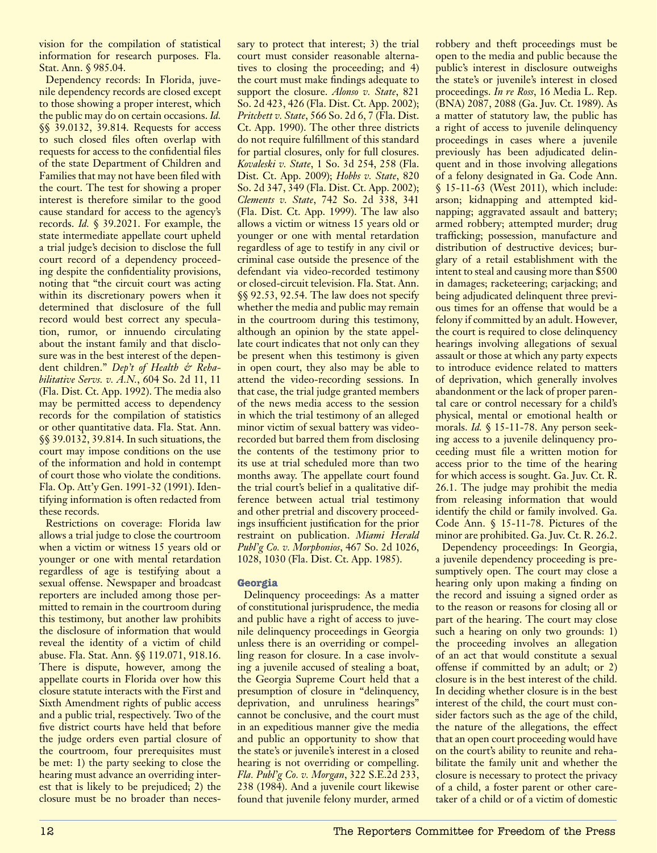vision for the compilation of statistical information for research purposes. Fla. Stat. Ann. § 985.04.

Dependency records: In Florida, juvenile dependency records are closed except to those showing a proper interest, which the public may do on certain occasions. *Id.* §§ 39.0132, 39.814. Requests for access to such closed files often overlap with requests for access to the confidential files of the state Department of Children and Families that may not have been filed with the court. The test for showing a proper interest is therefore similar to the good cause standard for access to the agency's records. *Id.* § 39.2021. For example, the state intermediate appellate court upheld a trial judge's decision to disclose the full court record of a dependency proceeding despite the confidentiality provisions, noting that "the circuit court was acting within its discretionary powers when it determined that disclosure of the full record would best correct any speculation, rumor, or innuendo circulating about the instant family and that disclosure was in the best interest of the dependent children." *Dep't of Health & Rehabilitative Servs. v. A.N.*, 604 So. 2d 11, 11 (Fla. Dist. Ct. App. 1992). The media also may be permitted access to dependency records for the compilation of statistics or other quantitative data. Fla. Stat. Ann. §§ 39.0132, 39.814. In such situations, the court may impose conditions on the use of the information and hold in contempt of court those who violate the conditions. Fla. Op. Att'y Gen. 1991-32 (1991). Identifying information is often redacted from these records.

Restrictions on coverage: Florida law allows a trial judge to close the courtroom when a victim or witness 15 years old or younger or one with mental retardation regardless of age is testifying about a sexual offense. Newspaper and broadcast reporters are included among those permitted to remain in the courtroom during this testimony, but another law prohibits the disclosure of information that would reveal the identity of a victim of child abuse. Fla. Stat. Ann. §§ 119.071, 918.16. There is dispute, however, among the appellate courts in Florida over how this closure statute interacts with the First and Sixth Amendment rights of public access and a public trial, respectively. Two of the five district courts have held that before the judge orders even partial closure of the courtroom, four prerequisites must be met: 1) the party seeking to close the hearing must advance an overriding interest that is likely to be prejudiced; 2) the closure must be no broader than necessary to protect that interest; 3) the trial court must consider reasonable alternatives to closing the proceeding; and 4) the court must make findings adequate to support the closure. *Alonso v. State*, 821 So. 2d 423, 426 (Fla. Dist. Ct. App. 2002); *Pritchett v. State*, 566 So. 2d 6, 7 (Fla. Dist. Ct. App. 1990). The other three districts do not require fulfillment of this standard for partial closures, only for full closures. *Kovaleski v. State*, 1 So. 3d 254, 258 (Fla. Dist. Ct. App. 2009); *Hobbs v. State*, 820 So. 2d 347, 349 (Fla. Dist. Ct. App. 2002); *Clements v. State*, 742 So. 2d 338, 341 (Fla. Dist. Ct. App. 1999). The law also allows a victim or witness 15 years old or younger or one with mental retardation regardless of age to testify in any civil or criminal case outside the presence of the defendant via video-recorded testimony or closed-circuit television. Fla. Stat. Ann. §§ 92.53, 92.54. The law does not specify whether the media and public may remain in the courtroom during this testimony, although an opinion by the state appellate court indicates that not only can they be present when this testimony is given in open court, they also may be able to attend the video-recording sessions. In that case, the trial judge granted members of the news media access to the session in which the trial testimony of an alleged minor victim of sexual battery was videorecorded but barred them from disclosing the contents of the testimony prior to its use at trial scheduled more than two months away. The appellate court found the trial court's belief in a qualitative difference between actual trial testimony and other pretrial and discovery proceedings insufficient justification for the prior restraint on publication. *Miami Herald Publ'g Co. v. Morphonios*, 467 So. 2d 1026, 1028, 1030 (Fla. Dist. Ct. App. 1985).

## **Georgia**

Delinquency proceedings: As a matter of constitutional jurisprudence, the media and public have a right of access to juvenile delinquency proceedings in Georgia unless there is an overriding or compelling reason for closure. In a case involving a juvenile accused of stealing a boat, the Georgia Supreme Court held that a presumption of closure in "delinquency, deprivation, and unruliness hearings" cannot be conclusive, and the court must in an expeditious manner give the media and public an opportunity to show that the state's or juvenile's interest in a closed hearing is not overriding or compelling. *Fla. Publ'g Co. v. Morgan*, 322 S.E.2d 233, 238 (1984). And a juvenile court likewise found that juvenile felony murder, armed

robbery and theft proceedings must be open to the media and public because the public's interest in disclosure outweighs the state's or juvenile's interest in closed proceedings. *In re Ross*, 16 Media L. Rep. (BNA) 2087, 2088 (Ga. Juv. Ct. 1989). As a matter of statutory law, the public has a right of access to juvenile delinquency proceedings in cases where a juvenile previously has been adjudicated delinquent and in those involving allegations of a felony designated in Ga. Code Ann. § 15-11-63 (West 2011), which include: arson; kidnapping and attempted kidnapping; aggravated assault and battery; armed robbery; attempted murder; drug trafficking; possession, manufacture and distribution of destructive devices; burglary of a retail establishment with the intent to steal and causing more than \$500 in damages; racketeering; carjacking; and being adjudicated delinquent three previous times for an offense that would be a felony if committed by an adult. However, the court is required to close delinquency hearings involving allegations of sexual assault or those at which any party expects to introduce evidence related to matters of deprivation, which generally involves abandonment or the lack of proper parental care or control necessary for a child's physical, mental or emotional health or morals. *Id.* § 15-11-78. Any person seeking access to a juvenile delinquency proceeding must file a written motion for access prior to the time of the hearing for which access is sought. Ga. Juv. Ct. R. 26.1. The judge may prohibit the media from releasing information that would identify the child or family involved. Ga. Code Ann. § 15-11-78. Pictures of the minor are prohibited. Ga. Juv. Ct. R. 26.2.

Dependency proceedings: In Georgia, a juvenile dependency proceeding is presumptively open. The court may close a hearing only upon making a finding on the record and issuing a signed order as to the reason or reasons for closing all or part of the hearing. The court may close such a hearing on only two grounds: 1) the proceeding involves an allegation of an act that would constitute a sexual offense if committed by an adult; or 2) closure is in the best interest of the child. In deciding whether closure is in the best interest of the child, the court must consider factors such as the age of the child, the nature of the allegations, the effect that an open court proceeding would have on the court's ability to reunite and rehabilitate the family unit and whether the closure is necessary to protect the privacy of a child, a foster parent or other caretaker of a child or of a victim of domestic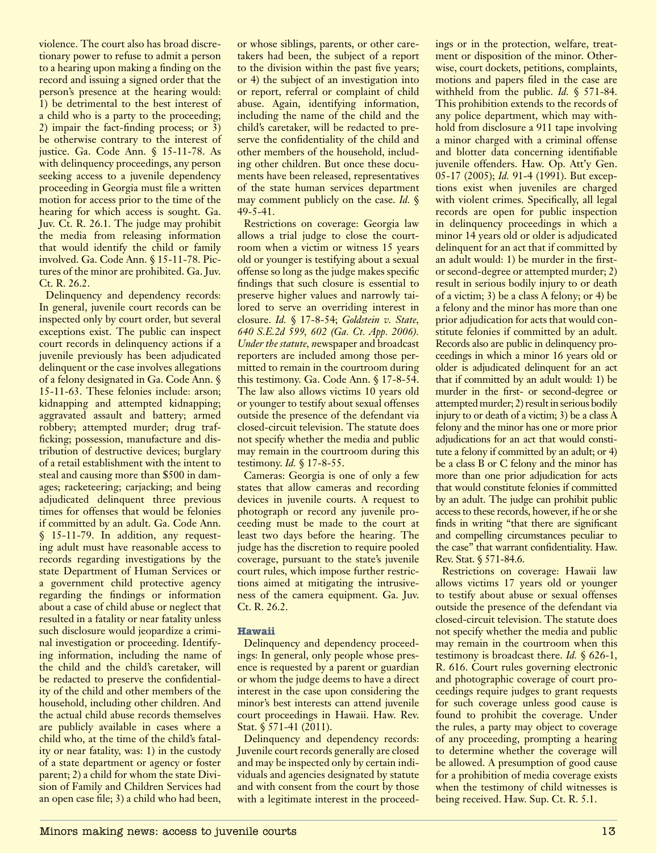violence. The court also has broad discretionary power to refuse to admit a person to a hearing upon making a finding on the record and issuing a signed order that the person's presence at the hearing would: 1) be detrimental to the best interest of a child who is a party to the proceeding; 2) impair the fact-finding process; or 3) be otherwise contrary to the interest of justice. Ga. Code Ann. § 15-11-78. As with delinquency proceedings, any person seeking access to a juvenile dependency proceeding in Georgia must file a written motion for access prior to the time of the hearing for which access is sought. Ga. Juv. Ct. R. 26.1. The judge may prohibit the media from releasing information that would identify the child or family involved. Ga. Code Ann. § 15-11-78. Pictures of the minor are prohibited. Ga. Juv. Ct. R. 26.2.

Delinquency and dependency records: In general, juvenile court records can be inspected only by court order, but several exceptions exist. The public can inspect court records in delinquency actions if a juvenile previously has been adjudicated delinquent or the case involves allegations of a felony designated in Ga. Code Ann. § 15-11-63. These felonies include: arson; kidnapping and attempted kidnapping; aggravated assault and battery; armed robbery; attempted murder; drug trafficking; possession, manufacture and distribution of destructive devices; burglary of a retail establishment with the intent to steal and causing more than \$500 in damages; racketeering; carjacking; and being adjudicated delinquent three previous times for offenses that would be felonies if committed by an adult. Ga. Code Ann. § 15-11-79. In addition, any requesting adult must have reasonable access to records regarding investigations by the state Department of Human Services or a government child protective agency regarding the findings or information about a case of child abuse or neglect that resulted in a fatality or near fatality unless such disclosure would jeopardize a criminal investigation or proceeding. Identifying information, including the name of the child and the child's caretaker, will be redacted to preserve the confidentiality of the child and other members of the household, including other children. And the actual child abuse records themselves are publicly available in cases where a child who, at the time of the child's fatality or near fatality, was: 1) in the custody of a state department or agency or foster parent; 2) a child for whom the state Division of Family and Children Services had an open case file; 3) a child who had been,

or whose siblings, parents, or other caretakers had been, the subject of a report to the division within the past five years; or 4) the subject of an investigation into or report, referral or complaint of child abuse. Again, identifying information, including the name of the child and the child's caretaker, will be redacted to preserve the confidentiality of the child and other members of the household, including other children. But once these documents have been released, representatives of the state human services department may comment publicly on the case. *Id.* § 49-5-41.

Restrictions on coverage: Georgia law allows a trial judge to close the courtroom when a victim or witness 15 years old or younger is testifying about a sexual offense so long as the judge makes specific findings that such closure is essential to preserve higher values and narrowly tailored to serve an overriding interest in closure. *Id.* § 17-8-54; *Goldstein v. State, 640 S.E.2d 599, 602 (Ga. Ct. App. 2006). Under the statute, n*ewspaper and broadcast reporters are included among those permitted to remain in the courtroom during this testimony. Ga. Code Ann. § 17-8-54. The law also allows victims 10 years old or younger to testify about sexual offenses outside the presence of the defendant via closed-circuit television. The statute does not specify whether the media and public may remain in the courtroom during this testimony. *Id.* § 17-8-55.

Cameras: Georgia is one of only a few states that allow cameras and recording devices in juvenile courts. A request to photograph or record any juvenile proceeding must be made to the court at least two days before the hearing. The judge has the discretion to require pooled coverage, pursuant to the state's juvenile court rules, which impose further restrictions aimed at mitigating the intrusiveness of the camera equipment. Ga. Juv. Ct. R. 26.2.

## **Hawaii**

Delinquency and dependency proceedings: In general, only people whose presence is requested by a parent or guardian or whom the judge deems to have a direct interest in the case upon considering the minor's best interests can attend juvenile court proceedings in Hawaii. Haw. Rev. Stat. § 571-41 (2011).

Delinquency and dependency records: Juvenile court records generally are closed and may be inspected only by certain individuals and agencies designated by statute and with consent from the court by those with a legitimate interest in the proceedings or in the protection, welfare, treatment or disposition of the minor. Otherwise, court dockets, petitions, complaints, motions and papers filed in the case are withheld from the public. *Id.* § 571-84. This prohibition extends to the records of any police department, which may withhold from disclosure a 911 tape involving a minor charged with a criminal offense and blotter data concerning identifiable juvenile offenders. Haw. Op. Att'y Gen. 05-17 (2005); *Id.* 91-4 (1991). But exceptions exist when juveniles are charged with violent crimes. Specifically, all legal records are open for public inspection in delinquency proceedings in which a minor 14 years old or older is adjudicated delinquent for an act that if committed by an adult would: 1) be murder in the firstor second-degree or attempted murder; 2) result in serious bodily injury to or death of a victim; 3) be a class A felony; or 4) be a felony and the minor has more than one prior adjudication for acts that would constitute felonies if committed by an adult. Records also are public in delinquency proceedings in which a minor 16 years old or older is adjudicated delinquent for an act that if committed by an adult would: 1) be murder in the first- or second-degree or attempted murder; 2) result in serious bodily injury to or death of a victim; 3) be a class A felony and the minor has one or more prior adjudications for an act that would constitute a felony if committed by an adult; or 4) be a class B or C felony and the minor has more than one prior adjudication for acts that would constitute felonies if committed by an adult. The judge can prohibit public access to these records, however, if he or she finds in writing "that there are significant and compelling circumstances peculiar to the case" that warrant confidentiality. Haw. Rev. Stat. § 571-84.6.

Restrictions on coverage: Hawaii law allows victims 17 years old or younger to testify about abuse or sexual offenses outside the presence of the defendant via closed-circuit television. The statute does not specify whether the media and public may remain in the courtroom when this testimony is broadcast there. *Id.* § 626-1, R. 616. Court rules governing electronic and photographic coverage of court proceedings require judges to grant requests for such coverage unless good cause is found to prohibit the coverage. Under the rules, a party may object to coverage of any proceeding, prompting a hearing to determine whether the coverage will be allowed. A presumption of good cause for a prohibition of media coverage exists when the testimony of child witnesses is being received. Haw. Sup. Ct. R. 5.1.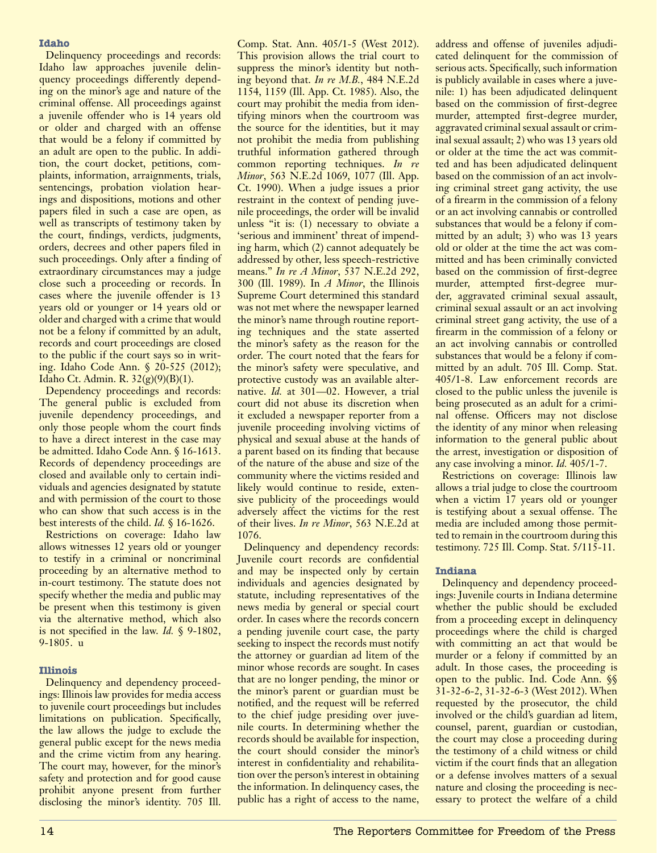## **Idaho**

Delinquency proceedings and records: Idaho law approaches juvenile delinquency proceedings differently depending on the minor's age and nature of the criminal offense. All proceedings against a juvenile offender who is 14 years old or older and charged with an offense that would be a felony if committed by an adult are open to the public. In addition, the court docket, petitions, complaints, information, arraignments, trials, sentencings, probation violation hearings and dispositions, motions and other papers filed in such a case are open, as well as transcripts of testimony taken by the court, findings, verdicts, judgments, orders, decrees and other papers filed in such proceedings. Only after a finding of extraordinary circumstances may a judge close such a proceeding or records. In cases where the juvenile offender is 13 years old or younger or 14 years old or older and charged with a crime that would not be a felony if committed by an adult, records and court proceedings are closed to the public if the court says so in writing. Idaho Code Ann. § 20-525 (2012); Idaho Ct. Admin. R. 32(g)(9)(B)(1).

Dependency proceedings and records: The general public is excluded from juvenile dependency proceedings, and only those people whom the court finds to have a direct interest in the case may be admitted. Idaho Code Ann. § 16-1613. Records of dependency proceedings are closed and available only to certain individuals and agencies designated by statute and with permission of the court to those who can show that such access is in the best interests of the child. *Id.* § 16-1626.

Restrictions on coverage: Idaho law allows witnesses 12 years old or younger to testify in a criminal or noncriminal proceeding by an alternative method to in-court testimony. The statute does not specify whether the media and public may be present when this testimony is given via the alternative method, which also is not specified in the law. *Id.* § 9-1802, 9-1805. u

## **Illinois**

Delinquency and dependency proceedings: Illinois law provides for media access to juvenile court proceedings but includes limitations on publication. Specifically, the law allows the judge to exclude the general public except for the news media and the crime victim from any hearing. The court may, however, for the minor's safety and protection and for good cause prohibit anyone present from further disclosing the minor's identity. 705 Ill.

Comp. Stat. Ann. 405/1-5 (West 2012). This provision allows the trial court to suppress the minor's identity but nothing beyond that. *In re M.B.*, 484 N.E.2d 1154, 1159 (Ill. App. Ct. 1985). Also, the court may prohibit the media from identifying minors when the courtroom was the source for the identities, but it may not prohibit the media from publishing truthful information gathered through common reporting techniques. *In re Minor*, 563 N.E.2d 1069, 1077 (Ill. App. Ct. 1990). When a judge issues a prior restraint in the context of pending juvenile proceedings, the order will be invalid unless "it is: (1) necessary to obviate a 'serious and imminent' threat of impending harm, which (2) cannot adequately be addressed by other, less speech-restrictive means." *In re A Minor*, 537 N.E.2d 292, 300 (Ill. 1989). In *A Minor*, the Illinois Supreme Court determined this standard was not met where the newspaper learned the minor's name through routine reporting techniques and the state asserted the minor's safety as the reason for the order. The court noted that the fears for the minor's safety were speculative, and protective custody was an available alternative. *Id.* at 301—02. However, a trial court did not abuse its discretion when it excluded a newspaper reporter from a juvenile proceeding involving victims of physical and sexual abuse at the hands of a parent based on its finding that because of the nature of the abuse and size of the community where the victims resided and likely would continue to reside, extensive publicity of the proceedings would adversely affect the victims for the rest of their lives. *In re Minor*, 563 N.E.2d at 1076.

Delinquency and dependency records: Juvenile court records are confidential and may be inspected only by certain individuals and agencies designated by statute, including representatives of the news media by general or special court order. In cases where the records concern a pending juvenile court case, the party seeking to inspect the records must notify the attorney or guardian ad litem of the minor whose records are sought. In cases that are no longer pending, the minor or the minor's parent or guardian must be notified, and the request will be referred to the chief judge presiding over juvenile courts. In determining whether the records should be available for inspection, the court should consider the minor's interest in confidentiality and rehabilitation over the person's interest in obtaining the information. In delinquency cases, the public has a right of access to the name, address and offense of juveniles adjudicated delinquent for the commission of serious acts. Specifically, such information is publicly available in cases where a juvenile: 1) has been adjudicated delinquent based on the commission of first-degree murder, attempted first-degree murder, aggravated criminal sexual assault or criminal sexual assault; 2) who was 13 years old or older at the time the act was committed and has been adjudicated delinquent based on the commission of an act involving criminal street gang activity, the use of a firearm in the commission of a felony or an act involving cannabis or controlled substances that would be a felony if committed by an adult; 3) who was 13 years old or older at the time the act was committed and has been criminally convicted based on the commission of first-degree murder, attempted first-degree murder, aggravated criminal sexual assault, criminal sexual assault or an act involving criminal street gang activity, the use of a firearm in the commission of a felony or an act involving cannabis or controlled substances that would be a felony if committed by an adult. 705 Ill. Comp. Stat. 405/1-8. Law enforcement records are closed to the public unless the juvenile is being prosecuted as an adult for a criminal offense. Officers may not disclose the identity of any minor when releasing information to the general public about the arrest, investigation or disposition of any case involving a minor. *Id.* 405/1-7.

Restrictions on coverage: Illinois law allows a trial judge to close the courtroom when a victim 17 years old or younger is testifying about a sexual offense. The media are included among those permitted to remain in the courtroom during this testimony. 725 Ill. Comp. Stat. 5/115-11.

## **Indiana**

Delinquency and dependency proceedings: Juvenile courts in Indiana determine whether the public should be excluded from a proceeding except in delinquency proceedings where the child is charged with committing an act that would be murder or a felony if committed by an adult. In those cases, the proceeding is open to the public. Ind. Code Ann. §§ 31-32-6-2, 31-32-6-3 (West 2012). When requested by the prosecutor, the child involved or the child's guardian ad litem, counsel, parent, guardian or custodian, the court may close a proceeding during the testimony of a child witness or child victim if the court finds that an allegation or a defense involves matters of a sexual nature and closing the proceeding is necessary to protect the welfare of a child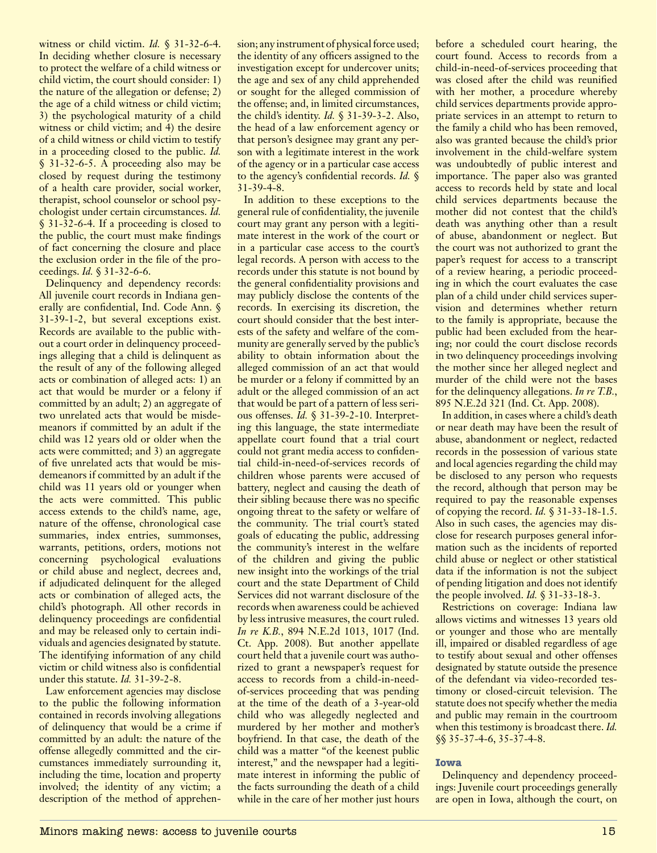witness or child victim. *Id.* § 31-32-6-4. In deciding whether closure is necessary to protect the welfare of a child witness or child victim, the court should consider: 1) the nature of the allegation or defense; 2) the age of a child witness or child victim; 3) the psychological maturity of a child witness or child victim; and 4) the desire of a child witness or child victim to testify in a proceeding closed to the public. *Id.* § 31-32-6-5. A proceeding also may be closed by request during the testimony of a health care provider, social worker, therapist, school counselor or school psychologist under certain circumstances. *Id.* § 31-32-6-4. If a proceeding is closed to the public, the court must make findings of fact concerning the closure and place the exclusion order in the file of the proceedings. *Id.* § 31-32-6-6.

Delinquency and dependency records: All juvenile court records in Indiana generally are confidential, Ind. Code Ann. § 31-39-1-2, but several exceptions exist. Records are available to the public without a court order in delinquency proceedings alleging that a child is delinquent as the result of any of the following alleged acts or combination of alleged acts: 1) an act that would be murder or a felony if committed by an adult; 2) an aggregate of two unrelated acts that would be misdemeanors if committed by an adult if the child was 12 years old or older when the acts were committed; and 3) an aggregate of five unrelated acts that would be misdemeanors if committed by an adult if the child was 11 years old or younger when the acts were committed. This public access extends to the child's name, age, nature of the offense, chronological case summaries, index entries, summonses, warrants, petitions, orders, motions not concerning psychological evaluations or child abuse and neglect, decrees and, if adjudicated delinquent for the alleged acts or combination of alleged acts, the child's photograph. All other records in delinquency proceedings are confidential and may be released only to certain individuals and agencies designated by statute. The identifying information of any child victim or child witness also is confidential under this statute. *Id.* 31-39-2-8.

Law enforcement agencies may disclose to the public the following information contained in records involving allegations of delinquency that would be a crime if committed by an adult: the nature of the offense allegedly committed and the circumstances immediately surrounding it, including the time, location and property involved; the identity of any victim; a description of the method of apprehen-

sion; any instrument of physical force used; the identity of any officers assigned to the investigation except for undercover units; the age and sex of any child apprehended or sought for the alleged commission of the offense; and, in limited circumstances, the child's identity. *Id.* § 31-39-3-2. Also, the head of a law enforcement agency or that person's designee may grant any person with a legitimate interest in the work of the agency or in a particular case access to the agency's confidential records. *Id.* § 31-39-4-8.

In addition to these exceptions to the general rule of confidentiality, the juvenile court may grant any person with a legitimate interest in the work of the court or in a particular case access to the court's legal records. A person with access to the records under this statute is not bound by the general confidentiality provisions and may publicly disclose the contents of the records. In exercising its discretion, the court should consider that the best interests of the safety and welfare of the community are generally served by the public's ability to obtain information about the alleged commission of an act that would be murder or a felony if committed by an adult or the alleged commission of an act that would be part of a pattern of less serious offenses. *Id.* § 31-39-2-10. Interpreting this language, the state intermediate appellate court found that a trial court could not grant media access to confidential child-in-need-of-services records of children whose parents were accused of battery, neglect and causing the death of their sibling because there was no specific ongoing threat to the safety or welfare of the community. The trial court's stated goals of educating the public, addressing the community's interest in the welfare of the children and giving the public new insight into the workings of the trial court and the state Department of Child Services did not warrant disclosure of the records when awareness could be achieved by less intrusive measures, the court ruled. *In re K.B.*, 894 N.E.2d 1013, 1017 (Ind. Ct. App. 2008). But another appellate court held that a juvenile court was authorized to grant a newspaper's request for access to records from a child-in-needof-services proceeding that was pending at the time of the death of a 3-year-old child who was allegedly neglected and murdered by her mother and mother's boyfriend. In that case, the death of the child was a matter "of the keenest public interest," and the newspaper had a legitimate interest in informing the public of the facts surrounding the death of a child while in the care of her mother just hours

before a scheduled court hearing, the court found. Access to records from a child-in-need-of-services proceeding that was closed after the child was reunified with her mother, a procedure whereby child services departments provide appropriate services in an attempt to return to the family a child who has been removed, also was granted because the child's prior involvement in the child-welfare system was undoubtedly of public interest and importance. The paper also was granted access to records held by state and local child services departments because the mother did not contest that the child's death was anything other than a result of abuse, abandonment or neglect. But the court was not authorized to grant the paper's request for access to a transcript of a review hearing, a periodic proceeding in which the court evaluates the case plan of a child under child services supervision and determines whether return to the family is appropriate, because the public had been excluded from the hearing; nor could the court disclose records in two delinquency proceedings involving the mother since her alleged neglect and murder of the child were not the bases for the delinquency allegations. *In re T.B.*, 895 N.E.2d 321 (Ind. Ct. App. 2008).

In addition, in cases where a child's death or near death may have been the result of abuse, abandonment or neglect, redacted records in the possession of various state and local agencies regarding the child may be disclosed to any person who requests the record, although that person may be required to pay the reasonable expenses of copying the record. *Id.* § 31-33-18-1.5. Also in such cases, the agencies may disclose for research purposes general information such as the incidents of reported child abuse or neglect or other statistical data if the information is not the subject of pending litigation and does not identify the people involved. *Id.* § 31-33-18-3.

Restrictions on coverage: Indiana law allows victims and witnesses 13 years old or younger and those who are mentally ill, impaired or disabled regardless of age to testify about sexual and other offenses designated by statute outside the presence of the defendant via video-recorded testimony or closed-circuit television. The statute does not specify whether the media and public may remain in the courtroom when this testimony is broadcast there. *Id.* §§ 35-37-4-6, 35-37-4-8.

## **Iowa**

Delinquency and dependency proceedings: Juvenile court proceedings generally are open in Iowa, although the court, on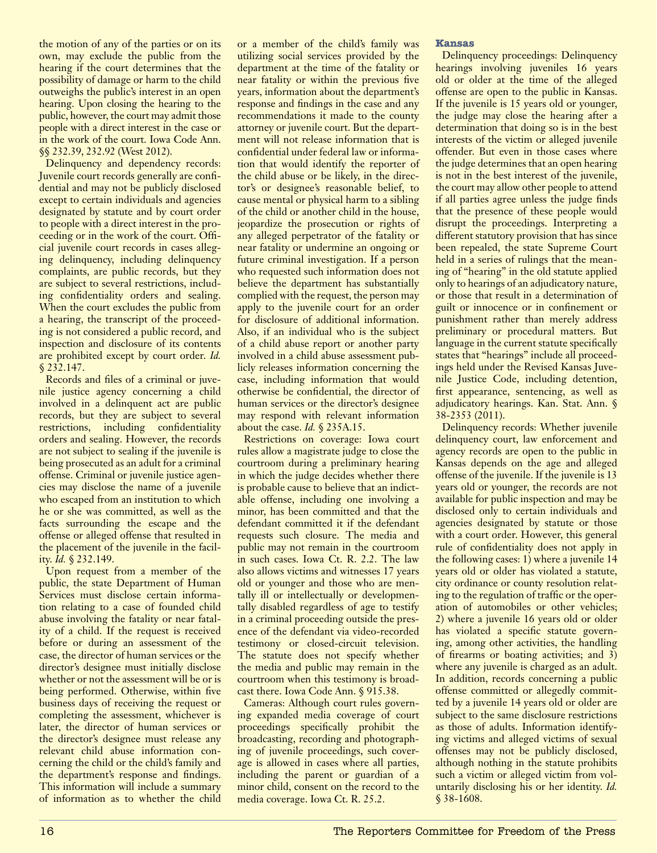the motion of any of the parties or on its own, may exclude the public from the hearing if the court determines that the possibility of damage or harm to the child outweighs the public's interest in an open hearing. Upon closing the hearing to the public, however, the court may admit those people with a direct interest in the case or in the work of the court. Iowa Code Ann. §§ 232.39, 232.92 (West 2012).

Delinquency and dependency records: Juvenile court records generally are confidential and may not be publicly disclosed except to certain individuals and agencies designated by statute and by court order to people with a direct interest in the proceeding or in the work of the court. Official juvenile court records in cases alleging delinquency, including delinquency complaints, are public records, but they are subject to several restrictions, including confidentiality orders and sealing. When the court excludes the public from a hearing, the transcript of the proceeding is not considered a public record, and inspection and disclosure of its contents are prohibited except by court order. *Id.* § 232.147.

Records and files of a criminal or juvenile justice agency concerning a child involved in a delinquent act are public records, but they are subject to several restrictions, including confidentiality orders and sealing. However, the records are not subject to sealing if the juvenile is being prosecuted as an adult for a criminal offense. Criminal or juvenile justice agencies may disclose the name of a juvenile who escaped from an institution to which he or she was committed, as well as the facts surrounding the escape and the offense or alleged offense that resulted in the placement of the juvenile in the facility. *Id.* § 232.149.

Upon request from a member of the public, the state Department of Human Services must disclose certain information relating to a case of founded child abuse involving the fatality or near fatality of a child. If the request is received before or during an assessment of the case, the director of human services or the director's designee must initially disclose whether or not the assessment will be or is being performed. Otherwise, within five business days of receiving the request or completing the assessment, whichever is later, the director of human services or the director's designee must release any relevant child abuse information concerning the child or the child's family and the department's response and findings. This information will include a summary of information as to whether the child or a member of the child's family was utilizing social services provided by the department at the time of the fatality or near fatality or within the previous five years, information about the department's response and findings in the case and any recommendations it made to the county attorney or juvenile court. But the department will not release information that is confidential under federal law or information that would identify the reporter of the child abuse or be likely, in the director's or designee's reasonable belief, to cause mental or physical harm to a sibling of the child or another child in the house, jeopardize the prosecution or rights of any alleged perpetrator of the fatality or near fatality or undermine an ongoing or future criminal investigation. If a person who requested such information does not believe the department has substantially complied with the request, the person may apply to the juvenile court for an order for disclosure of additional information. Also, if an individual who is the subject of a child abuse report or another party involved in a child abuse assessment publicly releases information concerning the case, including information that would otherwise be confidential, the director of human services or the director's designee may respond with relevant information about the case. *Id.* § 235A.15.

Restrictions on coverage: Iowa court rules allow a magistrate judge to close the courtroom during a preliminary hearing in which the judge decides whether there is probable cause to believe that an indictable offense, including one involving a minor, has been committed and that the defendant committed it if the defendant requests such closure. The media and public may not remain in the courtroom in such cases. Iowa Ct. R. 2.2. The law also allows victims and witnesses 17 years old or younger and those who are mentally ill or intellectually or developmentally disabled regardless of age to testify in a criminal proceeding outside the presence of the defendant via video-recorded testimony or closed-circuit television. The statute does not specify whether the media and public may remain in the courtroom when this testimony is broadcast there. Iowa Code Ann. § 915.38.

Cameras: Although court rules governing expanded media coverage of court proceedings specifically prohibit the broadcasting, recording and photographing of juvenile proceedings, such coverage is allowed in cases where all parties, including the parent or guardian of a minor child, consent on the record to the media coverage. Iowa Ct. R. 25.2.

## **Kansas**

Delinquency proceedings: Delinquency hearings involving juveniles 16 years old or older at the time of the alleged offense are open to the public in Kansas. If the juvenile is 15 years old or younger, the judge may close the hearing after a determination that doing so is in the best interests of the victim or alleged juvenile offender. But even in those cases where the judge determines that an open hearing is not in the best interest of the juvenile, the court may allow other people to attend if all parties agree unless the judge finds that the presence of these people would disrupt the proceedings. Interpreting a different statutory provision that has since been repealed, the state Supreme Court held in a series of rulings that the meaning of "hearing" in the old statute applied only to hearings of an adjudicatory nature, or those that result in a determination of guilt or innocence or in confinement or punishment rather than merely address preliminary or procedural matters. But language in the current statute specifically states that "hearings" include all proceedings held under the Revised Kansas Juvenile Justice Code, including detention, first appearance, sentencing, as well as adjudicatory hearings. Kan. Stat. Ann. § 38-2353 (2011).

Delinquency records: Whether juvenile delinquency court, law enforcement and agency records are open to the public in Kansas depends on the age and alleged offense of the juvenile. If the juvenile is 13 years old or younger, the records are not available for public inspection and may be disclosed only to certain individuals and agencies designated by statute or those with a court order. However, this general rule of confidentiality does not apply in the following cases: 1) where a juvenile 14 years old or older has violated a statute, city ordinance or county resolution relating to the regulation of traffic or the operation of automobiles or other vehicles; 2) where a juvenile 16 years old or older has violated a specific statute governing, among other activities, the handling of firearms or boating activities; and 3) where any juvenile is charged as an adult. In addition, records concerning a public offense committed or allegedly committed by a juvenile 14 years old or older are subject to the same disclosure restrictions as those of adults. Information identifying victims and alleged victims of sexual offenses may not be publicly disclosed, although nothing in the statute prohibits such a victim or alleged victim from voluntarily disclosing his or her identity. *Id.*  § 38-1608.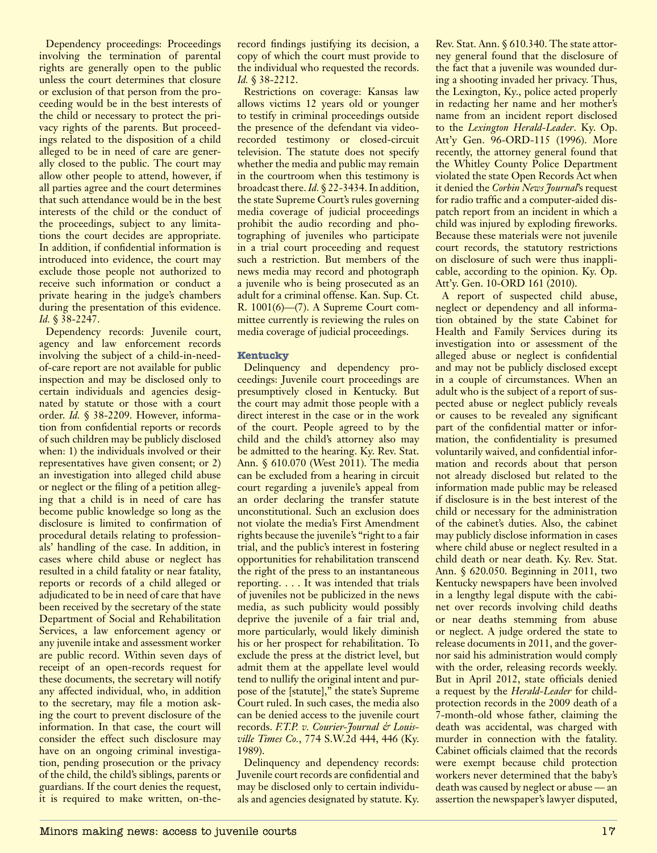Dependency proceedings: Proceedings involving the termination of parental rights are generally open to the public unless the court determines that closure or exclusion of that person from the proceeding would be in the best interests of the child or necessary to protect the privacy rights of the parents. But proceedings related to the disposition of a child alleged to be in need of care are generally closed to the public. The court may allow other people to attend, however, if all parties agree and the court determines that such attendance would be in the best interests of the child or the conduct of the proceedings, subject to any limitations the court decides are appropriate. In addition, if confidential information is introduced into evidence, the court may exclude those people not authorized to receive such information or conduct a private hearing in the judge's chambers during the presentation of this evidence. *Id.* § 38-2247.

Dependency records: Juvenile court, agency and law enforcement records involving the subject of a child-in-needof-care report are not available for public inspection and may be disclosed only to certain individuals and agencies designated by statute or those with a court order. *Id.* § 38-2209. However, information from confidential reports or records of such children may be publicly disclosed when: 1) the individuals involved or their representatives have given consent; or 2) an investigation into alleged child abuse or neglect or the filing of a petition alleging that a child is in need of care has become public knowledge so long as the disclosure is limited to confirmation of procedural details relating to professionals' handling of the case. In addition, in cases where child abuse or neglect has resulted in a child fatality or near fatality, reports or records of a child alleged or adjudicated to be in need of care that have been received by the secretary of the state Department of Social and Rehabilitation Services, a law enforcement agency or any juvenile intake and assessment worker are public record. Within seven days of receipt of an open-records request for these documents, the secretary will notify any affected individual, who, in addition to the secretary, may file a motion asking the court to prevent disclosure of the information. In that case, the court will consider the effect such disclosure may have on an ongoing criminal investigation, pending prosecution or the privacy of the child, the child's siblings, parents or guardians. If the court denies the request, it is required to make written, on-therecord findings justifying its decision, a copy of which the court must provide to the individual who requested the records. *Id.* § 38-2212.

Restrictions on coverage: Kansas law allows victims 12 years old or younger to testify in criminal proceedings outside the presence of the defendant via videorecorded testimony or closed-circuit television. The statute does not specify whether the media and public may remain in the courtroom when this testimony is broadcast there. *Id.* § 22-3434. In addition, the state Supreme Court's rules governing media coverage of judicial proceedings prohibit the audio recording and photographing of juveniles who participate in a trial court proceeding and request such a restriction. But members of the news media may record and photograph a juvenile who is being prosecuted as an adult for a criminal offense. Kan. Sup. Ct. R. 1001(6)—(7). A Supreme Court committee currently is reviewing the rules on media coverage of judicial proceedings.

## **Kentucky**

Delinquency and dependency proceedings: Juvenile court proceedings are presumptively closed in Kentucky. But the court may admit those people with a direct interest in the case or in the work of the court. People agreed to by the child and the child's attorney also may be admitted to the hearing. Ky. Rev. Stat. Ann. § 610.070 (West 2011). The media can be excluded from a hearing in circuit court regarding a juvenile's appeal from an order declaring the transfer statute unconstitutional. Such an exclusion does not violate the media's First Amendment rights because the juvenile's "right to a fair trial, and the public's interest in fostering opportunities for rehabilitation transcend the right of the press to an instantaneous reporting. . . . It was intended that trials of juveniles not be publicized in the news media, as such publicity would possibly deprive the juvenile of a fair trial and, more particularly, would likely diminish his or her prospect for rehabilitation. To exclude the press at the district level, but admit them at the appellate level would tend to nullify the original intent and purpose of the [statute]," the state's Supreme Court ruled. In such cases, the media also can be denied access to the juvenile court records. *F.T.P. v. Courier-Journal & Louisville Times Co.*, 774 S.W.2d 444, 446 (Ky. 1989).

Delinquency and dependency records: Juvenile court records are confidential and may be disclosed only to certain individuals and agencies designated by statute. Ky. Rev. Stat. Ann. § 610.340. The state attorney general found that the disclosure of the fact that a juvenile was wounded during a shooting invaded her privacy. Thus, the Lexington, Ky., police acted properly in redacting her name and her mother's name from an incident report disclosed to the *Lexington Herald-Leader*. Ky. Op. Att'y Gen. 96-ORD-115 (1996). More recently, the attorney general found that the Whitley County Police Department violated the state Open Records Act when it denied the *Corbin News Journal*'s request for radio traffic and a computer-aided dispatch report from an incident in which a child was injured by exploding fireworks. Because these materials were not juvenile court records, the statutory restrictions on disclosure of such were thus inapplicable, according to the opinion. Ky. Op. Att'y. Gen. 10-ORD 161 (2010).

A report of suspected child abuse, neglect or dependency and all information obtained by the state Cabinet for Health and Family Services during its investigation into or assessment of the alleged abuse or neglect is confidential and may not be publicly disclosed except in a couple of circumstances. When an adult who is the subject of a report of suspected abuse or neglect publicly reveals or causes to be revealed any significant part of the confidential matter or information, the confidentiality is presumed voluntarily waived, and confidential information and records about that person not already disclosed but related to the information made public may be released if disclosure is in the best interest of the child or necessary for the administration of the cabinet's duties. Also, the cabinet may publicly disclose information in cases where child abuse or neglect resulted in a child death or near death. Ky. Rev. Stat. Ann. § 620.050. Beginning in 2011, two Kentucky newspapers have been involved in a lengthy legal dispute with the cabinet over records involving child deaths or near deaths stemming from abuse or neglect. A judge ordered the state to release documents in 2011, and the governor said his administration would comply with the order, releasing records weekly. But in April 2012, state officials denied a request by the *Herald-Leader* for childprotection records in the 2009 death of a 7-month-old whose father, claiming the death was accidental, was charged with murder in connection with the fatality. Cabinet officials claimed that the records were exempt because child protection workers never determined that the baby's death was caused by neglect or abuse — an assertion the newspaper's lawyer disputed,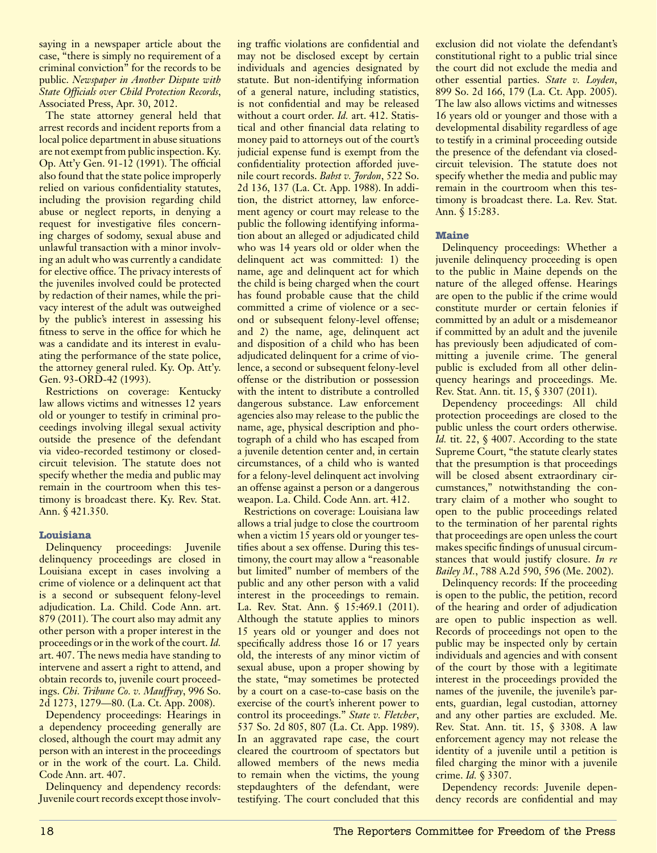saying in a newspaper article about the case, "there is simply no requirement of a criminal conviction" for the records to be public. *Newspaper in Another Dispute with State Officials over Child Protection Records*, Associated Press, Apr. 30, 2012.

The state attorney general held that arrest records and incident reports from a local police department in abuse situations are not exempt from public inspection. Ky. Op. Att'y Gen. 91-12 (1991). The official also found that the state police improperly relied on various confidentiality statutes, including the provision regarding child abuse or neglect reports, in denying a request for investigative files concerning charges of sodomy, sexual abuse and unlawful transaction with a minor involving an adult who was currently a candidate for elective office. The privacy interests of the juveniles involved could be protected by redaction of their names, while the privacy interest of the adult was outweighed by the public's interest in assessing his fitness to serve in the office for which he was a candidate and its interest in evaluating the performance of the state police, the attorney general ruled. Ky. Op. Att'y. Gen. 93-ORD-42 (1993).

Restrictions on coverage: Kentucky law allows victims and witnesses 12 years old or younger to testify in criminal proceedings involving illegal sexual activity outside the presence of the defendant via video-recorded testimony or closedcircuit television. The statute does not specify whether the media and public may remain in the courtroom when this testimony is broadcast there. Ky. Rev. Stat. Ann. § 421.350.

## **Louisiana**

Delinquency proceedings: Juvenile delinquency proceedings are closed in Louisiana except in cases involving a crime of violence or a delinquent act that is a second or subsequent felony-level adjudication. La. Child. Code Ann. art. 879 (2011). The court also may admit any other person with a proper interest in the proceedings or in the work of the court. *Id.* art. 407. The news media have standing to intervene and assert a right to attend, and obtain records to, juvenile court proceedings. *Chi. Tribune Co. v. Mauffray*, 996 So. 2d 1273, 1279—80. (La. Ct. App. 2008).

Dependency proceedings: Hearings in a dependency proceeding generally are closed, although the court may admit any person with an interest in the proceedings or in the work of the court. La. Child. Code Ann. art. 407.

Delinquency and dependency records: Juvenile court records except those involving traffic violations are confidential and may not be disclosed except by certain individuals and agencies designated by statute. But non-identifying information of a general nature, including statistics, is not confidential and may be released without a court order. *Id.* art. 412. Statistical and other financial data relating to money paid to attorneys out of the court's judicial expense fund is exempt from the confidentiality protection afforded juvenile court records. *Babst v. Jordon*, 522 So. 2d 136, 137 (La. Ct. App. 1988). In addition, the district attorney, law enforcement agency or court may release to the public the following identifying information about an alleged or adjudicated child who was 14 years old or older when the delinquent act was committed: 1) the name, age and delinquent act for which the child is being charged when the court has found probable cause that the child committed a crime of violence or a second or subsequent felony-level offense; and 2) the name, age, delinquent act and disposition of a child who has been adjudicated delinquent for a crime of violence, a second or subsequent felony-level offense or the distribution or possession with the intent to distribute a controlled dangerous substance. Law enforcement agencies also may release to the public the name, age, physical description and photograph of a child who has escaped from a juvenile detention center and, in certain circumstances, of a child who is wanted for a felony-level delinquent act involving an offense against a person or a dangerous weapon. La. Child. Code Ann. art. 412.

Restrictions on coverage: Louisiana law allows a trial judge to close the courtroom when a victim 15 years old or younger testifies about a sex offense. During this testimony, the court may allow a "reasonable but limited" number of members of the public and any other person with a valid interest in the proceedings to remain. La. Rev. Stat. Ann. § 15:469.1 (2011). Although the statute applies to minors 15 years old or younger and does not specifically address those 16 or 17 years old, the interests of any minor victim of sexual abuse, upon a proper showing by the state, "may sometimes be protected by a court on a case-to-case basis on the exercise of the court's inherent power to control its proceedings." *State v. Fletcher*, 537 So. 2d 805, 807 (La. Ct. App. 1989). In an aggravated rape case, the court cleared the courtroom of spectators but allowed members of the news media to remain when the victims, the young stepdaughters of the defendant, were testifying. The court concluded that this

exclusion did not violate the defendant's constitutional right to a public trial since the court did not exclude the media and other essential parties. *State v. Loyden*, 899 So. 2d 166, 179 (La. Ct. App. 2005). The law also allows victims and witnesses 16 years old or younger and those with a developmental disability regardless of age to testify in a criminal proceeding outside the presence of the defendant via closedcircuit television. The statute does not specify whether the media and public may remain in the courtroom when this testimony is broadcast there. La. Rev. Stat. Ann. § 15:283.

## **Maine**

Delinquency proceedings: Whether a juvenile delinquency proceeding is open to the public in Maine depends on the nature of the alleged offense. Hearings are open to the public if the crime would constitute murder or certain felonies if committed by an adult or a misdemeanor if committed by an adult and the juvenile has previously been adjudicated of committing a juvenile crime. The general public is excluded from all other delinquency hearings and proceedings. Me. Rev. Stat. Ann. tit. 15, § 3307 (2011).

Dependency proceedings: All child protection proceedings are closed to the public unless the court orders otherwise. *Id.* tit. 22, § 4007. According to the state Supreme Court, "the statute clearly states that the presumption is that proceedings will be closed absent extraordinary circumstances," notwithstanding the contrary claim of a mother who sought to open to the public proceedings related to the termination of her parental rights that proceedings are open unless the court makes specific findings of unusual circumstances that would justify closure. *In re Bailey M.*, 788 A.2d 590, 596 (Me. 2002).

Delinquency records: If the proceeding is open to the public, the petition, record of the hearing and order of adjudication are open to public inspection as well. Records of proceedings not open to the public may be inspected only by certain individuals and agencies and with consent of the court by those with a legitimate interest in the proceedings provided the names of the juvenile, the juvenile's parents, guardian, legal custodian, attorney and any other parties are excluded. Me. Rev. Stat. Ann. tit. 15, § 3308. A law enforcement agency may not release the identity of a juvenile until a petition is filed charging the minor with a juvenile crime. *Id.* § 3307.

Dependency records: Juvenile dependency records are confidential and may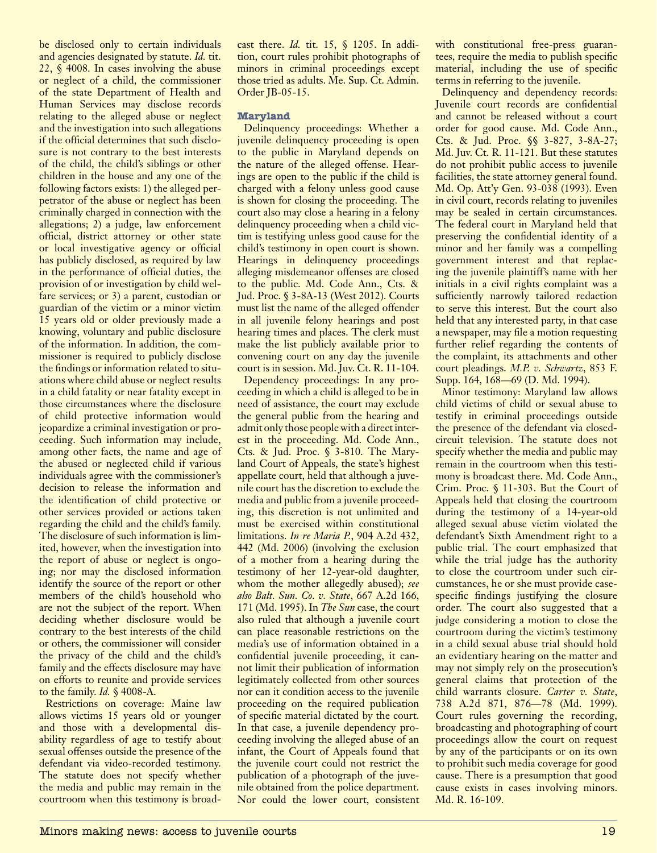be disclosed only to certain individuals and agencies designated by statute. *Id.* tit. 22, § 4008. In cases involving the abuse or neglect of a child, the commissioner of the state Department of Health and Human Services may disclose records relating to the alleged abuse or neglect and the investigation into such allegations if the official determines that such disclosure is not contrary to the best interests of the child, the child's siblings or other children in the house and any one of the following factors exists: 1) the alleged perpetrator of the abuse or neglect has been criminally charged in connection with the allegations; 2) a judge, law enforcement official, district attorney or other state or local investigative agency or official has publicly disclosed, as required by law in the performance of official duties, the provision of or investigation by child welfare services; or 3) a parent, custodian or guardian of the victim or a minor victim 15 years old or older previously made a knowing, voluntary and public disclosure of the information. In addition, the commissioner is required to publicly disclose the findings or information related to situations where child abuse or neglect results in a child fatality or near fatality except in those circumstances where the disclosure of child protective information would jeopardize a criminal investigation or proceeding. Such information may include, among other facts, the name and age of the abused or neglected child if various individuals agree with the commissioner's decision to release the information and the identification of child protective or other services provided or actions taken regarding the child and the child's family. The disclosure of such information is limited, however, when the investigation into the report of abuse or neglect is ongoing; nor may the disclosed information identify the source of the report or other members of the child's household who are not the subject of the report. When deciding whether disclosure would be contrary to the best interests of the child or others, the commissioner will consider the privacy of the child and the child's family and the effects disclosure may have on efforts to reunite and provide services to the family. *Id.* § 4008-A.

Restrictions on coverage: Maine law allows victims 15 years old or younger and those with a developmental disability regardless of age to testify about sexual offenses outside the presence of the defendant via video-recorded testimony. The statute does not specify whether the media and public may remain in the courtroom when this testimony is broadcast there. *Id.* tit. 15, § 1205. In addition, court rules prohibit photographs of minors in criminal proceedings except those tried as adults. Me. Sup. Ct. Admin. Order JB-05-15.

## **Maryland**

Delinquency proceedings: Whether a juvenile delinquency proceeding is open to the public in Maryland depends on the nature of the alleged offense. Hearings are open to the public if the child is charged with a felony unless good cause is shown for closing the proceeding. The court also may close a hearing in a felony delinquency proceeding when a child victim is testifying unless good cause for the child's testimony in open court is shown. Hearings in delinquency proceedings alleging misdemeanor offenses are closed to the public. Md. Code Ann., Cts. & Jud. Proc. § 3-8A-13 (West 2012). Courts must list the name of the alleged offender in all juvenile felony hearings and post hearing times and places. The clerk must make the list publicly available prior to convening court on any day the juvenile court is in session. Md. Juv. Ct. R. 11-104.

Dependency proceedings: In any proceeding in which a child is alleged to be in need of assistance, the court may exclude the general public from the hearing and admit only those people with a direct interest in the proceeding. Md. Code Ann., Cts. & Jud. Proc. § 3-810. The Maryland Court of Appeals, the state's highest appellate court, held that although a juvenile court has the discretion to exclude the media and public from a juvenile proceeding, this discretion is not unlimited and must be exercised within constitutional limitations. *In re Maria P.*, 904 A.2d 432, 442 (Md. 2006) (involving the exclusion of a mother from a hearing during the testimony of her 12-year-old daughter, whom the mother allegedly abused); *see also Balt. Sun. Co. v. State*, 667 A.2d 166, 171 (Md. 1995). In *The Sun* case, the court also ruled that although a juvenile court can place reasonable restrictions on the media's use of information obtained in a confidential juvenile proceeding, it cannot limit their publication of information legitimately collected from other sources nor can it condition access to the juvenile proceeding on the required publication of specific material dictated by the court. In that case, a juvenile dependency proceeding involving the alleged abuse of an infant, the Court of Appeals found that the juvenile court could not restrict the publication of a photograph of the juvenile obtained from the police department. Nor could the lower court, consistent

with constitutional free-press guarantees, require the media to publish specific material, including the use of specific terms in referring to the juvenile.

Delinquency and dependency records: Juvenile court records are confidential and cannot be released without a court order for good cause. Md. Code Ann., Cts. & Jud. Proc. §§ 3-827, 3-8A-27; Md. Juv. Ct. R. 11-121. But these statutes do not prohibit public access to juvenile facilities, the state attorney general found. Md. Op. Att'y Gen. 93-038 (1993). Even in civil court, records relating to juveniles may be sealed in certain circumstances. The federal court in Maryland held that preserving the confidential identity of a minor and her family was a compelling government interest and that replacing the juvenile plaintiff's name with her initials in a civil rights complaint was a sufficiently narrowly tailored redaction to serve this interest. But the court also held that any interested party, in that case a newspaper, may file a motion requesting further relief regarding the contents of the complaint, its attachments and other court pleadings. *M.P. v. Schwartz*, 853 F. Supp. 164, 168—69 (D. Md. 1994).

Minor testimony: Maryland law allows child victims of child or sexual abuse to testify in criminal proceedings outside the presence of the defendant via closedcircuit television. The statute does not specify whether the media and public may remain in the courtroom when this testimony is broadcast there. Md. Code Ann., Crim. Proc. § 11-303. But the Court of Appeals held that closing the courtroom during the testimony of a 14-year-old alleged sexual abuse victim violated the defendant's Sixth Amendment right to a public trial. The court emphasized that while the trial judge has the authority to close the courtroom under such circumstances, he or she must provide casespecific findings justifying the closure order. The court also suggested that a judge considering a motion to close the courtroom during the victim's testimony in a child sexual abuse trial should hold an evidentiary hearing on the matter and may not simply rely on the prosecution's general claims that protection of the child warrants closure. *Carter v. State*, 738 A.2d 871, 876—78 (Md. 1999). Court rules governing the recording, broadcasting and photographing of court proceedings allow the court on request by any of the participants or on its own to prohibit such media coverage for good cause. There is a presumption that good cause exists in cases involving minors. Md. R. 16-109.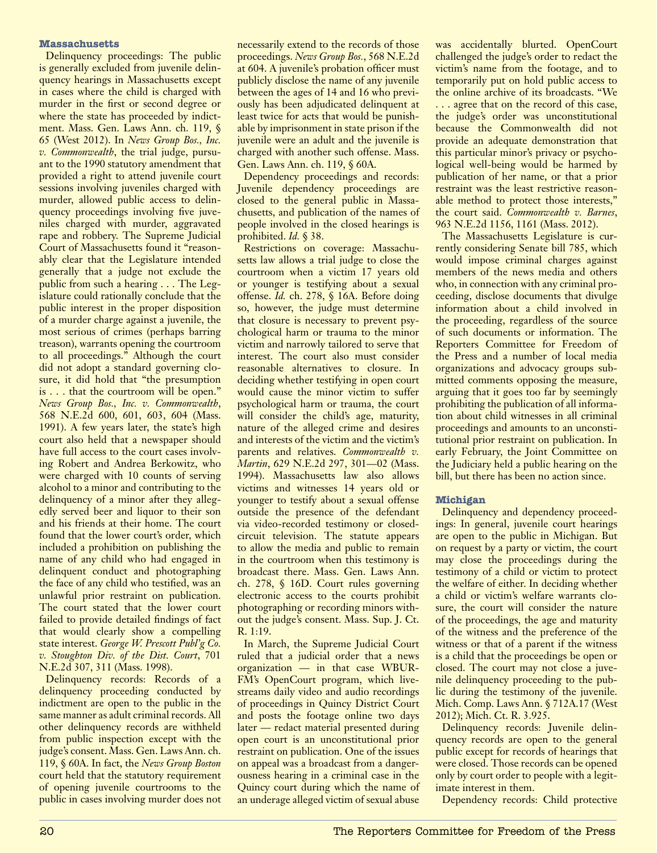## **Massachusetts**

Delinquency proceedings: The public is generally excluded from juvenile delinquency hearings in Massachusetts except in cases where the child is charged with murder in the first or second degree or where the state has proceeded by indictment. Mass. Gen. Laws Ann. ch. 119, § 65 (West 2012). In *News Group Bos., Inc. v. Commonwealth*, the trial judge, pursuant to the 1990 statutory amendment that provided a right to attend juvenile court sessions involving juveniles charged with murder, allowed public access to delinquency proceedings involving five juveniles charged with murder, aggravated rape and robbery. The Supreme Judicial Court of Massachusetts found it "reasonably clear that the Legislature intended generally that a judge not exclude the public from such a hearing . . . The Legislature could rationally conclude that the public interest in the proper disposition of a murder charge against a juvenile, the most serious of crimes (perhaps barring treason), warrants opening the courtroom to all proceedings." Although the court did not adopt a standard governing closure, it did hold that "the presumption is . . . that the courtroom will be open." *News Group Bos., Inc. v. Commonwealth*, 568 N.E.2d 600, 601, 603, 604 (Mass. 1991). A few years later, the state's high court also held that a newspaper should have full access to the court cases involving Robert and Andrea Berkowitz, who were charged with 10 counts of serving alcohol to a minor and contributing to the delinquency of a minor after they allegedly served beer and liquor to their son and his friends at their home. The court found that the lower court's order, which included a prohibition on publishing the name of any child who had engaged in delinquent conduct and photographing the face of any child who testified, was an unlawful prior restraint on publication. The court stated that the lower court failed to provide detailed findings of fact that would clearly show a compelling state interest. *George W. Prescott Publ'g Co. v. Stoughton Div. of the Dist. Court*, 701 N.E.2d 307, 311 (Mass. 1998).

Delinquency records: Records of a delinquency proceeding conducted by indictment are open to the public in the same manner as adult criminal records. All other delinquency records are withheld from public inspection except with the judge's consent. Mass. Gen. Laws Ann. ch. 119, § 60A. In fact, the *News Group Boston* court held that the statutory requirement of opening juvenile courtrooms to the public in cases involving murder does not necessarily extend to the records of those proceedings. *News Group Bos.*, 568 N.E.2d at 604. A juvenile's probation officer must publicly disclose the name of any juvenile between the ages of 14 and 16 who previously has been adjudicated delinquent at least twice for acts that would be punishable by imprisonment in state prison if the juvenile were an adult and the juvenile is charged with another such offense. Mass. Gen. Laws Ann. ch. 119, § 60A.

Dependency proceedings and records: Juvenile dependency proceedings are closed to the general public in Massachusetts, and publication of the names of people involved in the closed hearings is prohibited. *Id.* § 38.

Restrictions on coverage: Massachusetts law allows a trial judge to close the courtroom when a victim 17 years old or younger is testifying about a sexual offense. *Id.* ch. 278, § 16A. Before doing so, however, the judge must determine that closure is necessary to prevent psychological harm or trauma to the minor victim and narrowly tailored to serve that interest. The court also must consider reasonable alternatives to closure. In deciding whether testifying in open court would cause the minor victim to suffer psychological harm or trauma, the court will consider the child's age, maturity, nature of the alleged crime and desires and interests of the victim and the victim's parents and relatives. *Commonwealth v. Martin*, 629 N.E.2d 297, 301—02 (Mass. 1994). Massachusetts law also allows victims and witnesses 14 years old or younger to testify about a sexual offense outside the presence of the defendant via video-recorded testimony or closedcircuit television. The statute appears to allow the media and public to remain in the courtroom when this testimony is broadcast there. Mass. Gen. Laws Ann. ch. 278, § 16D. Court rules governing electronic access to the courts prohibit photographing or recording minors without the judge's consent. Mass. Sup. J. Ct. R. 1:19.

In March, the Supreme Judicial Court ruled that a judicial order that a news organization — in that case WBUR-FM's OpenCourt program, which livestreams daily video and audio recordings of proceedings in Quincy District Court and posts the footage online two days later — redact material presented during open court is an unconstitutional prior restraint on publication. One of the issues on appeal was a broadcast from a dangerousness hearing in a criminal case in the Quincy court during which the name of an underage alleged victim of sexual abuse was accidentally blurted. OpenCourt challenged the judge's order to redact the victim's name from the footage, and to temporarily put on hold public access to the online archive of its broadcasts. "We . . . agree that on the record of this case, the judge's order was unconstitutional because the Commonwealth did not provide an adequate demonstration that this particular minor's privacy or psychological well-being would be harmed by publication of her name, or that a prior restraint was the least restrictive reasonable method to protect those interests," the court said. *Commonwealth v. Barnes*, 963 N.E.2d 1156, 1161 (Mass. 2012).

The Massachusetts Legislature is currently considering Senate bill 785, which would impose criminal charges against members of the news media and others who, in connection with any criminal proceeding, disclose documents that divulge information about a child involved in the proceeding, regardless of the source of such documents or information. The Reporters Committee for Freedom of the Press and a number of local media organizations and advocacy groups submitted comments opposing the measure, arguing that it goes too far by seemingly prohibiting the publication of all information about child witnesses in all criminal proceedings and amounts to an unconstitutional prior restraint on publication. In early February, the Joint Committee on the Judiciary held a public hearing on the bill, but there has been no action since.

## **Michigan**

Delinquency and dependency proceedings: In general, juvenile court hearings are open to the public in Michigan. But on request by a party or victim, the court may close the proceedings during the testimony of a child or victim to protect the welfare of either. In deciding whether a child or victim's welfare warrants closure, the court will consider the nature of the proceedings, the age and maturity of the witness and the preference of the witness or that of a parent if the witness is a child that the proceedings be open or closed. The court may not close a juvenile delinquency proceeding to the public during the testimony of the juvenile. Mich. Comp. Laws Ann. § 712A.17 (West 2012); Mich. Ct. R. 3.925.

Delinquency records: Juvenile delinquency records are open to the general public except for records of hearings that were closed. Those records can be opened only by court order to people with a legitimate interest in them.

Dependency records: Child protective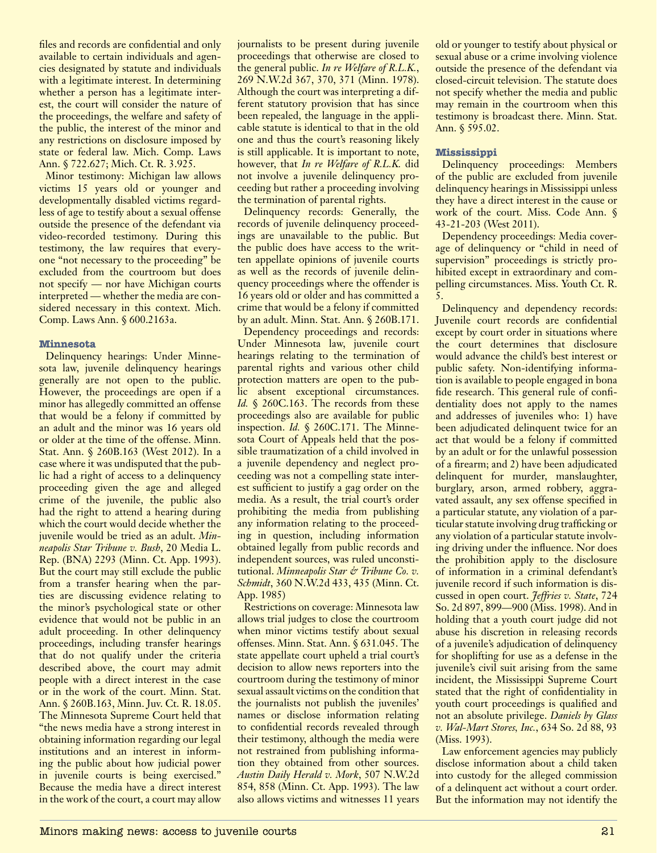files and records are confidential and only available to certain individuals and agencies designated by statute and individuals with a legitimate interest. In determining whether a person has a legitimate interest, the court will consider the nature of the proceedings, the welfare and safety of the public, the interest of the minor and any restrictions on disclosure imposed by state or federal law. Mich. Comp. Laws Ann. § 722.627; Mich. Ct. R. 3.925.

Minor testimony: Michigan law allows victims 15 years old or younger and developmentally disabled victims regardless of age to testify about a sexual offense outside the presence of the defendant via video-recorded testimony. During this testimony, the law requires that everyone "not necessary to the proceeding" be excluded from the courtroom but does not specify — nor have Michigan courts interpreted — whether the media are considered necessary in this context. Mich. Comp. Laws Ann. § 600.2163a.

## **Minnesota**

Delinquency hearings: Under Minnesota law, juvenile delinquency hearings generally are not open to the public. However, the proceedings are open if a minor has allegedly committed an offense that would be a felony if committed by an adult and the minor was 16 years old or older at the time of the offense. Minn. Stat. Ann. § 260B.163 (West 2012). In a case where it was undisputed that the public had a right of access to a delinquency proceeding given the age and alleged crime of the juvenile, the public also had the right to attend a hearing during which the court would decide whether the juvenile would be tried as an adult. *Minneapolis Star Tribune v. Bush*, 20 Media L. Rep. (BNA) 2293 (Minn. Ct. App. 1993). But the court may still exclude the public from a transfer hearing when the parties are discussing evidence relating to the minor's psychological state or other evidence that would not be public in an adult proceeding. In other delinquency proceedings, including transfer hearings that do not qualify under the criteria described above, the court may admit people with a direct interest in the case or in the work of the court. Minn. Stat. Ann. § 260B.163, Minn. Juv. Ct. R. 18.05. The Minnesota Supreme Court held that "the news media have a strong interest in obtaining information regarding our legal institutions and an interest in informing the public about how judicial power in juvenile courts is being exercised." Because the media have a direct interest in the work of the court, a court may allow journalists to be present during juvenile proceedings that otherwise are closed to the general public. *In re Welfare of R.L.K.*, 269 N.W.2d 367, 370, 371 (Minn. 1978). Although the court was interpreting a different statutory provision that has since been repealed, the language in the applicable statute is identical to that in the old one and thus the court's reasoning likely is still applicable. It is important to note, however, that *In re Welfare of R.L.K.* did not involve a juvenile delinquency proceeding but rather a proceeding involving the termination of parental rights.

Delinquency records: Generally, the records of juvenile delinquency proceedings are unavailable to the public. But the public does have access to the written appellate opinions of juvenile courts as well as the records of juvenile delinquency proceedings where the offender is 16 years old or older and has committed a crime that would be a felony if committed by an adult. Minn. Stat. Ann. § 260B.171.

Dependency proceedings and records: Under Minnesota law, juvenile court hearings relating to the termination of parental rights and various other child protection matters are open to the public absent exceptional circumstances. *Id.* § 260C.163. The records from these proceedings also are available for public inspection. *Id.* § 260C.171. The Minnesota Court of Appeals held that the possible traumatization of a child involved in a juvenile dependency and neglect proceeding was not a compelling state interest sufficient to justify a gag order on the media. As a result, the trial court's order prohibiting the media from publishing any information relating to the proceeding in question, including information obtained legally from public records and independent sources, was ruled unconstitutional. *Minneapolis Star & Tribune Co. v. Schmidt*, 360 N.W.2d 433, 435 (Minn. Ct. App. 1985)

Restrictions on coverage: Minnesota law allows trial judges to close the courtroom when minor victims testify about sexual offenses. Minn. Stat. Ann. § 631.045. The state appellate court upheld a trial court's decision to allow news reporters into the courtroom during the testimony of minor sexual assault victims on the condition that the journalists not publish the juveniles' names or disclose information relating to confidential records revealed through their testimony, although the media were not restrained from publishing information they obtained from other sources. *Austin Daily Herald v. Mork*, 507 N.W.2d 854, 858 (Minn. Ct. App. 1993). The law also allows victims and witnesses 11 years

old or younger to testify about physical or sexual abuse or a crime involving violence outside the presence of the defendant via closed-circuit television. The statute does not specify whether the media and public may remain in the courtroom when this testimony is broadcast there. Minn. Stat. Ann. § 595.02.

## **Mississippi**

Delinquency proceedings: Members of the public are excluded from juvenile delinquency hearings in Mississippi unless they have a direct interest in the cause or work of the court. Miss. Code Ann. § 43-21-203 (West 2011).

Dependency proceedings: Media coverage of delinquency or "child in need of supervision" proceedings is strictly prohibited except in extraordinary and compelling circumstances. Miss. Youth Ct. R. 5.

Delinquency and dependency records: Juvenile court records are confidential except by court order in situations where the court determines that disclosure would advance the child's best interest or public safety. Non-identifying information is available to people engaged in bona fide research. This general rule of confidentiality does not apply to the names and addresses of juveniles who: 1) have been adjudicated delinquent twice for an act that would be a felony if committed by an adult or for the unlawful possession of a firearm; and 2) have been adjudicated delinquent for murder, manslaughter, burglary, arson, armed robbery, aggravated assault, any sex offense specified in a particular statute, any violation of a particular statute involving drug trafficking or any violation of a particular statute involving driving under the influence. Nor does the prohibition apply to the disclosure of information in a criminal defendant's juvenile record if such information is discussed in open court. *Jeffries v. State*, 724 So. 2d 897, 899—900 (Miss. 1998). And in holding that a youth court judge did not abuse his discretion in releasing records of a juvenile's adjudication of delinquency for shoplifting for use as a defense in the juvenile's civil suit arising from the same incident, the Mississippi Supreme Court stated that the right of confidentiality in youth court proceedings is qualified and not an absolute privilege. *Daniels by Glass v. Wal-Mart Stores, Inc.*, 634 So. 2d 88, 93 (Miss. 1993).

Law enforcement agencies may publicly disclose information about a child taken into custody for the alleged commission of a delinquent act without a court order. But the information may not identify the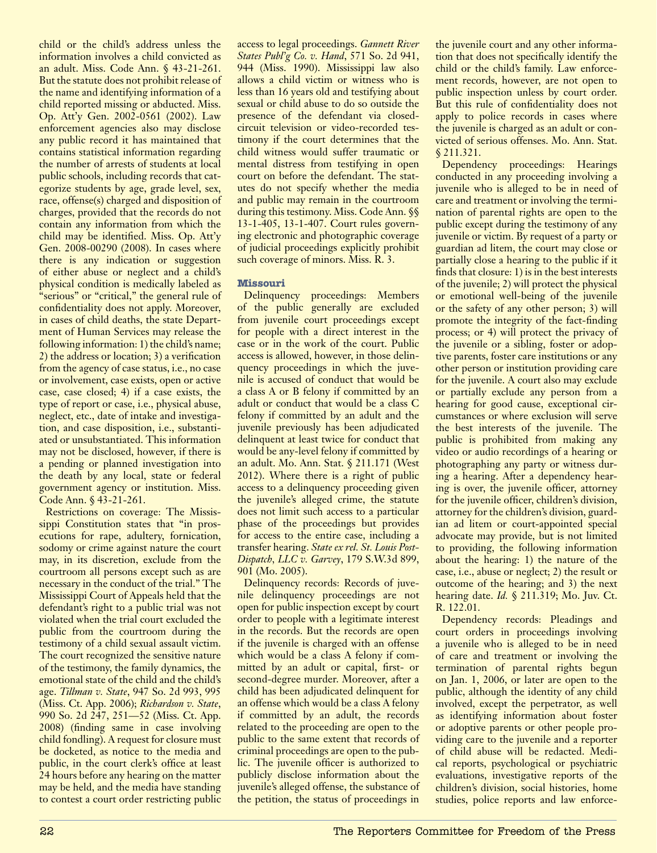child or the child's address unless the information involves a child convicted as an adult. Miss. Code Ann. § 43-21-261. But the statute does not prohibit release of the name and identifying information of a child reported missing or abducted. Miss. Op. Att'y Gen. 2002-0561 (2002). Law enforcement agencies also may disclose any public record it has maintained that contains statistical information regarding the number of arrests of students at local public schools, including records that categorize students by age, grade level, sex, race, offense(s) charged and disposition of charges, provided that the records do not contain any information from which the child may be identified. Miss. Op. Att'y Gen. 2008-00290 (2008). In cases where there is any indication or suggestion of either abuse or neglect and a child's physical condition is medically labeled as "serious" or "critical," the general rule of confidentiality does not apply. Moreover, in cases of child deaths, the state Department of Human Services may release the following information: 1) the child's name; 2) the address or location; 3) a verification from the agency of case status, i.e., no case or involvement, case exists, open or active case, case closed; 4) if a case exists, the type of report or case, i.e., physical abuse, neglect, etc., date of intake and investigation, and case disposition, i.e., substantiated or unsubstantiated. This information may not be disclosed, however, if there is a pending or planned investigation into the death by any local, state or federal government agency or institution. Miss. Code Ann. § 43-21-261.

Restrictions on coverage: The Mississippi Constitution states that "in prosecutions for rape, adultery, fornication, sodomy or crime against nature the court may, in its discretion, exclude from the courtroom all persons except such as are necessary in the conduct of the trial." The Mississippi Court of Appeals held that the defendant's right to a public trial was not violated when the trial court excluded the public from the courtroom during the testimony of a child sexual assault victim. The court recognized the sensitive nature of the testimony, the family dynamics, the emotional state of the child and the child's age. *Tillman v. State*, 947 So. 2d 993, 995 (Miss. Ct. App. 2006); *Richardson v. State*, 990 So. 2d 247, 251—52 (Miss. Ct. App. 2008) (finding same in case involving child fondling). A request for closure must be docketed, as notice to the media and public, in the court clerk's office at least 24 hours before any hearing on the matter may be held, and the media have standing to contest a court order restricting public

access to legal proceedings. *Gannett River States Publ'g Co. v. Hand*, 571 So. 2d 941, 944 (Miss. 1990). Mississippi law also allows a child victim or witness who is less than 16 years old and testifying about sexual or child abuse to do so outside the presence of the defendant via closedcircuit television or video-recorded testimony if the court determines that the child witness would suffer traumatic or mental distress from testifying in open court on before the defendant. The statutes do not specify whether the media and public may remain in the courtroom during this testimony. Miss. Code Ann. §§ 13-1-405, 13-1-407. Court rules governing electronic and photographic coverage of judicial proceedings explicitly prohibit such coverage of minors. Miss. R. 3.

## **Missouri**

Delinquency proceedings: Members of the public generally are excluded from juvenile court proceedings except for people with a direct interest in the case or in the work of the court. Public access is allowed, however, in those delinquency proceedings in which the juvenile is accused of conduct that would be a class A or B felony if committed by an adult or conduct that would be a class C felony if committed by an adult and the juvenile previously has been adjudicated delinquent at least twice for conduct that would be any-level felony if committed by an adult. Mo. Ann. Stat. § 211.171 (West 2012). Where there is a right of public access to a delinquency proceeding given the juvenile's alleged crime, the statute does not limit such access to a particular phase of the proceedings but provides for access to the entire case, including a transfer hearing. *State ex rel. St. Louis Post-Dispatch, LLC v. Garvey*, 179 S.W.3d 899, 901 (Mo. 2005).

Delinquency records: Records of juvenile delinquency proceedings are not open for public inspection except by court order to people with a legitimate interest in the records. But the records are open if the juvenile is charged with an offense which would be a class A felony if committed by an adult or capital, first- or second-degree murder. Moreover, after a child has been adjudicated delinquent for an offense which would be a class A felony if committed by an adult, the records related to the proceeding are open to the public to the same extent that records of criminal proceedings are open to the public. The juvenile officer is authorized to publicly disclose information about the juvenile's alleged offense, the substance of the petition, the status of proceedings in

the juvenile court and any other information that does not specifically identify the child or the child's family. Law enforcement records, however, are not open to public inspection unless by court order. But this rule of confidentiality does not apply to police records in cases where the juvenile is charged as an adult or convicted of serious offenses. Mo. Ann. Stat. § 211.321.

Dependency proceedings: Hearings conducted in any proceeding involving a juvenile who is alleged to be in need of care and treatment or involving the termination of parental rights are open to the public except during the testimony of any juvenile or victim. By request of a party or guardian ad litem, the court may close or partially close a hearing to the public if it finds that closure: 1) is in the best interests of the juvenile; 2) will protect the physical or emotional well-being of the juvenile or the safety of any other person; 3) will promote the integrity of the fact-finding process; or 4) will protect the privacy of the juvenile or a sibling, foster or adoptive parents, foster care institutions or any other person or institution providing care for the juvenile. A court also may exclude or partially exclude any person from a hearing for good cause, exceptional circumstances or where exclusion will serve the best interests of the juvenile. The public is prohibited from making any video or audio recordings of a hearing or photographing any party or witness during a hearing. After a dependency hearing is over, the juvenile officer, attorney for the juvenile officer, children's division, attorney for the children's division, guardian ad litem or court-appointed special advocate may provide, but is not limited to providing, the following information about the hearing: 1) the nature of the case, i.e., abuse or neglect; 2) the result or outcome of the hearing; and 3) the next hearing date. *Id.* § 211.319; Mo. Juv. Ct. R. 122.01.

Dependency records: Pleadings and court orders in proceedings involving a juvenile who is alleged to be in need of care and treatment or involving the termination of parental rights begun on Jan. 1, 2006, or later are open to the public, although the identity of any child involved, except the perpetrator, as well as identifying information about foster or adoptive parents or other people providing care to the juvenile and a reporter of child abuse will be redacted. Medical reports, psychological or psychiatric evaluations, investigative reports of the children's division, social histories, home studies, police reports and law enforce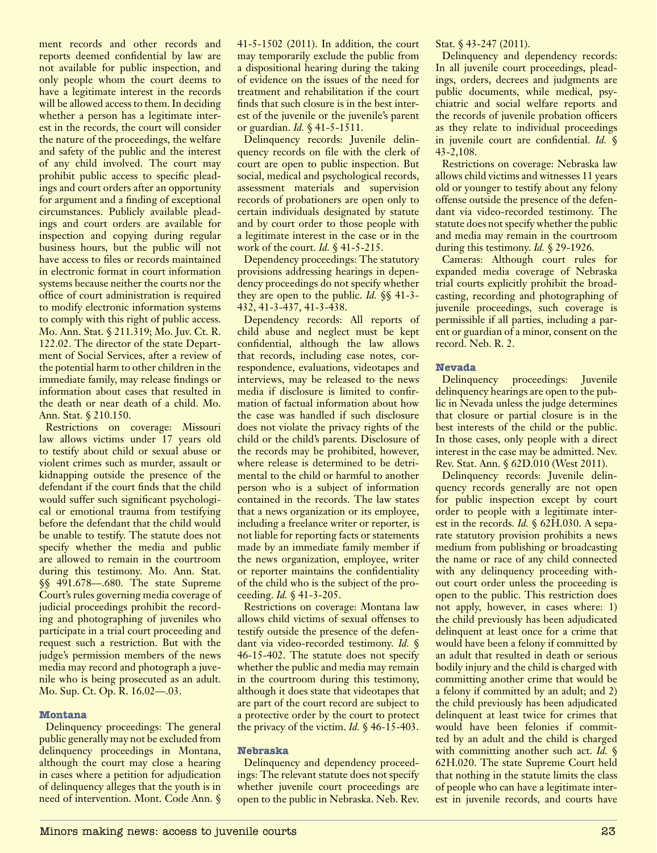ment records and other records and reports deemed confidential by law are not available for public inspection, and only people whom the court deems to have a legitimate interest in the records will be allowed access to them. In deciding whether a person has a legitimate interest in the records, the court will consider the nature of the proceedings, the welfare and safety of the public and the interest of any child involved. The court may prohibit public access to specific pleadings and court orders after an opportunity for argument and a finding of exceptional circumstances. Publicly available pleadings and court orders are available for inspection and copying during regular business hours, but the public will not have access to files or records maintained in electronic format in court information systems because neither the courts nor the office of court administration is required to modify electronic information systems to comply with this right of public access. Mo. Ann. Stat. § 211.319; Mo. Juv. Ct. R. 122.02. The director of the state Department of Social Services, after a review of the potential harm to other children in the immediate family, may release findings or information about cases that resulted in the death or near death of a child. Mo. Ann. Stat. § 210.150.

Restrictions on coverage: Missouri law allows victims under 17 years old to testify about child or sexual abuse or violent crimes such as murder, assault or kidnapping outside the presence of the defendant if the court finds that the child would suffer such significant psychological or emotional trauma from testifying before the defendant that the child would be unable to testify. The statute does not specify whether the media and public are allowed to remain in the courtroom during this testimony. Mo. Ann. Stat. §§ 491.678—.680. The state Supreme Court's rules governing media coverage of judicial proceedings prohibit the recording and photographing of juveniles who participate in a trial court proceeding and request such a restriction. But with the judge's permission members of the news media may record and photograph a juvenile who is being prosecuted as an adult. Mo. Sup. Ct. Op. R. 16.02—.03.

## **Montana**

Delinquency proceedings: The general public generally may not be excluded from delinquency proceedings in Montana, although the court may close a hearing in cases where a petition for adjudication of delinquency alleges that the youth is in need of intervention. Mont. Code Ann. § 41-5-1502 (2011). In addition, the court may temporarily exclude the public from a dispositional hearing during the taking of evidence on the issues of the need for treatment and rehabilitation if the court finds that such closure is in the best interest of the juvenile or the juvenile's parent or guardian. *Id.* § 41-5-1511.

Delinquency records: Juvenile delinquency records on file with the clerk of court are open to public inspection. But social, medical and psychological records, assessment materials and supervision records of probationers are open only to certain individuals designated by statute and by court order to those people with a legitimate interest in the case or in the work of the court. *Id.* § 41-5-215.

Dependency proceedings: The statutory provisions addressing hearings in dependency proceedings do not specify whether they are open to the public. *Id.* §§ 41-3- 432, 41-3-437, 41-3-438.

Dependency records: All reports of child abuse and neglect must be kept confidential, although the law allows that records, including case notes, correspondence, evaluations, videotapes and interviews, may be released to the news media if disclosure is limited to confirmation of factual information about how the case was handled if such disclosure does not violate the privacy rights of the child or the child's parents. Disclosure of the records may be prohibited, however, where release is determined to be detrimental to the child or harmful to another person who is a subject of information contained in the records. The law states that a news organization or its employee, including a freelance writer or reporter, is not liable for reporting facts or statements made by an immediate family member if the news organization, employee, writer or reporter maintains the confidentiality of the child who is the subject of the proceeding. *Id.* § 41-3-205.

Restrictions on coverage: Montana law allows child victims of sexual offenses to testify outside the presence of the defendant via video-recorded testimony. *Id.* § 46-15-402. The statute does not specify whether the public and media may remain in the courtroom during this testimony, although it does state that videotapes that are part of the court record are subject to a protective order by the court to protect the privacy of the victim. *Id.* § 46-15-403.

## **Nebraska**

Delinquency and dependency proceedings: The relevant statute does not specify whether juvenile court proceedings are open to the public in Nebraska. Neb. Rev. Stat. § 43-247 (2011).

Delinquency and dependency records: In all juvenile court proceedings, pleadings, orders, decrees and judgments are public documents, while medical, psychiatric and social welfare reports and the records of juvenile probation officers as they relate to individual proceedings in juvenile court are confidential. *Id.* § 43-2,108.

Restrictions on coverage: Nebraska law allows child victims and witnesses 11 years old or younger to testify about any felony offense outside the presence of the defendant via video-recorded testimony. The statute does not specify whether the public and media may remain in the courtroom during this testimony. *Id.* § 29-1926.

Cameras: Although court rules for expanded media coverage of Nebraska trial courts explicitly prohibit the broadcasting, recording and photographing of juvenile proceedings, such coverage is permissible if all parties, including a parent or guardian of a minor, consent on the record. Neb. R. 2.

## **Nevada**

Delinquency proceedings: Juvenile delinquency hearings are open to the public in Nevada unless the judge determines that closure or partial closure is in the best interests of the child or the public. In those cases, only people with a direct interest in the case may be admitted. Nev. Rev. Stat. Ann. § 62D.010 (West 2011).

Delinquency records: Juvenile delinquency records generally are not open for public inspection except by court order to people with a legitimate interest in the records. *Id.* § 62H.030. A separate statutory provision prohibits a news medium from publishing or broadcasting the name or race of any child connected with any delinquency proceeding without court order unless the proceeding is open to the public. This restriction does not apply, however, in cases where: 1) the child previously has been adjudicated delinquent at least once for a crime that would have been a felony if committed by an adult that resulted in death or serious bodily injury and the child is charged with committing another crime that would be a felony if committed by an adult; and 2) the child previously has been adjudicated delinquent at least twice for crimes that would have been felonies if committed by an adult and the child is charged with committing another such act. *Id.* § 62H.020. The state Supreme Court held that nothing in the statute limits the class of people who can have a legitimate interest in juvenile records, and courts have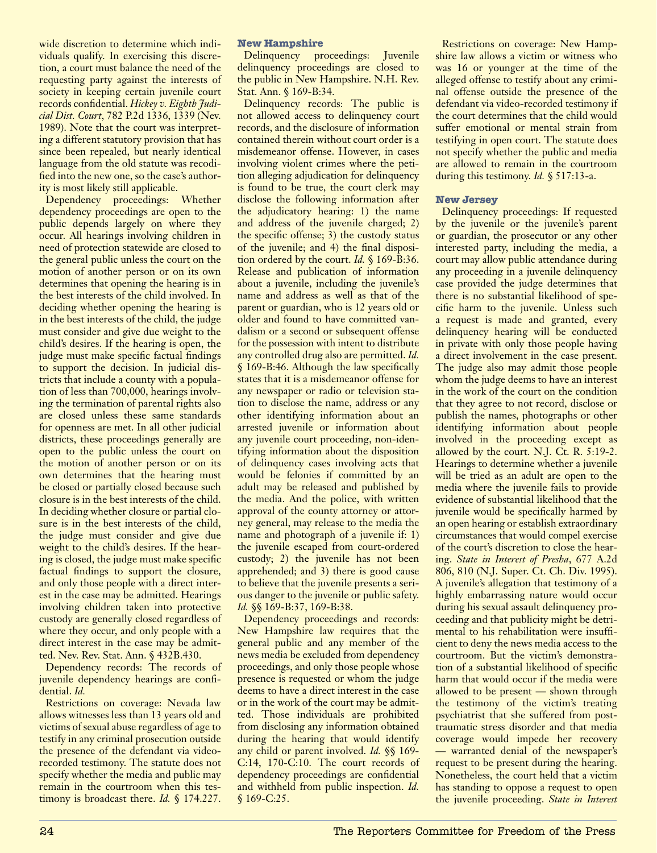wide discretion to determine which individuals qualify. In exercising this discretion, a court must balance the need of the requesting party against the interests of society in keeping certain juvenile court records confidential. *Hickey v. Eighth Judicial Dist. Court*, 782 P.2d 1336, 1339 (Nev. 1989). Note that the court was interpreting a different statutory provision that has since been repealed, but nearly identical language from the old statute was recodified into the new one, so the case's authority is most likely still applicable.

Dependency proceedings: Whether dependency proceedings are open to the public depends largely on where they occur. All hearings involving children in need of protection statewide are closed to the general public unless the court on the motion of another person or on its own determines that opening the hearing is in the best interests of the child involved. In deciding whether opening the hearing is in the best interests of the child, the judge must consider and give due weight to the child's desires. If the hearing is open, the judge must make specific factual findings to support the decision. In judicial districts that include a county with a population of less than 700,000, hearings involving the termination of parental rights also are closed unless these same standards for openness are met. In all other judicial districts, these proceedings generally are open to the public unless the court on the motion of another person or on its own determines that the hearing must be closed or partially closed because such closure is in the best interests of the child. In deciding whether closure or partial closure is in the best interests of the child, the judge must consider and give due weight to the child's desires. If the hearing is closed, the judge must make specific factual findings to support the closure, and only those people with a direct interest in the case may be admitted. Hearings involving children taken into protective custody are generally closed regardless of where they occur, and only people with a direct interest in the case may be admitted. Nev. Rev. Stat. Ann. § 432B.430.

Dependency records: The records of juvenile dependency hearings are confidential. *Id.*

Restrictions on coverage: Nevada law allows witnesses less than 13 years old and victims of sexual abuse regardless of age to testify in any criminal prosecution outside the presence of the defendant via videorecorded testimony. The statute does not specify whether the media and public may remain in the courtroom when this testimony is broadcast there. *Id.* § 174.227.

## **New Hampshire**

Delinquency proceedings: Juvenile delinquency proceedings are closed to the public in New Hampshire. N.H. Rev. Stat. Ann. § 169-B:34.

Delinquency records: The public is not allowed access to delinquency court records, and the disclosure of information contained therein without court order is a misdemeanor offense. However, in cases involving violent crimes where the petition alleging adjudication for delinquency is found to be true, the court clerk may disclose the following information after the adjudicatory hearing: 1) the name and address of the juvenile charged; 2) the specific offense; 3) the custody status of the juvenile; and 4) the final disposition ordered by the court. *Id.* § 169-B:36. Release and publication of information about a juvenile, including the juvenile's name and address as well as that of the parent or guardian, who is 12 years old or older and found to have committed vandalism or a second or subsequent offense for the possession with intent to distribute any controlled drug also are permitted. *Id.* § 169-B:46. Although the law specifically states that it is a misdemeanor offense for any newspaper or radio or television station to disclose the name, address or any other identifying information about an arrested juvenile or information about any juvenile court proceeding, non-identifying information about the disposition of delinquency cases involving acts that would be felonies if committed by an adult may be released and published by the media. And the police, with written approval of the county attorney or attorney general, may release to the media the name and photograph of a juvenile if: 1) the juvenile escaped from court-ordered custody; 2) the juvenile has not been apprehended; and 3) there is good cause to believe that the juvenile presents a serious danger to the juvenile or public safety. *Id.* §§ 169-B:37, 169-B:38.

Dependency proceedings and records: New Hampshire law requires that the general public and any member of the news media be excluded from dependency proceedings, and only those people whose presence is requested or whom the judge deems to have a direct interest in the case or in the work of the court may be admitted. Those individuals are prohibited from disclosing any information obtained during the hearing that would identify any child or parent involved. *Id.* §§ 169- C:14, 170-C:10. The court records of dependency proceedings are confidential and withheld from public inspection. *Id.* § 169-C:25.

Restrictions on coverage: New Hampshire law allows a victim or witness who was 16 or younger at the time of the alleged offense to testify about any criminal offense outside the presence of the defendant via video-recorded testimony if the court determines that the child would suffer emotional or mental strain from testifying in open court. The statute does not specify whether the public and media are allowed to remain in the courtroom during this testimony. *Id.* § 517:13-a.

## **New Jersey**

Delinquency proceedings: If requested by the juvenile or the juvenile's parent or guardian, the prosecutor or any other interested party, including the media, a court may allow public attendance during any proceeding in a juvenile delinquency case provided the judge determines that there is no substantial likelihood of specific harm to the juvenile. Unless such a request is made and granted, every delinquency hearing will be conducted in private with only those people having a direct involvement in the case present. The judge also may admit those people whom the judge deems to have an interest in the work of the court on the condition that they agree to not record, disclose or publish the names, photographs or other identifying information about people involved in the proceeding except as allowed by the court. N.J. Ct. R. 5:19-2. Hearings to determine whether a juvenile will be tried as an adult are open to the media where the juvenile fails to provide evidence of substantial likelihood that the juvenile would be specifically harmed by an open hearing or establish extraordinary circumstances that would compel exercise of the court's discretion to close the hearing. *State in Interest of Presha*, 677 A.2d 806, 810 (N.J. Super. Ct. Ch. Div. 1995). A juvenile's allegation that testimony of a highly embarrassing nature would occur during his sexual assault delinquency proceeding and that publicity might be detrimental to his rehabilitation were insufficient to deny the news media access to the courtroom. But the victim's demonstration of a substantial likelihood of specific harm that would occur if the media were allowed to be present — shown through the testimony of the victim's treating psychiatrist that she suffered from posttraumatic stress disorder and that media coverage would impede her recovery — warranted denial of the newspaper's request to be present during the hearing. Nonetheless, the court held that a victim has standing to oppose a request to open the juvenile proceeding. *State in Interest*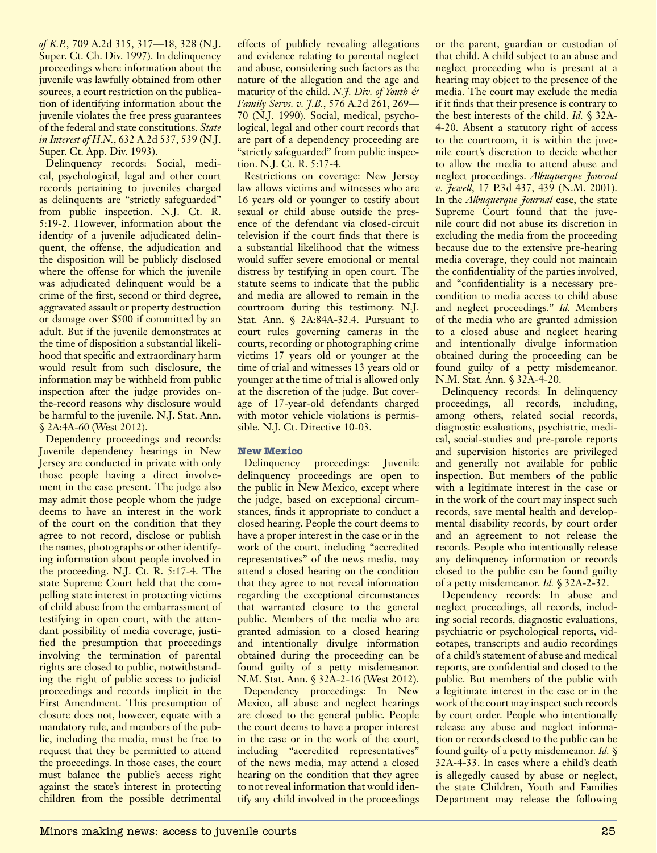*of K.P.*, 709 A.2d 315, 317—18, 328 (N.J. Super. Ct. Ch. Div. 1997). In delinquency proceedings where information about the juvenile was lawfully obtained from other sources, a court restriction on the publication of identifying information about the juvenile violates the free press guarantees of the federal and state constitutions. *State in Interest of H.N.*, 632 A.2d 537, 539 (N.J. Super. Ct. App. Div. 1993).

Delinquency records: Social, medical, psychological, legal and other court records pertaining to juveniles charged as delinquents are "strictly safeguarded" from public inspection. N.J. Ct. R. 5:19-2. However, information about the identity of a juvenile adjudicated delinquent, the offense, the adjudication and the disposition will be publicly disclosed where the offense for which the juvenile was adjudicated delinquent would be a crime of the first, second or third degree, aggravated assault or property destruction or damage over \$500 if committed by an adult. But if the juvenile demonstrates at the time of disposition a substantial likelihood that specific and extraordinary harm would result from such disclosure, the information may be withheld from public inspection after the judge provides onthe-record reasons why disclosure would be harmful to the juvenile. N.J. Stat. Ann. § 2A:4A-60 (West 2012).

Dependency proceedings and records: Juvenile dependency hearings in New Jersey are conducted in private with only those people having a direct involvement in the case present. The judge also may admit those people whom the judge deems to have an interest in the work of the court on the condition that they agree to not record, disclose or publish the names, photographs or other identifying information about people involved in the proceeding. N.J. Ct. R. 5:17-4. The state Supreme Court held that the compelling state interest in protecting victims of child abuse from the embarrassment of testifying in open court, with the attendant possibility of media coverage, justified the presumption that proceedings involving the termination of parental rights are closed to public, notwithstanding the right of public access to judicial proceedings and records implicit in the First Amendment. This presumption of closure does not, however, equate with a mandatory rule, and members of the public, including the media, must be free to request that they be permitted to attend the proceedings. In those cases, the court must balance the public's access right against the state's interest in protecting children from the possible detrimental

effects of publicly revealing allegations and evidence relating to parental neglect and abuse, considering such factors as the nature of the allegation and the age and maturity of the child. *N.J. Div. of Youth & Family Servs. v. J.B.*, 576 A.2d 261, 269— 70 (N.J. 1990). Social, medical, psychological, legal and other court records that are part of a dependency proceeding are "strictly safeguarded" from public inspection. N.J. Ct. R. 5:17-4.

Restrictions on coverage: New Jersey law allows victims and witnesses who are 16 years old or younger to testify about sexual or child abuse outside the presence of the defendant via closed-circuit television if the court finds that there is a substantial likelihood that the witness would suffer severe emotional or mental distress by testifying in open court. The statute seems to indicate that the public and media are allowed to remain in the courtroom during this testimony. N.J. Stat. Ann. § 2A:84A-32.4. Pursuant to court rules governing cameras in the courts, recording or photographing crime victims 17 years old or younger at the time of trial and witnesses 13 years old or younger at the time of trial is allowed only at the discretion of the judge. But coverage of 17-year-old defendants charged with motor vehicle violations is permissible. N.J. Ct. Directive 10-03.

## **New Mexico**

Delinquency proceedings: Juvenile delinquency proceedings are open to the public in New Mexico, except where the judge, based on exceptional circumstances, finds it appropriate to conduct a closed hearing. People the court deems to have a proper interest in the case or in the work of the court, including "accredited representatives" of the news media, may attend a closed hearing on the condition that they agree to not reveal information regarding the exceptional circumstances that warranted closure to the general public. Members of the media who are granted admission to a closed hearing and intentionally divulge information obtained during the proceeding can be found guilty of a petty misdemeanor. N.M. Stat. Ann. § 32A-2-16 (West 2012). Dependency proceedings: In New Mexico, all abuse and neglect hearings are closed to the general public. People the court deems to have a proper interest in the case or in the work of the court, including "accredited representatives" of the news media, may attend a closed hearing on the condition that they agree to not reveal information that would identify any child involved in the proceedings

or the parent, guardian or custodian of that child. A child subject to an abuse and neglect proceeding who is present at a hearing may object to the presence of the media. The court may exclude the media if it finds that their presence is contrary to the best interests of the child. *Id.* § 32A-4-20. Absent a statutory right of access to the courtroom, it is within the juvenile court's discretion to decide whether to allow the media to attend abuse and neglect proceedings. *Albuquerque Journal v. Jewell*, 17 P.3d 437, 439 (N.M. 2001). In the *Albuquerque Journal* case, the state Supreme Court found that the juvenile court did not abuse its discretion in excluding the media from the proceeding because due to the extensive pre-hearing media coverage, they could not maintain the confidentiality of the parties involved, and "confidentiality is a necessary precondition to media access to child abuse and neglect proceedings." *Id.* Members of the media who are granted admission to a closed abuse and neglect hearing and intentionally divulge information obtained during the proceeding can be found guilty of a petty misdemeanor. N.M. Stat. Ann. § 32A-4-20.

Delinquency records: In delinquency proceedings, all records, including, among others, related social records, diagnostic evaluations, psychiatric, medical, social-studies and pre-parole reports and supervision histories are privileged and generally not available for public inspection. But members of the public with a legitimate interest in the case or in the work of the court may inspect such records, save mental health and developmental disability records, by court order and an agreement to not release the records. People who intentionally release any delinquency information or records closed to the public can be found guilty of a petty misdemeanor. *Id.* § 32A-2-32.

Dependency records: In abuse and neglect proceedings, all records, including social records, diagnostic evaluations, psychiatric or psychological reports, videotapes, transcripts and audio recordings of a child's statement of abuse and medical reports, are confidential and closed to the public. But members of the public with a legitimate interest in the case or in the work of the court may inspect such records by court order. People who intentionally release any abuse and neglect information or records closed to the public can be found guilty of a petty misdemeanor. *Id.* § 32A-4-33. In cases where a child's death is allegedly caused by abuse or neglect, the state Children, Youth and Families Department may release the following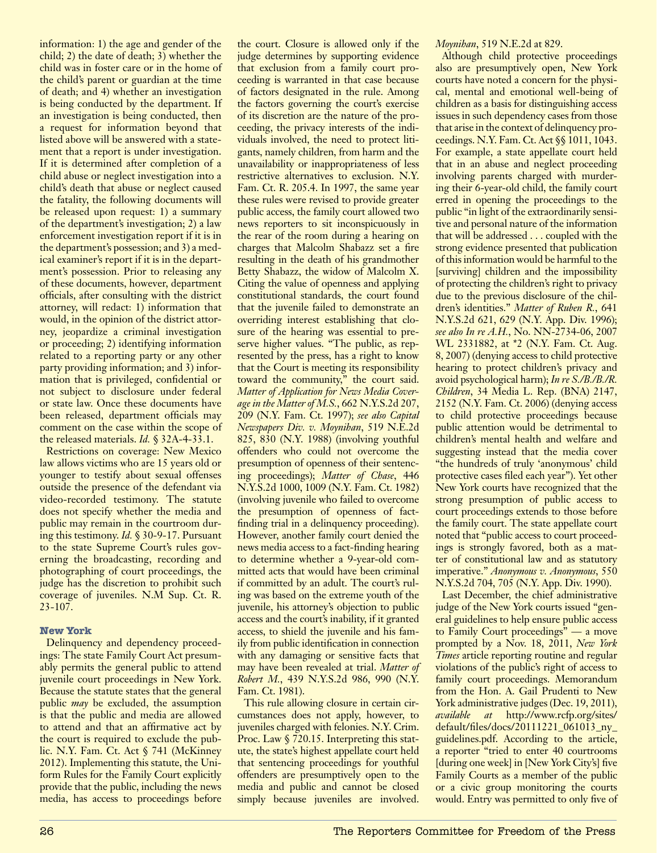information: 1) the age and gender of the child; 2) the date of death; 3) whether the child was in foster care or in the home of the child's parent or guardian at the time of death; and 4) whether an investigation is being conducted by the department. If an investigation is being conducted, then a request for information beyond that listed above will be answered with a statement that a report is under investigation. If it is determined after completion of a child abuse or neglect investigation into a child's death that abuse or neglect caused the fatality, the following documents will be released upon request: 1) a summary of the department's investigation; 2) a law enforcement investigation report if it is in the department's possession; and 3) a medical examiner's report if it is in the department's possession. Prior to releasing any of these documents, however, department officials, after consulting with the district attorney, will redact: 1) information that would, in the opinion of the district attorney, jeopardize a criminal investigation or proceeding; 2) identifying information related to a reporting party or any other party providing information; and 3) information that is privileged, confidential or not subject to disclosure under federal or state law. Once these documents have been released, department officials may comment on the case within the scope of the released materials. *Id.* § 32A-4-33.1.

Restrictions on coverage: New Mexico law allows victims who are 15 years old or younger to testify about sexual offenses outside the presence of the defendant via video-recorded testimony. The statute does not specify whether the media and public may remain in the courtroom during this testimony. *Id.* § 30-9-17. Pursuant to the state Supreme Court's rules governing the broadcasting, recording and photographing of court proceedings, the judge has the discretion to prohibit such coverage of juveniles. N.M Sup. Ct. R.  $23 - 107.$ 

## **New York**

Delinquency and dependency proceedings: The state Family Court Act presumably permits the general public to attend juvenile court proceedings in New York. Because the statute states that the general public *may* be excluded, the assumption is that the public and media are allowed to attend and that an affirmative act by the court is required to exclude the public. N.Y. Fam. Ct. Act § 741 (McKinney 2012). Implementing this statute, the Uniform Rules for the Family Court explicitly provide that the public, including the news media, has access to proceedings before

the court. Closure is allowed only if the judge determines by supporting evidence that exclusion from a family court proceeding is warranted in that case because of factors designated in the rule. Among the factors governing the court's exercise of its discretion are the nature of the proceeding, the privacy interests of the individuals involved, the need to protect litigants, namely children, from harm and the unavailability or inappropriateness of less restrictive alternatives to exclusion. N.Y. Fam. Ct. R. 205.4. In 1997, the same year these rules were revised to provide greater public access, the family court allowed two news reporters to sit inconspicuously in the rear of the room during a hearing on charges that Malcolm Shabazz set a fire resulting in the death of his grandmother Betty Shabazz, the widow of Malcolm X. Citing the value of openness and applying constitutional standards, the court found that the juvenile failed to demonstrate an overriding interest establishing that closure of the hearing was essential to preserve higher values. "The public, as represented by the press, has a right to know that the Court is meeting its responsibility toward the community," the court said. *Matter of Application for News Media Coverage in the Matter of M.S.*, 662 N.Y.S.2d 207, 209 (N.Y. Fam. Ct. 1997); *see also Capital Newspapers Div. v. Moynihan*, 519 N.E.2d 825, 830 (N.Y. 1988) (involving youthful offenders who could not overcome the presumption of openness of their sentencing proceedings); *Matter of Chase*, 446 N.Y.S.2d 1000, 1009 (N.Y. Fam. Ct. 1982) (involving juvenile who failed to overcome the presumption of openness of factfinding trial in a delinquency proceeding). However, another family court denied the news media access to a fact-finding hearing to determine whether a 9-year-old committed acts that would have been criminal if committed by an adult. The court's ruling was based on the extreme youth of the juvenile, his attorney's objection to public access and the court's inability, if it granted access, to shield the juvenile and his family from public identification in connection with any damaging or sensitive facts that may have been revealed at trial. *Matter of Robert M.*, 439 N.Y.S.2d 986, 990 (N.Y. Fam. Ct. 1981).

This rule allowing closure in certain circumstances does not apply, however, to juveniles charged with felonies. N.Y. Crim. Proc. Law § 720.15. Interpreting this statute, the state's highest appellate court held that sentencing proceedings for youthful offenders are presumptively open to the media and public and cannot be closed simply because juveniles are involved.

## *Moynihan*, 519 N.E.2d at 829.

Although child protective proceedings also are presumptively open, New York courts have noted a concern for the physical, mental and emotional well-being of children as a basis for distinguishing access issues in such dependency cases from those that arise in the context of delinquency proceedings. N.Y. Fam. Ct. Act §§ 1011, 1043. For example, a state appellate court held that in an abuse and neglect proceeding involving parents charged with murdering their 6-year-old child, the family court erred in opening the proceedings to the public "in light of the extraordinarily sensitive and personal nature of the information that will be addressed . . . coupled with the strong evidence presented that publication of this information would be harmful to the [surviving] children and the impossibility of protecting the children's right to privacy due to the previous disclosure of the children's identities." *Matter of Ruben R.*, 641 N.Y.S.2d 621, 629 (N.Y. App. Div. 1996); *see also In re A.H.*, No. NN-2734-06, 2007 WL 2331882, at \*2 (N.Y. Fam. Ct. Aug. 8, 2007) (denying access to child protective hearing to protect children's privacy and avoid psychological harm); *In re S./B./B./R. Children*, 34 Media L. Rep. (BNA) 2147, 2152 (N.Y. Fam. Ct. 2006) (denying access to child protective proceedings because public attention would be detrimental to children's mental health and welfare and suggesting instead that the media cover "the hundreds of truly 'anonymous' child protective cases filed each year"). Yet other New York courts have recognized that the strong presumption of public access to court proceedings extends to those before the family court. The state appellate court noted that "public access to court proceedings is strongly favored, both as a matter of constitutional law and as statutory imperative." *Anonymous v. Anonymous*, 550 N.Y.S.2d 704, 705 (N.Y. App. Div. 1990).

Last December, the chief administrative judge of the New York courts issued "general guidelines to help ensure public access to Family Court proceedings" — a move prompted by a Nov. 18, 2011, *New York Times* article reporting routine and regular violations of the public's right of access to family court proceedings. Memorandum from the Hon. A. Gail Prudenti to New York administrative judges (Dec. 19, 2011), *available at* http://www.rcfp.org/sites/ default/files/docs/20111221\_061013\_ny\_ guidelines.pdf. According to the article, a reporter "tried to enter 40 courtrooms [during one week] in [New York City's] five Family Courts as a member of the public or a civic group monitoring the courts would. Entry was permitted to only five of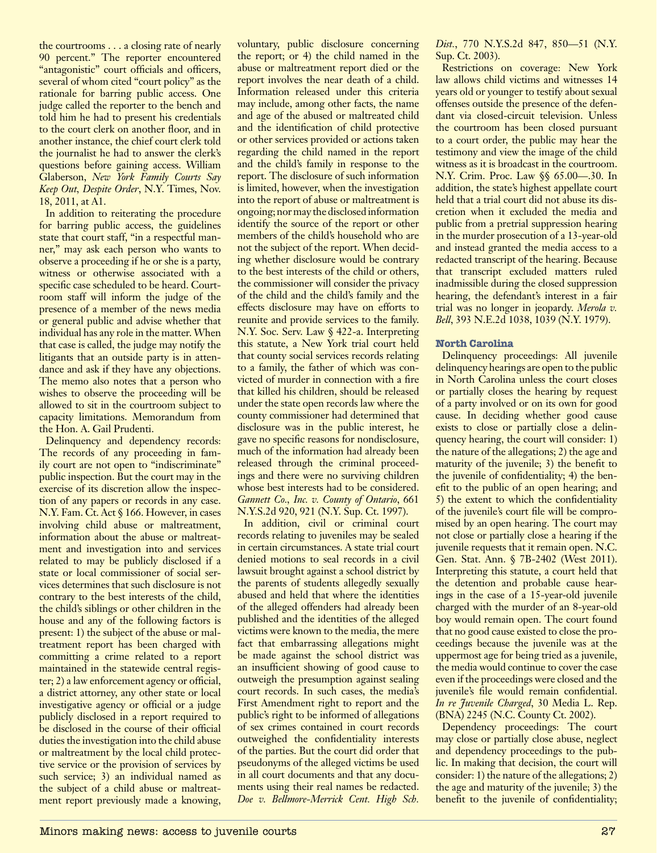the courtrooms . . . a closing rate of nearly 90 percent." The reporter encountered "antagonistic" court officials and officers, several of whom cited "court policy" as the rationale for barring public access. One judge called the reporter to the bench and told him he had to present his credentials to the court clerk on another floor, and in another instance, the chief court clerk told the journalist he had to answer the clerk's questions before gaining access. William Glaberson, *New York Family Courts Say Keep Out, Despite Order*, N.Y. Times, Nov. 18, 2011, at A1.

In addition to reiterating the procedure for barring public access, the guidelines state that court staff, "in a respectful manner," may ask each person who wants to observe a proceeding if he or she is a party, witness or otherwise associated with a specific case scheduled to be heard. Courtroom staff will inform the judge of the presence of a member of the news media or general public and advise whether that individual has any role in the matter. When that case is called, the judge may notify the litigants that an outside party is in attendance and ask if they have any objections. The memo also notes that a person who wishes to observe the proceeding will be allowed to sit in the courtroom subject to capacity limitations. Memorandum from the Hon. A. Gail Prudenti.

Delinquency and dependency records: The records of any proceeding in family court are not open to "indiscriminate" public inspection. But the court may in the exercise of its discretion allow the inspection of any papers or records in any case. N.Y. Fam. Ct. Act § 166. However, in cases involving child abuse or maltreatment, information about the abuse or maltreatment and investigation into and services related to may be publicly disclosed if a state or local commissioner of social services determines that such disclosure is not contrary to the best interests of the child, the child's siblings or other children in the house and any of the following factors is present: 1) the subject of the abuse or maltreatment report has been charged with committing a crime related to a report maintained in the statewide central register; 2) a law enforcement agency or official, a district attorney, any other state or local investigative agency or official or a judge publicly disclosed in a report required to be disclosed in the course of their official duties the investigation into the child abuse or maltreatment by the local child protective service or the provision of services by such service; 3) an individual named as the subject of a child abuse or maltreatment report previously made a knowing, voluntary, public disclosure concerning the report; or 4) the child named in the abuse or maltreatment report died or the report involves the near death of a child. Information released under this criteria may include, among other facts, the name and age of the abused or maltreated child and the identification of child protective or other services provided or actions taken regarding the child named in the report and the child's family in response to the report. The disclosure of such information is limited, however, when the investigation into the report of abuse or maltreatment is ongoing; nor may the disclosed information identify the source of the report or other members of the child's household who are not the subject of the report. When deciding whether disclosure would be contrary to the best interests of the child or others, the commissioner will consider the privacy of the child and the child's family and the effects disclosure may have on efforts to reunite and provide services to the family. N.Y. Soc. Serv. Law § 422-a. Interpreting this statute, a New York trial court held that county social services records relating to a family, the father of which was convicted of murder in connection with a fire that killed his children, should be released under the state open records law where the county commissioner had determined that disclosure was in the public interest, he gave no specific reasons for nondisclosure, much of the information had already been released through the criminal proceedings and there were no surviving children whose best interests had to be considered. *Gannett Co., Inc. v. County of Ontario*, 661 N.Y.S.2d 920, 921 (N.Y. Sup. Ct. 1997).

In addition, civil or criminal court records relating to juveniles may be sealed in certain circumstances. A state trial court denied motions to seal records in a civil lawsuit brought against a school district by the parents of students allegedly sexually abused and held that where the identities of the alleged offenders had already been published and the identities of the alleged victims were known to the media, the mere fact that embarrassing allegations might be made against the school district was an insufficient showing of good cause to outweigh the presumption against sealing court records. In such cases, the media's First Amendment right to report and the public's right to be informed of allegations of sex crimes contained in court records outweighed the confidentiality interests of the parties. But the court did order that pseudonyms of the alleged victims be used in all court documents and that any documents using their real names be redacted. *Doe v. Bellmore-Merrick Cent. High Sch.* 

*Dist.*, 770 N.Y.S.2d 847, 850—51 (N.Y. Sup. Ct. 2003).

Restrictions on coverage: New York law allows child victims and witnesses 14 years old or younger to testify about sexual offenses outside the presence of the defendant via closed-circuit television. Unless the courtroom has been closed pursuant to a court order, the public may hear the testimony and view the image of the child witness as it is broadcast in the courtroom. N.Y. Crim. Proc. Law §§ 65.00—.30. In addition, the state's highest appellate court held that a trial court did not abuse its discretion when it excluded the media and public from a pretrial suppression hearing in the murder prosecution of a 13-year-old and instead granted the media access to a redacted transcript of the hearing. Because that transcript excluded matters ruled inadmissible during the closed suppression hearing, the defendant's interest in a fair trial was no longer in jeopardy. *Merola v. Bell*, 393 N.E.2d 1038, 1039 (N.Y. 1979).

## **North Carolina**

Delinquency proceedings: All juvenile delinquency hearings are open to the public in North Carolina unless the court closes or partially closes the hearing by request of a party involved or on its own for good cause. In deciding whether good cause exists to close or partially close a delinquency hearing, the court will consider: 1) the nature of the allegations; 2) the age and maturity of the juvenile; 3) the benefit to the juvenile of confidentiality; 4) the benefit to the public of an open hearing; and 5) the extent to which the confidentiality of the juvenile's court file will be compromised by an open hearing. The court may not close or partially close a hearing if the juvenile requests that it remain open. N.C. Gen. Stat. Ann. § 7B-2402 (West 2011). Interpreting this statute, a court held that the detention and probable cause hearings in the case of a 15-year-old juvenile charged with the murder of an 8-year-old boy would remain open. The court found that no good cause existed to close the proceedings because the juvenile was at the uppermost age for being tried as a juvenile, the media would continue to cover the case even if the proceedings were closed and the juvenile's file would remain confidential. *In re Juvenile Charged*, 30 Media L. Rep. (BNA) 2245 (N.C. County Ct. 2002).

Dependency proceedings: The court may close or partially close abuse, neglect and dependency proceedings to the public. In making that decision, the court will consider: 1) the nature of the allegations; 2) the age and maturity of the juvenile; 3) the benefit to the juvenile of confidentiality;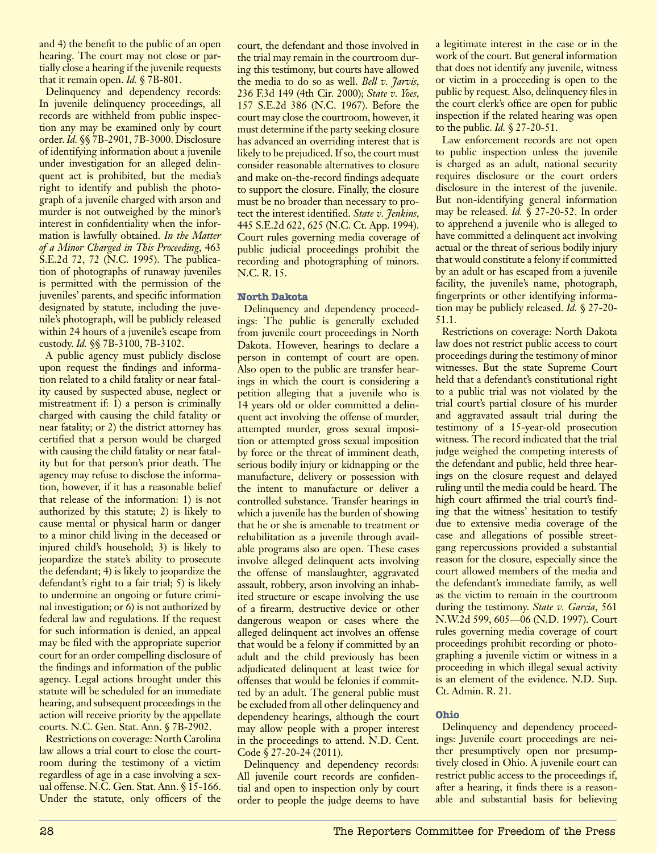and 4) the benefit to the public of an open hearing. The court may not close or partially close a hearing if the juvenile requests that it remain open. *Id.* § 7B-801.

Delinquency and dependency records: In juvenile delinquency proceedings, all records are withheld from public inspection any may be examined only by court order. *Id.* §§ 7B-2901, 7B-3000. Disclosure of identifying information about a juvenile under investigation for an alleged delinquent act is prohibited, but the media's right to identify and publish the photograph of a juvenile charged with arson and murder is not outweighed by the minor's interest in confidentiality when the information is lawfully obtained. *In the Matter of a Minor Charged in This Proceeding*, 463 S.E.2d 72, 72 (N.C. 1995). The publication of photographs of runaway juveniles is permitted with the permission of the juveniles' parents, and specific information designated by statute, including the juvenile's photograph, will be publicly released within 24 hours of a juvenile's escape from custody. *Id.* §§ 7B-3100, 7B-3102.

A public agency must publicly disclose upon request the findings and information related to a child fatality or near fatality caused by suspected abuse, neglect or mistreatment if: 1) a person is criminally charged with causing the child fatality or near fatality; or 2) the district attorney has certified that a person would be charged with causing the child fatality or near fatality but for that person's prior death. The agency may refuse to disclose the information, however, if it has a reasonable belief that release of the information: 1) is not authorized by this statute; 2) is likely to cause mental or physical harm or danger to a minor child living in the deceased or injured child's household; 3) is likely to jeopardize the state's ability to prosecute the defendant; 4) is likely to jeopardize the defendant's right to a fair trial; 5) is likely to undermine an ongoing or future criminal investigation; or 6) is not authorized by federal law and regulations. If the request for such information is denied, an appeal may be filed with the appropriate superior court for an order compelling disclosure of the findings and information of the public agency. Legal actions brought under this statute will be scheduled for an immediate hearing, and subsequent proceedings in the action will receive priority by the appellate courts. N.C. Gen. Stat. Ann. § 7B-2902.

Restrictions on coverage: North Carolina law allows a trial court to close the courtroom during the testimony of a victim regardless of age in a case involving a sexual offense. N.C. Gen. Stat. Ann. § 15-166. Under the statute, only officers of the court, the defendant and those involved in the trial may remain in the courtroom during this testimony, but courts have allowed the media to do so as well. *Bell v. Jarvis*, 236 F.3d 149 (4th Cir. 2000); *State v. Yoes*, 157 S.E.2d 386 (N.C. 1967). Before the court may close the courtroom, however, it must determine if the party seeking closure has advanced an overriding interest that is likely to be prejudiced. If so, the court must consider reasonable alternatives to closure and make on-the-record findings adequate to support the closure. Finally, the closure must be no broader than necessary to protect the interest identified. *State v. Jenkins*, 445 S.E.2d 622, 625 (N.C. Ct. App. 1994). Court rules governing media coverage of public judicial proceedings prohibit the recording and photographing of minors. N.C. R. 15.

## **North Dakota**

Delinquency and dependency proceedings: The public is generally excluded from juvenile court proceedings in North Dakota. However, hearings to declare a person in contempt of court are open. Also open to the public are transfer hearings in which the court is considering a petition alleging that a juvenile who is 14 years old or older committed a delinquent act involving the offense of murder, attempted murder, gross sexual imposition or attempted gross sexual imposition by force or the threat of imminent death, serious bodily injury or kidnapping or the manufacture, delivery or possession with the intent to manufacture or deliver a controlled substance. Transfer hearings in which a juvenile has the burden of showing that he or she is amenable to treatment or rehabilitation as a juvenile through available programs also are open. These cases involve alleged delinquent acts involving the offense of manslaughter, aggravated assault, robbery, arson involving an inhabited structure or escape involving the use of a firearm, destructive device or other dangerous weapon or cases where the alleged delinquent act involves an offense that would be a felony if committed by an adult and the child previously has been adjudicated delinquent at least twice for offenses that would be felonies if committed by an adult. The general public must be excluded from all other delinquency and dependency hearings, although the court may allow people with a proper interest in the proceedings to attend. N.D. Cent. Code § 27-20-24 (2011).

Delinquency and dependency records: All juvenile court records are confidential and open to inspection only by court order to people the judge deems to have a legitimate interest in the case or in the work of the court. But general information that does not identify any juvenile, witness or victim in a proceeding is open to the public by request. Also, delinquency files in the court clerk's office are open for public inspection if the related hearing was open to the public. *Id.* § 27-20-51.

Law enforcement records are not open to public inspection unless the juvenile is charged as an adult, national security requires disclosure or the court orders disclosure in the interest of the juvenile. But non-identifying general information may be released. *Id.* § 27-20-52. In order to apprehend a juvenile who is alleged to have committed a delinquent act involving actual or the threat of serious bodily injury that would constitute a felony if committed by an adult or has escaped from a juvenile facility, the juvenile's name, photograph, fingerprints or other identifying information may be publicly released. *Id.* § 27-20- 51.1.

Restrictions on coverage: North Dakota law does not restrict public access to court proceedings during the testimony of minor witnesses. But the state Supreme Court held that a defendant's constitutional right to a public trial was not violated by the trial court's partial closure of his murder and aggravated assault trial during the testimony of a 15-year-old prosecution witness. The record indicated that the trial judge weighed the competing interests of the defendant and public, held three hearings on the closure request and delayed ruling until the media could be heard. The high court affirmed the trial court's finding that the witness' hesitation to testify due to extensive media coverage of the case and allegations of possible streetgang repercussions provided a substantial reason for the closure, especially since the court allowed members of the media and the defendant's immediate family, as well as the victim to remain in the courtroom during the testimony. *State v. Garcia*, 561 N.W.2d 599, 605—06 (N.D. 1997). Court rules governing media coverage of court proceedings prohibit recording or photographing a juvenile victim or witness in a proceeding in which illegal sexual activity is an element of the evidence. N.D. Sup. Ct. Admin. R. 21.

## **Ohio**

Delinquency and dependency proceedings: Juvenile court proceedings are neither presumptively open nor presumptively closed in Ohio. A juvenile court can restrict public access to the proceedings if, after a hearing, it finds there is a reasonable and substantial basis for believing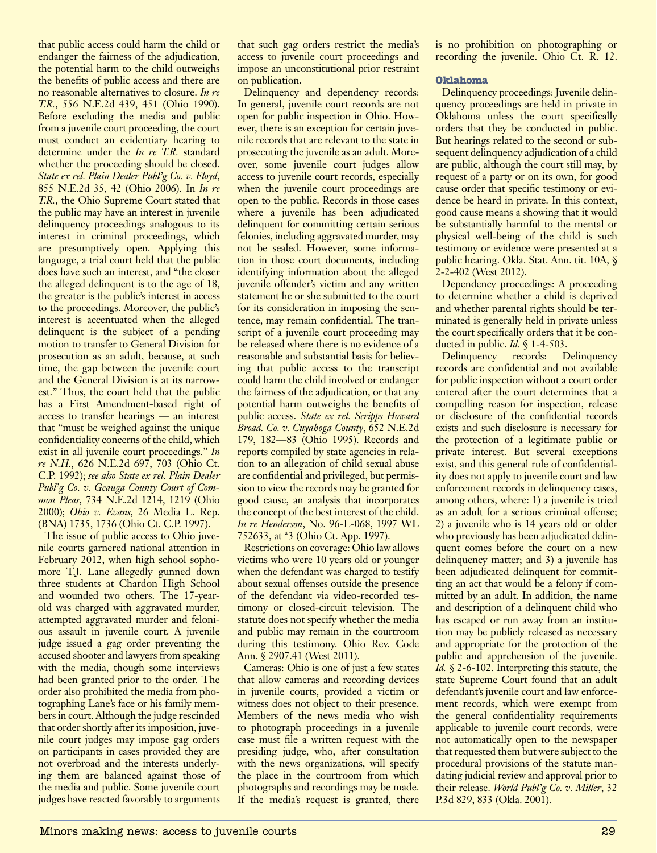that public access could harm the child or endanger the fairness of the adjudication, the potential harm to the child outweighs the benefits of public access and there are no reasonable alternatives to closure. *In re T.R.*, 556 N.E.2d 439, 451 (Ohio 1990). Before excluding the media and public from a juvenile court proceeding, the court must conduct an evidentiary hearing to determine under the *In re T.R.* standard whether the proceeding should be closed. *State ex rel. Plain Dealer Publ'g Co. v. Floyd*, 855 N.E.2d 35, 42 (Ohio 2006). In *In re T.R.*, the Ohio Supreme Court stated that the public may have an interest in juvenile delinquency proceedings analogous to its interest in criminal proceedings, which are presumptively open. Applying this language, a trial court held that the public does have such an interest, and "the closer the alleged delinquent is to the age of 18, the greater is the public's interest in access to the proceedings. Moreover, the public's interest is accentuated when the alleged delinquent is the subject of a pending motion to transfer to General Division for prosecution as an adult, because, at such time, the gap between the juvenile court and the General Division is at its narrowest." Thus, the court held that the public has a First Amendment-based right of access to transfer hearings — an interest that "must be weighed against the unique confidentiality concerns of the child, which exist in all juvenile court proceedings." *In re N.H.*, 626 N.E.2d 697, 703 (Ohio Ct. C.P. 1992); *see also State ex rel. Plain Dealer Publ'g Co. v. Geauga County Court of Common Pleas*, 734 N.E.2d 1214, 1219 (Ohio 2000); *Ohio v. Evans*, 26 Media L. Rep. (BNA) 1735, 1736 (Ohio Ct. C.P. 1997).

The issue of public access to Ohio juvenile courts garnered national attention in February 2012, when high school sophomore T.J. Lane allegedly gunned down three students at Chardon High School and wounded two others. The 17-yearold was charged with aggravated murder, attempted aggravated murder and felonious assault in juvenile court. A juvenile judge issued a gag order preventing the accused shooter and lawyers from speaking with the media, though some interviews had been granted prior to the order. The order also prohibited the media from photographing Lane's face or his family members in court. Although the judge rescinded that order shortly after its imposition, juvenile court judges may impose gag orders on participants in cases provided they are not overbroad and the interests underlying them are balanced against those of the media and public. Some juvenile court judges have reacted favorably to arguments that such gag orders restrict the media's access to juvenile court proceedings and impose an unconstitutional prior restraint on publication.

Delinquency and dependency records: In general, juvenile court records are not open for public inspection in Ohio. However, there is an exception for certain juvenile records that are relevant to the state in prosecuting the juvenile as an adult. Moreover, some juvenile court judges allow access to juvenile court records, especially when the juvenile court proceedings are open to the public. Records in those cases where a juvenile has been adjudicated delinquent for committing certain serious felonies, including aggravated murder, may not be sealed. However, some information in those court documents, including identifying information about the alleged juvenile offender's victim and any written statement he or she submitted to the court for its consideration in imposing the sentence, may remain confidential. The transcript of a juvenile court proceeding may be released where there is no evidence of a reasonable and substantial basis for believing that public access to the transcript could harm the child involved or endanger the fairness of the adjudication, or that any potential harm outweighs the benefits of public access. *State ex rel. Scripps Howard Broad. Co. v. Cuyahoga County*, 652 N.E.2d 179, 182—83 (Ohio 1995). Records and reports compiled by state agencies in relation to an allegation of child sexual abuse are confidential and privileged, but permission to view the records may be granted for good cause, an analysis that incorporates the concept of the best interest of the child. *In re Henderson*, No. 96-L-068, 1997 WL 752633, at \*3 (Ohio Ct. App. 1997).

Restrictions on coverage: Ohio law allows victims who were 10 years old or younger when the defendant was charged to testify about sexual offenses outside the presence of the defendant via video-recorded testimony or closed-circuit television. The statute does not specify whether the media and public may remain in the courtroom during this testimony. Ohio Rev. Code Ann. § 2907.41 (West 2011).

Cameras: Ohio is one of just a few states that allow cameras and recording devices in juvenile courts, provided a victim or witness does not object to their presence. Members of the news media who wish to photograph proceedings in a juvenile case must file a written request with the presiding judge, who, after consultation with the news organizations, will specify the place in the courtroom from which photographs and recordings may be made. If the media's request is granted, there is no prohibition on photographing or recording the juvenile. Ohio Ct. R. 12.

## **Oklahoma**

Delinquency proceedings: Juvenile delinquency proceedings are held in private in Oklahoma unless the court specifically orders that they be conducted in public. But hearings related to the second or subsequent delinquency adjudication of a child are public, although the court still may, by request of a party or on its own, for good cause order that specific testimony or evidence be heard in private. In this context, good cause means a showing that it would be substantially harmful to the mental or physical well-being of the child is such testimony or evidence were presented at a public hearing. Okla. Stat. Ann. tit. 10A, § 2-2-402 (West 2012).

Dependency proceedings: A proceeding to determine whether a child is deprived and whether parental rights should be terminated is generally held in private unless the court specifically orders that it be conducted in public. *Id.* § 1-4-503.

Delinquency records: Delinquency records are confidential and not available for public inspection without a court order entered after the court determines that a compelling reason for inspection, release or disclosure of the confidential records exists and such disclosure is necessary for the protection of a legitimate public or private interest. But several exceptions exist, and this general rule of confidentiality does not apply to juvenile court and law enforcement records in delinquency cases, among others, where: 1) a juvenile is tried as an adult for a serious criminal offense; 2) a juvenile who is 14 years old or older who previously has been adjudicated delinquent comes before the court on a new delinquency matter; and 3) a juvenile has been adjudicated delinquent for committing an act that would be a felony if committed by an adult. In addition, the name and description of a delinquent child who has escaped or run away from an institution may be publicly released as necessary and appropriate for the protection of the public and apprehension of the juvenile. *Id.* § 2-6-102. Interpreting this statute, the state Supreme Court found that an adult defendant's juvenile court and law enforcement records, which were exempt from the general confidentiality requirements applicable to juvenile court records, were not automatically open to the newspaper that requested them but were subject to the procedural provisions of the statute mandating judicial review and approval prior to their release. *World Publ'g Co. v. Miller*, 32 P.3d 829, 833 (Okla. 2001).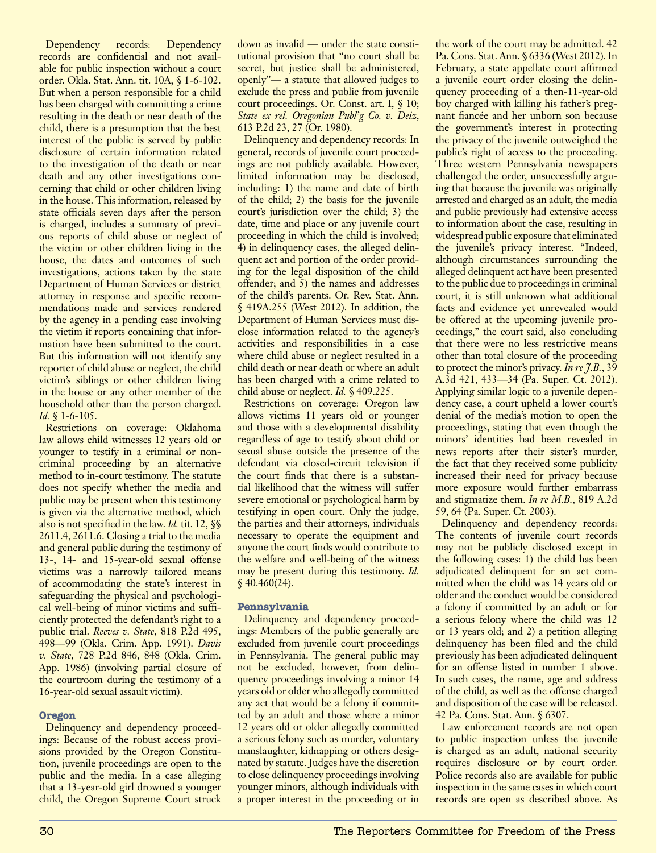Dependency records: Dependency records are confidential and not available for public inspection without a court order. Okla. Stat. Ann. tit. 10A, § 1-6-102. But when a person responsible for a child has been charged with committing a crime resulting in the death or near death of the child, there is a presumption that the best interest of the public is served by public disclosure of certain information related to the investigation of the death or near death and any other investigations concerning that child or other children living in the house. This information, released by state officials seven days after the person is charged, includes a summary of previous reports of child abuse or neglect of the victim or other children living in the house, the dates and outcomes of such investigations, actions taken by the state Department of Human Services or district attorney in response and specific recommendations made and services rendered by the agency in a pending case involving the victim if reports containing that information have been submitted to the court. But this information will not identify any reporter of child abuse or neglect, the child victim's siblings or other children living in the house or any other member of the household other than the person charged. *Id.* § 1-6-105.

Restrictions on coverage: Oklahoma law allows child witnesses 12 years old or younger to testify in a criminal or noncriminal proceeding by an alternative method to in-court testimony. The statute does not specify whether the media and public may be present when this testimony is given via the alternative method, which also is not specified in the law. *Id.* tit. 12, §§ 2611.4, 2611.6. Closing a trial to the media and general public during the testimony of 13-, 14- and 15-year-old sexual offense victims was a narrowly tailored means of accommodating the state's interest in safeguarding the physical and psychological well-being of minor victims and sufficiently protected the defendant's right to a public trial. *Reeves v. State*, 818 P.2d 495, 498—99 (Okla. Crim. App. 1991). *Davis v. State*, 728 P.2d 846, 848 (Okla. Crim. App. 1986) (involving partial closure of the courtroom during the testimony of a 16-year-old sexual assault victim).

## **Oregon**

Delinquency and dependency proceedings: Because of the robust access provisions provided by the Oregon Constitution, juvenile proceedings are open to the public and the media. In a case alleging that a 13-year-old girl drowned a younger child, the Oregon Supreme Court struck down as invalid — under the state constitutional provision that "no court shall be secret, but justice shall be administered, openly"— a statute that allowed judges to exclude the press and public from juvenile court proceedings. Or. Const. art. I, § 10; *State ex rel. Oregonian Publ'g Co. v. Deiz*, 613 P.2d 23, 27 (Or. 1980).

Delinquency and dependency records: In general, records of juvenile court proceedings are not publicly available. However, limited information may be disclosed, including: 1) the name and date of birth of the child; 2) the basis for the juvenile court's jurisdiction over the child; 3) the date, time and place or any juvenile court proceeding in which the child is involved; 4) in delinquency cases, the alleged delinquent act and portion of the order providing for the legal disposition of the child offender; and 5) the names and addresses of the child's parents. Or. Rev. Stat. Ann. § 419A.255 (West 2012). In addition, the Department of Human Services must disclose information related to the agency's activities and responsibilities in a case where child abuse or neglect resulted in a child death or near death or where an adult has been charged with a crime related to child abuse or neglect. *Id.* § 409.225.

Restrictions on coverage: Oregon law allows victims 11 years old or younger and those with a developmental disability regardless of age to testify about child or sexual abuse outside the presence of the defendant via closed-circuit television if the court finds that there is a substantial likelihood that the witness will suffer severe emotional or psychological harm by testifying in open court. Only the judge, the parties and their attorneys, individuals necessary to operate the equipment and anyone the court finds would contribute to the welfare and well-being of the witness may be present during this testimony. *Id.*  $$40.460(24).$ 

## **Pennsylvania**

Delinquency and dependency proceedings: Members of the public generally are excluded from juvenile court proceedings in Pennsylvania. The general public may not be excluded, however, from delinquency proceedings involving a minor 14 years old or older who allegedly committed any act that would be a felony if committed by an adult and those where a minor 12 years old or older allegedly committed a serious felony such as murder, voluntary manslaughter, kidnapping or others designated by statute. Judges have the discretion to close delinquency proceedings involving younger minors, although individuals with a proper interest in the proceeding or in

the work of the court may be admitted. 42 Pa. Cons. Stat. Ann. § 6336 (West 2012). In February, a state appellate court affirmed a juvenile court order closing the delinquency proceeding of a then-11-year-old boy charged with killing his father's pregnant fiancée and her unborn son because the government's interest in protecting the privacy of the juvenile outweighed the public's right of access to the proceeding. Three western Pennsylvania newspapers challenged the order, unsuccessfully arguing that because the juvenile was originally arrested and charged as an adult, the media and public previously had extensive access to information about the case, resulting in widespread public exposure that eliminated the juvenile's privacy interest. "Indeed, although circumstances surrounding the alleged delinquent act have been presented to the public due to proceedings in criminal court, it is still unknown what additional facts and evidence yet unrevealed would be offered at the upcoming juvenile proceedings," the court said, also concluding that there were no less restrictive means other than total closure of the proceeding to protect the minor's privacy. *In re J.B.*, 39 A.3d 421, 433—34 (Pa. Super. Ct. 2012). Applying similar logic to a juvenile dependency case, a court upheld a lower court's denial of the media's motion to open the proceedings, stating that even though the minors' identities had been revealed in news reports after their sister's murder, the fact that they received some publicity increased their need for privacy because more exposure would further embarrass and stigmatize them. *In re M.B.*, 819 A.2d 59, 64 (Pa. Super. Ct. 2003).

Delinquency and dependency records: The contents of juvenile court records may not be publicly disclosed except in the following cases: 1) the child has been adjudicated delinquent for an act committed when the child was 14 years old or older and the conduct would be considered a felony if committed by an adult or for a serious felony where the child was 12 or 13 years old; and 2) a petition alleging delinquency has been filed and the child previously has been adjudicated delinquent for an offense listed in number 1 above. In such cases, the name, age and address of the child, as well as the offense charged and disposition of the case will be released. 42 Pa. Cons. Stat. Ann. § 6307.

Law enforcement records are not open to public inspection unless the juvenile is charged as an adult, national security requires disclosure or by court order. Police records also are available for public inspection in the same cases in which court records are open as described above. As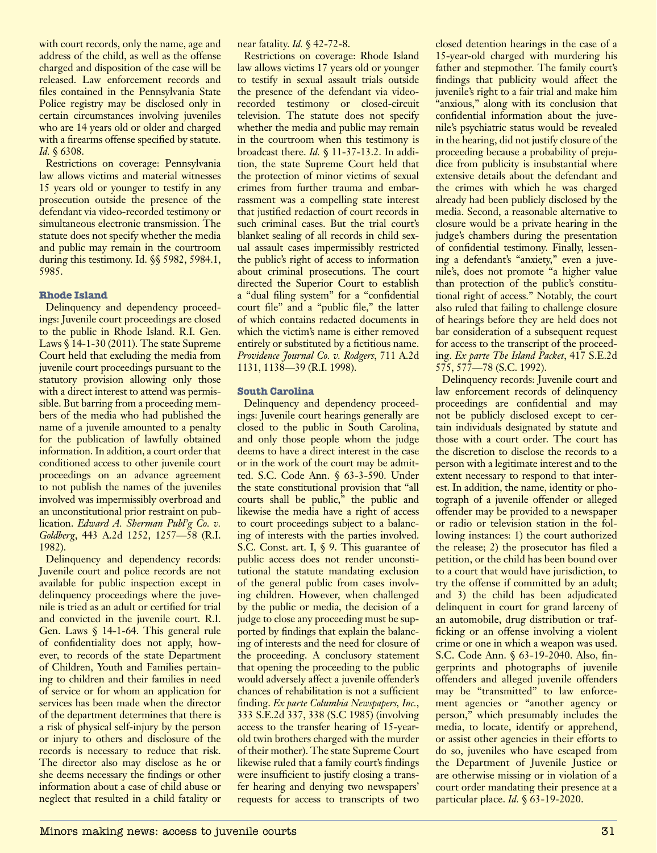with court records, only the name, age and address of the child, as well as the offense charged and disposition of the case will be released. Law enforcement records and files contained in the Pennsylvania State Police registry may be disclosed only in certain circumstances involving juveniles who are 14 years old or older and charged with a firearms offense specified by statute. *Id.* § 6308.

Restrictions on coverage: Pennsylvania law allows victims and material witnesses 15 years old or younger to testify in any prosecution outside the presence of the defendant via video-recorded testimony or simultaneous electronic transmission. The statute does not specify whether the media and public may remain in the courtroom during this testimony. Id. §§ 5982, 5984.1, 5985.

## **Rhode Island**

Delinquency and dependency proceedings: Juvenile court proceedings are closed to the public in Rhode Island. R.I. Gen. Laws § 14-1-30 (2011). The state Supreme Court held that excluding the media from juvenile court proceedings pursuant to the statutory provision allowing only those with a direct interest to attend was permissible. But barring from a proceeding members of the media who had published the name of a juvenile amounted to a penalty for the publication of lawfully obtained information. In addition, a court order that conditioned access to other juvenile court proceedings on an advance agreement to not publish the names of the juveniles involved was impermissibly overbroad and an unconstitutional prior restraint on publication. *Edward A. Sherman Publ'g Co. v. Goldberg*, 443 A.2d 1252, 1257—58 (R.I. 1982).

Delinquency and dependency records: Juvenile court and police records are not available for public inspection except in delinquency proceedings where the juvenile is tried as an adult or certified for trial and convicted in the juvenile court. R.I. Gen. Laws § 14-1-64. This general rule of confidentiality does not apply, however, to records of the state Department of Children, Youth and Families pertaining to children and their families in need of service or for whom an application for services has been made when the director of the department determines that there is a risk of physical self-injury by the person or injury to others and disclosure of the records is necessary to reduce that risk. The director also may disclose as he or she deems necessary the findings or other information about a case of child abuse or neglect that resulted in a child fatality or near fatality. *Id.* § 42-72-8.

Restrictions on coverage: Rhode Island law allows victims 17 years old or younger to testify in sexual assault trials outside the presence of the defendant via videorecorded testimony or closed-circuit television. The statute does not specify whether the media and public may remain in the courtroom when this testimony is broadcast there. *Id.* § 11-37-13.2. In addition, the state Supreme Court held that the protection of minor victims of sexual crimes from further trauma and embarrassment was a compelling state interest that justified redaction of court records in such criminal cases. But the trial court's blanket sealing of all records in child sexual assault cases impermissibly restricted the public's right of access to information about criminal prosecutions. The court directed the Superior Court to establish a "dual filing system" for a "confidential court file" and a "public file," the latter of which contains redacted documents in which the victim's name is either removed entirely or substituted by a fictitious name. *Providence Journal Co. v. Rodgers*, 711 A.2d 1131, 1138—39 (R.I. 1998).

## **South Carolina**

Delinquency and dependency proceedings: Juvenile court hearings generally are closed to the public in South Carolina, and only those people whom the judge deems to have a direct interest in the case or in the work of the court may be admitted. S.C. Code Ann. § 63-3-590. Under the state constitutional provision that "all courts shall be public," the public and likewise the media have a right of access to court proceedings subject to a balancing of interests with the parties involved. S.C. Const. art. I, § 9. This guarantee of public access does not render unconstitutional the statute mandating exclusion of the general public from cases involving children. However, when challenged by the public or media, the decision of a judge to close any proceeding must be supported by findings that explain the balancing of interests and the need for closure of the proceeding. A conclusory statement that opening the proceeding to the public would adversely affect a juvenile offender's chances of rehabilitation is not a sufficient finding. *Ex parte Columbia Newspapers, Inc.*, 333 S.E.2d 337, 338 (S.C 1985) (involving access to the transfer hearing of 15-yearold twin brothers charged with the murder of their mother). The state Supreme Court likewise ruled that a family court's findings were insufficient to justify closing a transfer hearing and denying two newspapers' requests for access to transcripts of two

closed detention hearings in the case of a 15-year-old charged with murdering his father and stepmother. The family court's findings that publicity would affect the juvenile's right to a fair trial and make him "anxious," along with its conclusion that confidential information about the juvenile's psychiatric status would be revealed in the hearing, did not justify closure of the proceeding because a probability of prejudice from publicity is insubstantial where extensive details about the defendant and the crimes with which he was charged already had been publicly disclosed by the media. Second, a reasonable alternative to closure would be a private hearing in the judge's chambers during the presentation of confidential testimony. Finally, lessening a defendant's "anxiety," even a juvenile's, does not promote "a higher value than protection of the public's constitutional right of access." Notably, the court also ruled that failing to challenge closure of hearings before they are held does not bar consideration of a subsequent request for access to the transcript of the proceeding. *Ex parte The Island Packet*, 417 S.E.2d 575, 577—78 (S.C. 1992).

Delinquency records: Juvenile court and law enforcement records of delinquency proceedings are confidential and may not be publicly disclosed except to certain individuals designated by statute and those with a court order. The court has the discretion to disclose the records to a person with a legitimate interest and to the extent necessary to respond to that interest. In addition, the name, identity or photograph of a juvenile offender or alleged offender may be provided to a newspaper or radio or television station in the following instances: 1) the court authorized the release; 2) the prosecutor has filed a petition, or the child has been bound over to a court that would have jurisdiction, to try the offense if committed by an adult; and 3) the child has been adjudicated delinquent in court for grand larceny of an automobile, drug distribution or trafficking or an offense involving a violent crime or one in which a weapon was used. S.C. Code Ann. § 63-19-2040. Also, fingerprints and photographs of juvenile offenders and alleged juvenile offenders may be "transmitted" to law enforcement agencies or "another agency or person," which presumably includes the media, to locate, identify or apprehend, or assist other agencies in their efforts to do so, juveniles who have escaped from the Department of Juvenile Justice or are otherwise missing or in violation of a court order mandating their presence at a particular place. *Id.* § 63-19-2020.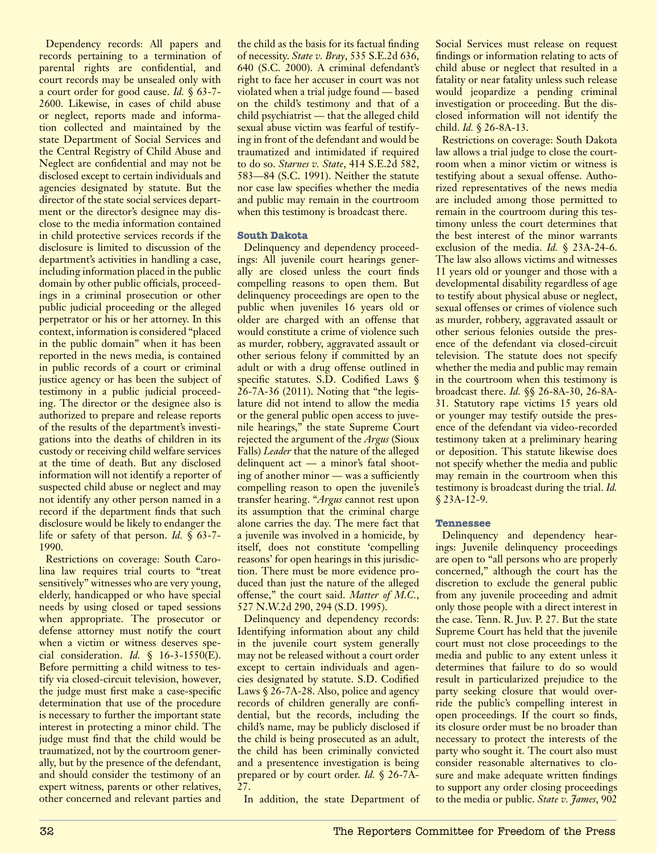Dependency records: All papers and records pertaining to a termination of parental rights are confidential, and court records may be unsealed only with a court order for good cause. *Id.* § 63-7- 2600. Likewise, in cases of child abuse or neglect, reports made and information collected and maintained by the state Department of Social Services and the Central Registry of Child Abuse and Neglect are confidential and may not be disclosed except to certain individuals and agencies designated by statute. But the director of the state social services department or the director's designee may disclose to the media information contained in child protective services records if the disclosure is limited to discussion of the department's activities in handling a case, including information placed in the public domain by other public officials, proceedings in a criminal prosecution or other public judicial proceeding or the alleged perpetrator or his or her attorney. In this context, information is considered "placed in the public domain" when it has been reported in the news media, is contained in public records of a court or criminal justice agency or has been the subject of testimony in a public judicial proceeding. The director or the designee also is authorized to prepare and release reports of the results of the department's investigations into the deaths of children in its custody or receiving child welfare services at the time of death. But any disclosed information will not identify a reporter of suspected child abuse or neglect and may not identify any other person named in a record if the department finds that such disclosure would be likely to endanger the life or safety of that person. *Id.* § 63-7- 1990.

Restrictions on coverage: South Carolina law requires trial courts to "treat sensitively" witnesses who are very young, elderly, handicapped or who have special needs by using closed or taped sessions when appropriate. The prosecutor or defense attorney must notify the court when a victim or witness deserves special consideration. *Id.* § 16-3-1550(E). Before permitting a child witness to testify via closed-circuit television, however, the judge must first make a case-specific determination that use of the procedure is necessary to further the important state interest in protecting a minor child. The judge must find that the child would be traumatized, not by the courtroom generally, but by the presence of the defendant, and should consider the testimony of an expert witness, parents or other relatives, other concerned and relevant parties and

the child as the basis for its factual finding of necessity. *State v. Bray*, 535 S.E.2d 636, 640 (S.C. 2000). A criminal defendant's right to face her accuser in court was not violated when a trial judge found — based on the child's testimony and that of a child psychiatrist — that the alleged child sexual abuse victim was fearful of testifying in front of the defendant and would be traumatized and intimidated if required to do so. *Starnes v. State*, 414 S.E.2d 582, 583—84 (S.C. 1991). Neither the statute nor case law specifies whether the media and public may remain in the courtroom when this testimony is broadcast there.

## **South Dakota**

Delinquency and dependency proceedings: All juvenile court hearings generally are closed unless the court finds compelling reasons to open them. But delinquency proceedings are open to the public when juveniles 16 years old or older are charged with an offense that would constitute a crime of violence such as murder, robbery, aggravated assault or other serious felony if committed by an adult or with a drug offense outlined in specific statutes. S.D. Codified Laws § 26-7A-36 (2011). Noting that "the legislature did not intend to allow the media or the general public open access to juvenile hearings," the state Supreme Court rejected the argument of the *Argus* (Sioux Falls) *Leader* that the nature of the alleged delinquent act — a minor's fatal shooting of another minor — was a sufficiently compelling reason to open the juvenile's transfer hearing. "*Argus* cannot rest upon its assumption that the criminal charge alone carries the day. The mere fact that a juvenile was involved in a homicide, by itself, does not constitute 'compelling reasons' for open hearings in this jurisdiction. There must be more evidence produced than just the nature of the alleged offense," the court said. *Matter of M.C.*, 527 N.W.2d 290, 294 (S.D. 1995).

Delinquency and dependency records: Identifying information about any child in the juvenile court system generally may not be released without a court order except to certain individuals and agencies designated by statute. S.D. Codified Laws § 26-7A-28. Also, police and agency records of children generally are confidential, but the records, including the child's name, may be publicly disclosed if the child is being prosecuted as an adult, the child has been criminally convicted and a presentence investigation is being prepared or by court order. *Id.* § 26-7A- $27.$ 

In addition, the state Department of

Social Services must release on request findings or information relating to acts of child abuse or neglect that resulted in a fatality or near fatality unless such release would jeopardize a pending criminal investigation or proceeding. But the disclosed information will not identify the child. *Id.* § 26-8A-13.

Restrictions on coverage: South Dakota law allows a trial judge to close the courtroom when a minor victim or witness is testifying about a sexual offense. Authorized representatives of the news media are included among those permitted to remain in the courtroom during this testimony unless the court determines that the best interest of the minor warrants exclusion of the media. *Id.* § 23A-24-6. The law also allows victims and witnesses 11 years old or younger and those with a developmental disability regardless of age to testify about physical abuse or neglect, sexual offenses or crimes of violence such as murder, robbery, aggravated assault or other serious felonies outside the presence of the defendant via closed-circuit television. The statute does not specify whether the media and public may remain in the courtroom when this testimony is broadcast there. *Id.* §§ 26-8A-30, 26-8A-31. Statutory rape victims 15 years old or younger may testify outside the presence of the defendant via video-recorded testimony taken at a preliminary hearing or deposition. This statute likewise does not specify whether the media and public may remain in the courtroom when this testimony is broadcast during the trial. *Id.*  $$23A-12-9.$ 

## **Tennessee**

Delinquency and dependency hearings: Juvenile delinquency proceedings are open to "all persons who are properly concerned," although the court has the discretion to exclude the general public from any juvenile proceeding and admit only those people with a direct interest in the case. Tenn. R. Juv. P. 27. But the state Supreme Court has held that the juvenile court must not close proceedings to the media and public to any extent unless it determines that failure to do so would result in particularized prejudice to the party seeking closure that would override the public's compelling interest in open proceedings. If the court so finds, its closure order must be no broader than necessary to protect the interests of the party who sought it. The court also must consider reasonable alternatives to closure and make adequate written findings to support any order closing proceedings to the media or public. *State v. James*, 902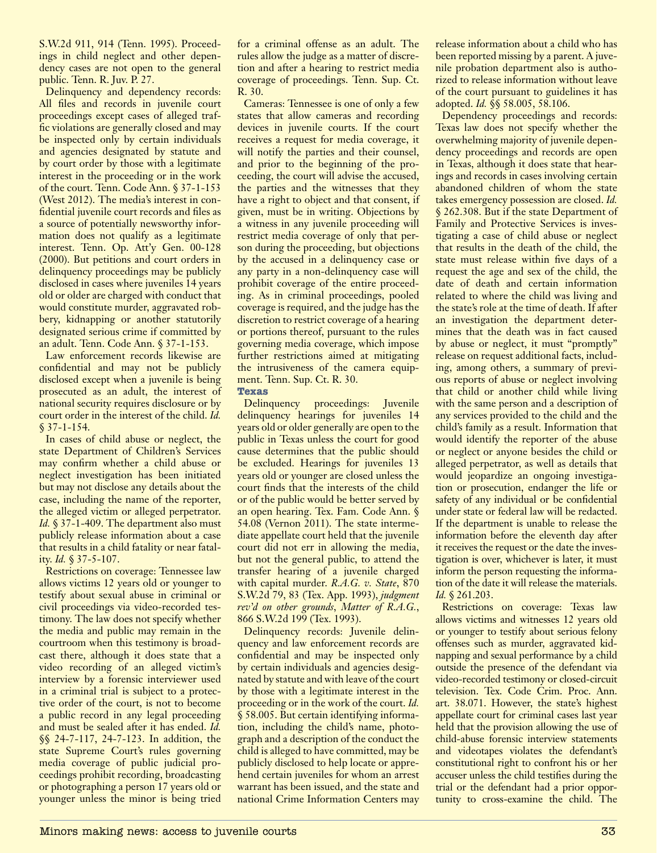S.W.2d 911, 914 (Tenn. 1995). Proceedings in child neglect and other dependency cases are not open to the general public. Tenn. R. Juv. P. 27.

Delinquency and dependency records: All files and records in juvenile court proceedings except cases of alleged traffic violations are generally closed and may be inspected only by certain individuals and agencies designated by statute and by court order by those with a legitimate interest in the proceeding or in the work of the court. Tenn. Code Ann. § 37-1-153 (West 2012). The media's interest in confidential juvenile court records and files as a source of potentially newsworthy information does not qualify as a legitimate interest. Tenn. Op. Att'y Gen. 00-128 (2000). But petitions and court orders in delinquency proceedings may be publicly disclosed in cases where juveniles 14 years old or older are charged with conduct that would constitute murder, aggravated robbery, kidnapping or another statutorily designated serious crime if committed by an adult. Tenn. Code Ann. § 37-1-153.

Law enforcement records likewise are confidential and may not be publicly disclosed except when a juvenile is being prosecuted as an adult, the interest of national security requires disclosure or by court order in the interest of the child. *Id.* § 37-1-154.

In cases of child abuse or neglect, the state Department of Children's Services may confirm whether a child abuse or neglect investigation has been initiated but may not disclose any details about the case, including the name of the reporter, the alleged victim or alleged perpetrator. *Id.* § 37-1-409. The department also must publicly release information about a case that results in a child fatality or near fatality. *Id.* § 37-5-107.

Restrictions on coverage: Tennessee law allows victims 12 years old or younger to testify about sexual abuse in criminal or civil proceedings via video-recorded testimony. The law does not specify whether the media and public may remain in the courtroom when this testimony is broadcast there, although it does state that a video recording of an alleged victim's interview by a forensic interviewer used in a criminal trial is subject to a protective order of the court, is not to become a public record in any legal proceeding and must be sealed after it has ended. *Id.* §§ 24-7-117, 24-7-123. In addition, the state Supreme Court's rules governing media coverage of public judicial proceedings prohibit recording, broadcasting or photographing a person 17 years old or younger unless the minor is being tried

for a criminal offense as an adult. The rules allow the judge as a matter of discretion and after a hearing to restrict media coverage of proceedings. Tenn. Sup. Ct. R. 30.

Cameras: Tennessee is one of only a few states that allow cameras and recording devices in juvenile courts. If the court receives a request for media coverage, it will notify the parties and their counsel, and prior to the beginning of the proceeding, the court will advise the accused, the parties and the witnesses that they have a right to object and that consent, if given, must be in writing. Objections by a witness in any juvenile proceeding will restrict media coverage of only that person during the proceeding, but objections by the accused in a delinquency case or any party in a non-delinquency case will prohibit coverage of the entire proceeding. As in criminal proceedings, pooled coverage is required, and the judge has the discretion to restrict coverage of a hearing or portions thereof, pursuant to the rules governing media coverage, which impose further restrictions aimed at mitigating the intrusiveness of the camera equipment. Tenn. Sup. Ct. R. 30.

## **Texas**

Delinquency proceedings: Juvenile delinquency hearings for juveniles 14 years old or older generally are open to the public in Texas unless the court for good cause determines that the public should be excluded. Hearings for juveniles 13 years old or younger are closed unless the court finds that the interests of the child or of the public would be better served by an open hearing. Tex. Fam. Code Ann. § 54.08 (Vernon 2011). The state intermediate appellate court held that the juvenile court did not err in allowing the media, but not the general public, to attend the transfer hearing of a juvenile charged with capital murder. *R.A.G. v. State*, 870 S.W.2d 79, 83 (Tex. App. 1993), *judgment rev'd on other grounds*, *Matter of R.A.G.*, 866 S.W.2d 199 (Tex. 1993).

Delinquency records: Juvenile delinquency and law enforcement records are confidential and may be inspected only by certain individuals and agencies designated by statute and with leave of the court by those with a legitimate interest in the proceeding or in the work of the court. *Id.* § 58.005. But certain identifying information, including the child's name, photograph and a description of the conduct the child is alleged to have committed, may be publicly disclosed to help locate or apprehend certain juveniles for whom an arrest warrant has been issued, and the state and national Crime Information Centers may

release information about a child who has been reported missing by a parent. A juvenile probation department also is authorized to release information without leave of the court pursuant to guidelines it has adopted. *Id.* §§ 58.005, 58.106.

Dependency proceedings and records: Texas law does not specify whether the overwhelming majority of juvenile dependency proceedings and records are open in Texas, although it does state that hearings and records in cases involving certain abandoned children of whom the state takes emergency possession are closed. *Id.* § 262.308. But if the state Department of Family and Protective Services is investigating a case of child abuse or neglect that results in the death of the child, the state must release within five days of a request the age and sex of the child, the date of death and certain information related to where the child was living and the state's role at the time of death. If after an investigation the department determines that the death was in fact caused by abuse or neglect, it must "promptly" release on request additional facts, including, among others, a summary of previous reports of abuse or neglect involving that child or another child while living with the same person and a description of any services provided to the child and the child's family as a result. Information that would identify the reporter of the abuse or neglect or anyone besides the child or alleged perpetrator, as well as details that would jeopardize an ongoing investigation or prosecution, endanger the life or safety of any individual or be confidential under state or federal law will be redacted. If the department is unable to release the information before the eleventh day after it receives the request or the date the investigation is over, whichever is later, it must inform the person requesting the information of the date it will release the materials. *Id.* § 261.203.

Restrictions on coverage: Texas law allows victims and witnesses 12 years old or younger to testify about serious felony offenses such as murder, aggravated kidnapping and sexual performance by a child outside the presence of the defendant via video-recorded testimony or closed-circuit television. Tex. Code Crim. Proc. Ann. art. 38.071. However, the state's highest appellate court for criminal cases last year held that the provision allowing the use of child-abuse forensic interview statements and videotapes violates the defendant's constitutional right to confront his or her accuser unless the child testifies during the trial or the defendant had a prior opportunity to cross-examine the child. The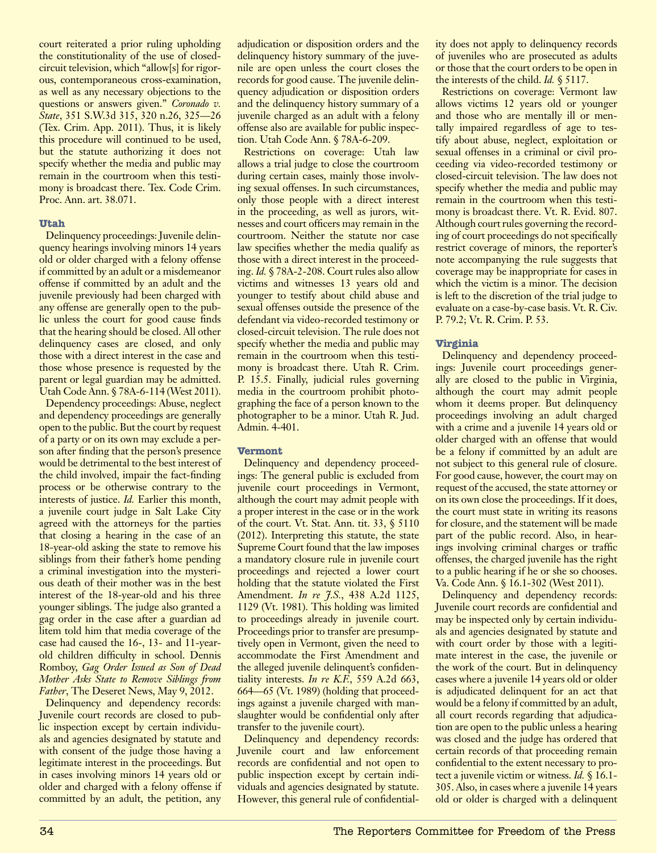court reiterated a prior ruling upholding the constitutionality of the use of closedcircuit television, which "allow[s] for rigorous, contemporaneous cross-examination, as well as any necessary objections to the questions or answers given." *Coronado v. State*, 351 S.W.3d 315, 320 n.26, 325—26 (Tex. Crim. App. 2011). Thus, it is likely this procedure will continued to be used, but the statute authorizing it does not specify whether the media and public may remain in the courtroom when this testimony is broadcast there. Tex. Code Crim. Proc. Ann. art. 38.071.

## **Utah**

Delinquency proceedings: Juvenile delinquency hearings involving minors 14 years old or older charged with a felony offense if committed by an adult or a misdemeanor offense if committed by an adult and the juvenile previously had been charged with any offense are generally open to the public unless the court for good cause finds that the hearing should be closed. All other delinquency cases are closed, and only those with a direct interest in the case and those whose presence is requested by the parent or legal guardian may be admitted. Utah Code Ann. § 78A-6-114 (West 2011).

Dependency proceedings: Abuse, neglect and dependency proceedings are generally open to the public. But the court by request of a party or on its own may exclude a person after finding that the person's presence would be detrimental to the best interest of the child involved, impair the fact-finding process or be otherwise contrary to the interests of justice. *Id.* Earlier this month, a juvenile court judge in Salt Lake City agreed with the attorneys for the parties that closing a hearing in the case of an 18-year-old asking the state to remove his siblings from their father's home pending a criminal investigation into the mysterious death of their mother was in the best interest of the 18-year-old and his three younger siblings. The judge also granted a gag order in the case after a guardian ad litem told him that media coverage of the case had caused the 16-, 13- and 11-yearold children difficulty in school. Dennis Romboy, *Gag Order Issued as Son of Dead Mother Asks State to Remove Siblings from Father*, The Deseret News, May 9, 2012.

Delinquency and dependency records: Juvenile court records are closed to public inspection except by certain individuals and agencies designated by statute and with consent of the judge those having a legitimate interest in the proceedings. But in cases involving minors 14 years old or older and charged with a felony offense if committed by an adult, the petition, any

adjudication or disposition orders and the delinquency history summary of the juvenile are open unless the court closes the records for good cause. The juvenile delinquency adjudication or disposition orders and the delinquency history summary of a juvenile charged as an adult with a felony offense also are available for public inspection. Utah Code Ann. § 78A-6-209.

Restrictions on coverage: Utah law allows a trial judge to close the courtroom during certain cases, mainly those involving sexual offenses. In such circumstances, only those people with a direct interest in the proceeding, as well as jurors, witnesses and court officers may remain in the courtroom. Neither the statute nor case law specifies whether the media qualify as those with a direct interest in the proceeding. *Id.* § 78A-2-208. Court rules also allow victims and witnesses 13 years old and younger to testify about child abuse and sexual offenses outside the presence of the defendant via video-recorded testimony or closed-circuit television. The rule does not specify whether the media and public may remain in the courtroom when this testimony is broadcast there. Utah R. Crim. P. 15.5. Finally, judicial rules governing media in the courtroom prohibit photographing the face of a person known to the photographer to be a minor. Utah R. Jud. Admin. 4-401.

## **Vermont**

Delinquency and dependency proceedings: The general public is excluded from juvenile court proceedings in Vermont, although the court may admit people with a proper interest in the case or in the work of the court. Vt. Stat. Ann. tit. 33, § 5110 (2012). Interpreting this statute, the state Supreme Court found that the law imposes a mandatory closure rule in juvenile court proceedings and rejected a lower court holding that the statute violated the First Amendment. *In re J.S.*, 438 A.2d 1125, 1129 (Vt. 1981). This holding was limited to proceedings already in juvenile court. Proceedings prior to transfer are presumptively open in Vermont, given the need to accommodate the First Amendment and the alleged juvenile delinquent's confidentiality interests. *In re K.F.*, 559 A.2d 663, 664—65 (Vt. 1989) (holding that proceedings against a juvenile charged with manslaughter would be confidential only after transfer to the juvenile court).

Delinquency and dependency records: Juvenile court and law enforcement records are confidential and not open to public inspection except by certain individuals and agencies designated by statute. However, this general rule of confidentiality does not apply to delinquency records of juveniles who are prosecuted as adults or those that the court orders to be open in the interests of the child. *Id.* § 5117.

Restrictions on coverage: Vermont law allows victims 12 years old or younger and those who are mentally ill or mentally impaired regardless of age to testify about abuse, neglect, exploitation or sexual offenses in a criminal or civil proceeding via video-recorded testimony or closed-circuit television. The law does not specify whether the media and public may remain in the courtroom when this testimony is broadcast there. Vt. R. Evid. 807. Although court rules governing the recording of court proceedings do not specifically restrict coverage of minors, the reporter's note accompanying the rule suggests that coverage may be inappropriate for cases in which the victim is a minor. The decision is left to the discretion of the trial judge to evaluate on a case-by-case basis. Vt. R. Civ. P. 79.2; Vt. R. Crim. P. 53.

## **Virginia**

Delinquency and dependency proceedings: Juvenile court proceedings generally are closed to the public in Virginia, although the court may admit people whom it deems proper. But delinquency proceedings involving an adult charged with a crime and a juvenile 14 years old or older charged with an offense that would be a felony if committed by an adult are not subject to this general rule of closure. For good cause, however, the court may on request of the accused, the state attorney or on its own close the proceedings. If it does, the court must state in writing its reasons for closure, and the statement will be made part of the public record. Also, in hearings involving criminal charges or traffic offenses, the charged juvenile has the right to a public hearing if he or she so chooses. Va. Code Ann. § 16.1-302 (West 2011).

Delinquency and dependency records: Juvenile court records are confidential and may be inspected only by certain individuals and agencies designated by statute and with court order by those with a legitimate interest in the case, the juvenile or the work of the court. But in delinquency cases where a juvenile 14 years old or older is adjudicated delinquent for an act that would be a felony if committed by an adult, all court records regarding that adjudication are open to the public unless a hearing was closed and the judge has ordered that certain records of that proceeding remain confidential to the extent necessary to protect a juvenile victim or witness. *Id.* § 16.1- 305. Also, in cases where a juvenile 14 years old or older is charged with a delinquent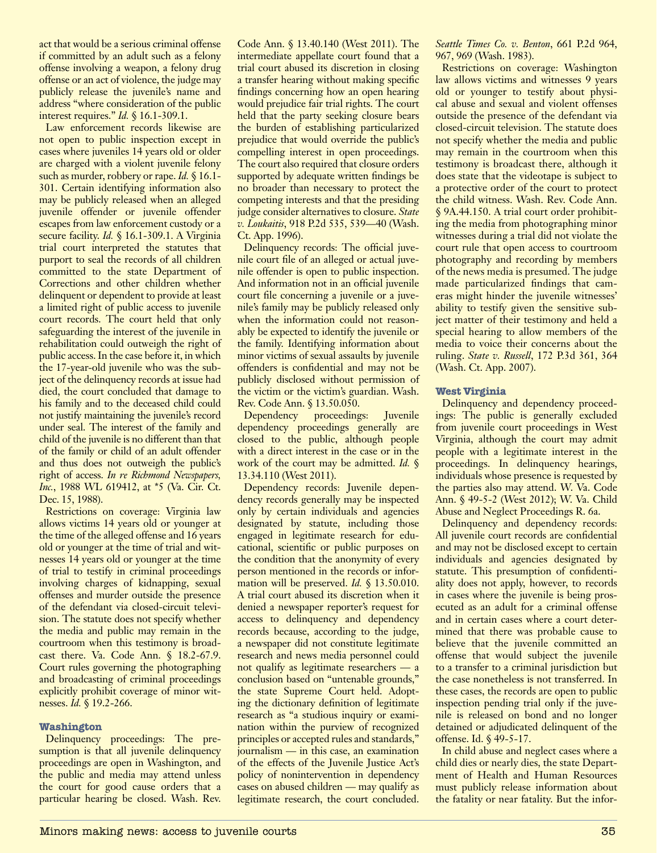act that would be a serious criminal offense if committed by an adult such as a felony offense involving a weapon, a felony drug offense or an act of violence, the judge may publicly release the juvenile's name and address "where consideration of the public interest requires." *Id.* § 16.1-309.1.

Law enforcement records likewise are not open to public inspection except in cases where juveniles 14 years old or older are charged with a violent juvenile felony such as murder, robbery or rape. *Id.* § 16.1- 301. Certain identifying information also may be publicly released when an alleged juvenile offender or juvenile offender escapes from law enforcement custody or a secure facility. *Id.* § 16.1-309.1. A Virginia trial court interpreted the statutes that purport to seal the records of all children committed to the state Department of Corrections and other children whether delinquent or dependent to provide at least a limited right of public access to juvenile court records. The court held that only safeguarding the interest of the juvenile in rehabilitation could outweigh the right of public access. In the case before it, in which the 17-year-old juvenile who was the subject of the delinquency records at issue had died, the court concluded that damage to his family and to the deceased child could not justify maintaining the juvenile's record under seal. The interest of the family and child of the juvenile is no different than that of the family or child of an adult offender and thus does not outweigh the public's right of access. *In re Richmond Newspapers, Inc.*, 1988 WL 619412, at \*5 (Va. Cir. Ct. Dec. 15, 1988).

Restrictions on coverage: Virginia law allows victims 14 years old or younger at the time of the alleged offense and 16 years old or younger at the time of trial and witnesses 14 years old or younger at the time of trial to testify in criminal proceedings involving charges of kidnapping, sexual offenses and murder outside the presence of the defendant via closed-circuit television. The statute does not specify whether the media and public may remain in the courtroom when this testimony is broadcast there. Va. Code Ann. § 18.2-67.9. Court rules governing the photographing and broadcasting of criminal proceedings explicitly prohibit coverage of minor witnesses. *Id.* § 19.2-266.

## **Washington**

Delinquency proceedings: The presumption is that all juvenile delinquency proceedings are open in Washington, and the public and media may attend unless the court for good cause orders that a particular hearing be closed. Wash. Rev.

Code Ann. § 13.40.140 (West 2011). The intermediate appellate court found that a trial court abused its discretion in closing a transfer hearing without making specific findings concerning how an open hearing would prejudice fair trial rights. The court held that the party seeking closure bears the burden of establishing particularized prejudice that would override the public's compelling interest in open proceedings. The court also required that closure orders supported by adequate written findings be no broader than necessary to protect the competing interests and that the presiding judge consider alternatives to closure. *State v. Loukaitis*, 918 P.2d 535, 539—40 (Wash. Ct. App. 1996).

Delinquency records: The official juvenile court file of an alleged or actual juvenile offender is open to public inspection. And information not in an official juvenile court file concerning a juvenile or a juvenile's family may be publicly released only when the information could not reasonably be expected to identify the juvenile or the family. Identifying information about minor victims of sexual assaults by juvenile offenders is confidential and may not be publicly disclosed without permission of the victim or the victim's guardian. Wash. Rev. Code Ann. § 13.50.050.

Dependency proceedings: Juvenile dependency proceedings generally are closed to the public, although people with a direct interest in the case or in the work of the court may be admitted. *Id.* § 13.34.110 (West 2011).

Dependency records: Juvenile dependency records generally may be inspected only by certain individuals and agencies designated by statute, including those engaged in legitimate research for educational, scientific or public purposes on the condition that the anonymity of every person mentioned in the records or information will be preserved. *Id.* § 13.50.010. A trial court abused its discretion when it denied a newspaper reporter's request for access to delinquency and dependency records because, according to the judge, a newspaper did not constitute legitimate research and news media personnel could not qualify as legitimate researchers — a conclusion based on "untenable grounds," the state Supreme Court held. Adopting the dictionary definition of legitimate research as "a studious inquiry or examination within the purview of recognized principles or accepted rules and standards," journalism — in this case, an examination of the effects of the Juvenile Justice Act's policy of nonintervention in dependency cases on abused children — may qualify as legitimate research, the court concluded.

*Seattle Times Co. v. Benton*, 661 P.2d 964, 967, 969 (Wash. 1983).

Restrictions on coverage: Washington law allows victims and witnesses 9 years old or younger to testify about physical abuse and sexual and violent offenses outside the presence of the defendant via closed-circuit television. The statute does not specify whether the media and public may remain in the courtroom when this testimony is broadcast there, although it does state that the videotape is subject to a protective order of the court to protect the child witness. Wash. Rev. Code Ann. § 9A.44.150. A trial court order prohibiting the media from photographing minor witnesses during a trial did not violate the court rule that open access to courtroom photography and recording by members of the news media is presumed. The judge made particularized findings that cameras might hinder the juvenile witnesses' ability to testify given the sensitive subject matter of their testimony and held a special hearing to allow members of the media to voice their concerns about the ruling. *State v. Russell*, 172 P.3d 361, 364 (Wash. Ct. App. 2007).

## **West Virginia**

Delinquency and dependency proceedings: The public is generally excluded from juvenile court proceedings in West Virginia, although the court may admit people with a legitimate interest in the proceedings. In delinquency hearings, individuals whose presence is requested by the parties also may attend. W. Va. Code Ann. § 49-5-2 (West 2012); W. Va. Child Abuse and Neglect Proceedings R. 6a.

Delinquency and dependency records: All juvenile court records are confidential and may not be disclosed except to certain individuals and agencies designated by statute. This presumption of confidentiality does not apply, however, to records in cases where the juvenile is being prosecuted as an adult for a criminal offense and in certain cases where a court determined that there was probable cause to believe that the juvenile committed an offense that would subject the juvenile to a transfer to a criminal jurisdiction but the case nonetheless is not transferred. In these cases, the records are open to public inspection pending trial only if the juvenile is released on bond and no longer detained or adjudicated delinquent of the offense. Id. § 49-5-17.

In child abuse and neglect cases where a child dies or nearly dies, the state Department of Health and Human Resources must publicly release information about the fatality or near fatality. But the infor